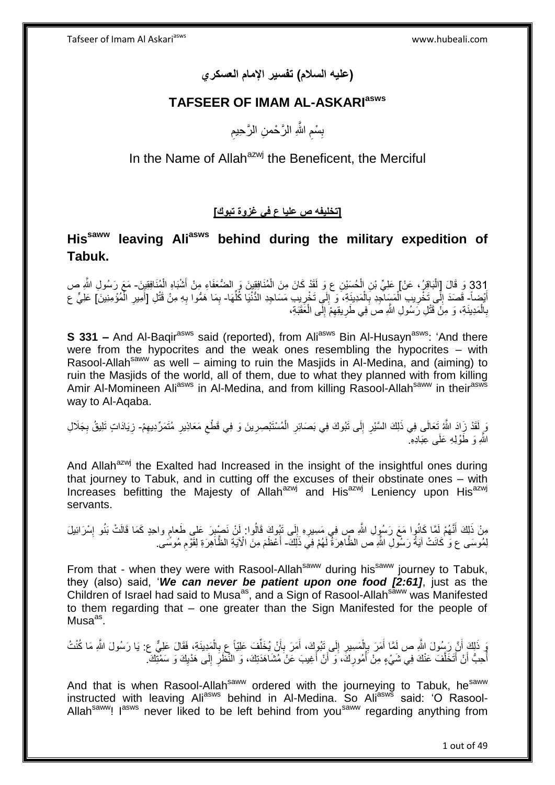**)عليه السالم( تفسير اإلمام العسكري**

## **TAFSEER OF IMAM AL-ASKARIasws**

ِ بِسْمِ اللَّهِ الرَّحْمنِ الرَّحِيمِ ِ ِ

In the Name of Allah<sup>azwj</sup> the Beneficent, the Merciful

## **]تخليفه ص عليا ع في غزوة تبوك[**

# **Hissaww leaving Aliasws behind during the military expedition of Tabuk.**

331 وَ قَالَ [الْبَاقِرُ، عَنْ] عَلِيِّ بْنِ الْحُسَيْنِ ع وَ لَقَدْ كَانَ مِنَ الْمُنَافِقِينَ وَ الضُّعَفَاءِ مِنْ أَشْبَاهِ الْمُنَافِقِينَ- مَعَ رَسُولِ اللَّهِ ص ْ َ ْ ْ ا<br>ا أَيْضاً- قَصَدَ إِلَى تَخْرِيبِ الْمَسَاجِدِ بِالْمَدِينَةِ، وَ إِلَى تَخْرِيبِ مَسَاجِدِ الدُّنْيَا كُلِّهَا- بِمَا هَمُّوا بِهِ مِنْ قَتْلِ [أَمِيرِ الْمُؤْمِنِينَ] عَلِيٍّ ع ْ ِ  $\frac{1}{2}$ ِّ **∶** ِ ْ **∶** ْ ِ َ ِ ِ بِالْمَدِينَةِ، وَ مِنْ قَتْلِ رَسُولِ اللَّهِ صَ فِي طَرِيقِهِمْ إِلَى الْعَقَبَةِ، ْ ِ ِ ِ ْ **∶** 

**S 331 –** And Al-Bagir<sup>asws</sup> said (reported), from Ali<sup>asws</sup> Bin Al-Husayn<sup>asws</sup>: 'And there were from the hypocrites and the weak ones resembling the hypocrites – with Rasool-Allah<sup>saww</sup> as well – aiming to ruin the Masjids in Al-Medina, and (aiming) to ruin the Masjids of the world, all of them, due to what they planned with from killing Amir Al-Momineen Ali<sup>asws</sup> in Al-Medina, and from killing Rasool-Allah<sup>saww</sup> in their<sup>asws</sup> way to Al-Aqaba.

وَ لَقَدْ زَادَ اللَّهُ تَعَالَى فِي ذَلِكَ السَّيْرِ إِلَى تَبُوكَ فِي بَصَائِرِ الْمُسْتَبْصِرِينَ وَ فِي قَطْعِ مَعَاذِيرِ مُتَمَرِّدِيهِمْ- زِيَادَاتٍ تَلِيقُ بِجَلَالِ ِ ْ ِ ∣∣<br>∶ ِ ِ ِ ِ ِ ِ اللَّهِ وَ طَوْلِهِ عَلَى عِبَادِهِ ۖ

And Allah<sup>azwj</sup> the Exalted had Increased in the insight of the insightful ones during that journey to Tabuk, and in cutting off the excuses of their obstinate ones – with Increases befitting the Majesty of Allah<sup>azwj</sup> and His<sup>azwj</sup> Leniency upon His<sup>azwj</sup> servants.

مِنْ ذَلِكَ أَنَّهُمْ لَمَّا كَانُوا مَعَ رَسُولِ اللَّهِ صِ فِي مَسِيرِهِ إِلَى تَبُوكَ قَالُوا: أَنْ نَصْبِرَ عَلَى طَعامِ واحِدٍ كَمَا قَالَتْ بَنُو إِسْرَائِيلَ ِ  $\frac{1}{2}$ ِ ِ لِمُوسَى ع وَ كَانَتْ آيَةُ رَسُولِ اللَّهِ ص الظَّاهِرَةُ لَهُمْ فِيَ ذَلِكَ- أَعْظَمَ مِنَ الْآيَةِ الظَّاهِرَةِ لِقَوْمِ مُوسَّى. َ ِ

From that - when they were with Rasool-Allah<sup>saww</sup> during his<sup>saww</sup> journey to Tabuk, they (also) said, '*We can never be patient upon one food [2:61]*, just as the Children of Israel had said to Musa<sup>as</sup>, and a Sign of Rasool-Allah<sup>saww</sup> was Manifested to them regarding that – one greater than the Sign Manifested for the people of Musa<sup>as</sup>.

وَ ذَلِكَ أَنَّ رَسُولَ اللَّهِ ص لَمَّا أَمَرَ بِإِلْمَسِيرِ إِلَى تَبُوكَ، أَمَرَ بِأَنْ يُخَلِّفَ عَلِيَّا عِ بِالْمَدِينَةِ، فَقَالَ عَلِيٍّ ع: يَا رَسُولَ اللَّهِ مَا كُنْتُ ْ ِ ِّ اُ ِ َ ِ ِ ْ ِ َ :<br>نا أَحِبُّ أَنْ أَتَخَلَّفَ عَنْكَ فِي شَيْءٍ مِنْ أَمُورِكَ، َوَ أَنْ أَغِيبَ عَنْ مُشَاهَدَتِكَ، وَ النَّظَلِّ إِلَى هَدْيِكَ وَ سَمْتِكَ ه َ َ ِ<br>ا ِ ِ ِ َ َ ِ ا<br>ا

And that is when Rasool-Allah<sup>saww</sup> ordered with the journeying to Tabuk, he<sup>saww</sup> instructed with leaving Ali<sup>asws</sup> behind in Al-Medina. So Ali<sup>asws</sup> said: 'O Rasool-Allah<sup>saww</sup>! I<sup>asws</sup> never liked to be left behind from you<sup>saww</sup> regarding anything from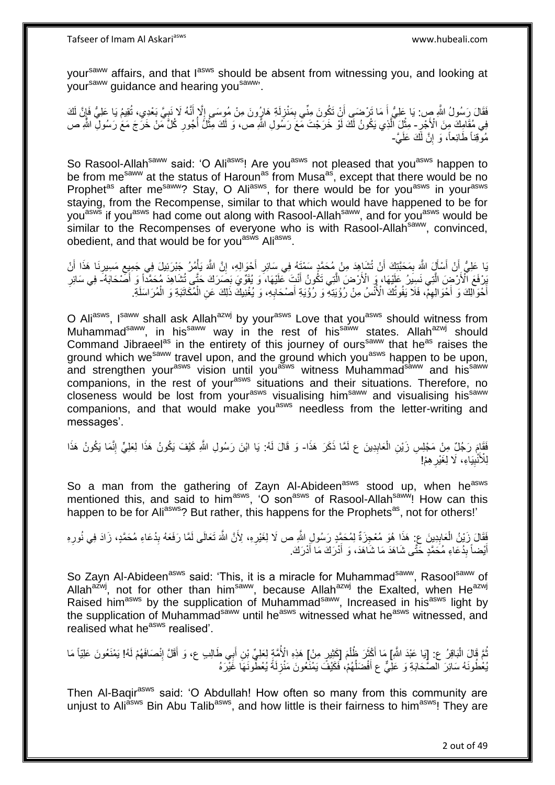Tafseer of Imam Al Askariasws www.hubeali.com

yoursaww affairs, and that lasws should be absent from witnessing you, and looking at your<sup>saww</sup> guidance and hearing you<sup>saww</sup>.

فَقَالَ رَسُولُ اللَّهِ صِ: يَا عَلِيُّ أَ مَا تَرْضَى أَنْ تَكُونَ مِنِّي بِمَنْزِلَةِ هَارُونَ مِنْ مُوسَى إِلَّا أَنَّهُ لَا نَنِيَّ بَعْدِي، تُقِيمُ يَا عَلِيُّ فَإِنَّ لَكَ َ  $\frac{1}{2}$ لَ ¦ ِ َ َ  $\frac{1}{2}$ ِ ∫<br>} فِي مُقَامِكَ مِنَ الْأَجْرِ - مِثْلَ ٱلَّذِي يَكُونُ لَكَ لَوْ خَرَجْتَ مَّعَ رَسُولِ اللَّهِ ص، وَ لَكَ مِثْلُ أُجُورِ كُلِّ مَنْ خَرَجَ مَعَ رَسُولِ اللَّهِ ص ه ِ ا<br>ا **ٔ** مُوْقِذًا طَائِعاً، وَ إِنَّ لَكَ عَلَيَّ-ِ

So Rasool-Allah<sup>saww</sup> said: 'O Ali<sup>asws</sup>! Are you<sup>asws</sup> not pleased that you<sup>asws</sup> happen to be from me<sup>saww</sup> at the status of Haroun<sup>as</sup> from Musa<sup>as</sup>, except that there would be no Prophet<sup>as</sup> after me<sup>saww</sup>? Stay, O Ali<sup>asws</sup>, for there would be for you<sup>asws</sup> in your<sup>asws</sup> staying, from the Recompense, similar to that which would have happened to be for you<sup>asws</sup> if you<sup>asws</sup> had come out along with Rasool-Allah<sup>saww</sup>, and for you<sup>asws</sup> would be similar to the Recompenses of everyone who is with Rasool-Allah<sup>saww</sup>, convinced, obedient, and that would be for you<sup>asws</sup> Ali<sup>asws</sup>.

يَا عَلِيُّ أَنْ أَسْأَلَ اللَّهَ بِمَحَبَّتِكَ أَنْ تُشَاهِدَ مِنْ مُحَمَّدٍ سَمْتَهُ فِي سَائِرِ أَحْوَالِهِ، إِنَّ اللَّهَ يَأْمُرُ جَبْرَئِيلَ فِي جَمِيعِ مَسِيرِنَا هَذَا أَنْ ِ َ َ َ ِ َ ِ َ ِ ِ ْ َبِرْفَعَ ٱلْأَرْضِ الَّتِي نَسِيرُ عَلَيْهَا، وَ الْأَرْضَ الَّتِي تَكُونُ أَنْثَ عَلَيْهَا، وَ يُقَوِّيَ بَصَرَكَ حَتَّى تُشَاهِدَ مُحَمَّدًا وَ أَصْحَابَهُ- فِي سَائِرِ ه ه َ ِ ْ أُخْوَالِكَ وَ أَخْوَالِهِمّْ، فَلاَ يَفُوتُكَ الْأُنْسُ مِنْ رُؤْيَتِهِ ۖ وَ رُؤْيَةِ أَصْحَابِهِ، وَ يُغْنِبِكَ ذَلِكَ عَنِ الْمُكَاتَبَةِ وَ الْمُرَاسَلَةِ **∶** َ ِ َ َ ْ

O Ali<sup>asws</sup>, I<sup>saww</sup> shall ask Allah<sup>azwj</sup> by your<sup>asws</sup> Love that you<sup>asws</sup> should witness from Muhammad<sup>saww</sup>, in his<sup>saww</sup> way in the rest of his<sup>saww</sup> states. Allah<sup>azwj</sup> should Command Jibraeel<sup>as</sup> in the entirety of this journey of ours<sup>saww</sup> that he<sup>as</sup> raises the ground which we<sup>saww</sup> travel upon, and the ground which you<sup>asws</sup> happen to be upon, and strengthen your<sup>asws</sup> vision until you<sup>asws</sup> witness Muhammad<sup>saww</sup> and his<sup>saww</sup> companions, in the rest of your<sup>asws</sup> situations and their situations. Therefore, no closeness would be lost from your<sup>asws</sup> visualising him<sup>saww</sup> and visualising his<sup>saww</sup> companions, and that would make you<sup>asws</sup> needless from the letter-writing and messages'.

فَقَاءَ رَجُلٌ مِنْ مَجْلِسِ زَيْنِ الْعَابِدِينَ ع لَمَّا ذَكَرَ هَذَا- وَ قَالَ لَهُ: يَا ابْنَ رَسُولِ اللَّهِ كَيْفَ يَكُونُ هَذَا لِعَلِيٍّ إِنَّمَا يَكُونُ هَذَا **ِ** ْ ِ لِلْأَنْبِيَاءِ، لَا لِغَيْرِ هِمْ! ِ **!** 

So a man from the gathering of Zayn Al-Abideen<sup>asws</sup> stood up, when he<sup>asws</sup> mentioned this, and said to him<sup>asws</sup>, 'O son<sup>asws</sup> of Rasool-Allah<sup>saww</sup>! How can this happen to be for Ali<sup>asws</sup>? But rather, this happens for the Prophets<sup>as</sup>, not for others!'

فَقَالَ زَيْنُ الْعَابِدِينَ عِ: هَذَا هُوَ مُعْجِزَةٌ لِمُحَمَّدٍ رَسُولِ اللَّهِ ص لَا لِغَيْرِهِ، لِأَنَّ اللَّهَ تَعَالَى لَمَّا رَفَعَهُ بِدُعَاءِ مُحَمَّدٍ، زَادَ فِي نُورِهِ **ٍ ∣** ْ ِ ِ لَ أَيْضاً بِدُعَاءِ مُحَمَّدٍ خَثَّى شَاهَدَ مَا شَاهَدَ، وَ أَدْرَكَ مَا أَدْرَكَ. ِ َ َ َ

So Zayn Al-Abideen<sup>asws</sup> said: 'This, it is a miracle for Muhammad<sup>saww</sup>, Rasool<sup>saww</sup> of Allah<sup>azwj</sup>, not for other than him<sup>saww</sup>, because Allah<sup>azwj</sup> the Exalted, when He<sup>azwj</sup> Raised him<sup>asws</sup> by the supplication of Muhammad<sup>saww</sup>, Increased in his<sup>asws</sup> light by the supplication of Muhammad<sup>saww</sup> until he<sup>asws</sup> witnessed what he<sup>asws</sup> witnessed, and realised what he<sup>asws</sup> realised'.

ثُمَّ قَالَ الْبَاقِرُ ع: [ِيَا عَبْدَ اللَّهِ] مَا أَكْثَرَ ظُلْمَ [كَثِيرٍ مِنْ] هَذِهِ الْأُمَّةٍ لِحَلِيِّ بْنِ أَبِي طَالِبٍ ع، وَ أَقَلَّ إِنْصَافَهُمْ لَهُ! يَمْنَعُونَ عَلِيّاً مَا ْ ْ ة<br>أ َ ِ َ َ يُعْطُونَهُ سَائِرَ الصَّحَابَةِ وَ عَلِّيٌّ عِ أَفْضَلُهُمْ، فَكَيْفَ يَمْنَعُونَ مَنْزِلَةً يُعْطُّونَهَا غَيْرَهُ ان<br>ا َ **∶** 

Then Al-Baqir<sup>asws</sup> said: 'O Abdullah! How often so many from this community are unjust to Aliasws Bin Abu Talib<sup>asws</sup>, and how little is their fairness to him<sup>asws</sup>! They are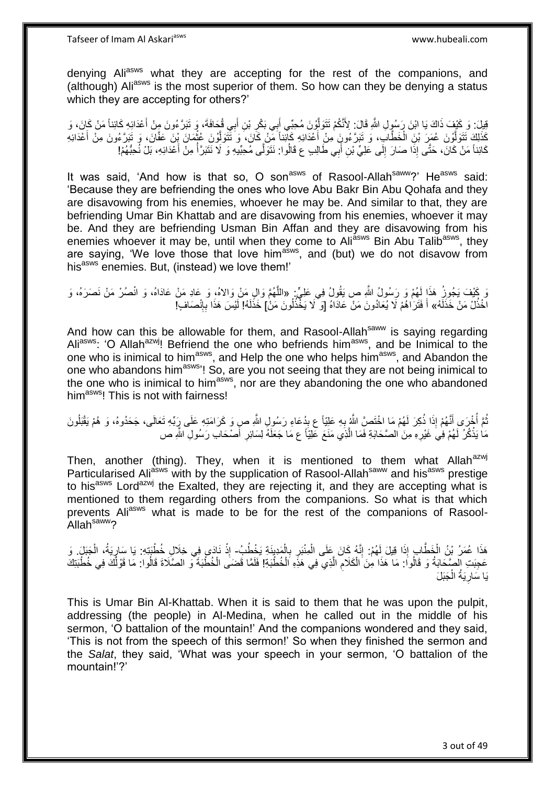denying Aliasws what they are accepting for the rest of the companions, and (although) Aliasws is the most superior of them. So how can they be denying a status which they are accepting for others?'

ِ ْفِيلَ: وَ كَيْفَ ذَاكَ يَا ابْنَ رَسُولِ اللَّهِ قَالَ: لِأَنَّكُمْ نَتَوَلَّوْنَ مُحِبِّي أَبِي بَكْرِ بْنِ أَبِي قُحَافَةَ، وَ نَبَرَّءُونَ مِنْ أَعْدَائِهِ كَائِناً مَنْ كَانَ، وَ َ ه َ َ ِ كَذَلِكَ نَتَوَلَّوْنَ عُمَرَ بْنِ الْخَطَّابِ، وَ تَبَرَّءُونِ مِنْ أَعْدَائِهِ كَإِنَّنَا مَنْ كَانَ، وَ نَتَّوَلَّوْنَ عُثْمَانَ بِْنَ عَفَّانَ، وَ تَبَرَّءُونَ مِنْ أَعْدَائِهِ **ٔ** ه َ ْ ه َ ا<br>ا كَائِناً مَنْ كَانَ، حَتَّى إِذَا صَارَ ۖ إِلَى عَلِيِّ بْنِ أَبِي طَالِبٍ ع قَالُوا: نَتَوَلَّى مُحِبِّيهِ وَ لَا نَتَبَرَّأُ مِنْ أَعْدَائِهِ، بَلْ نُحِبُّهُمْ! َ  $\frac{1}{2}$ َ

It was said, 'And how is that so, O son<sup>asws</sup> of Rasool-Allah<sup>saww</sup>?' He<sup>asws</sup> said: 'Because they are befriending the ones who love Abu Bakr Bin Abu Qohafa and they are disavowing from his enemies, whoever he may be. And similar to that, they are befriending Umar Bin Khattab and are disavowing from his enemies, whoever it may be. And they are befriending Usman Bin Affan and they are disavowing from his enemies whoever it may be, until when they come to Aliasws Bin Abu Talibasws, they are saying, 'We love those that love him<sup>asws</sup>, and (but) we do not disavow from his<sup>asws</sup> enemies. But, (instead) we love them!'

وَ كَيْفَ يَجُوزُ هَذَا لَهُمْ وَ رَِسُولُ اللَّهِ ص يَقُولُ فِي عَلِيٍّ. «اللَّهُمَّ وَالِ مَنْ وَالاهُ، وَ عادِ مَنْ عَادَاهُ، وَ انْصُرْ مَنْ نَصَرَهُ، وَ ه اخْذُلْ مَنْ خَذَلَهُ» أَ فَتَرَ ٰاهُمْ لَا يُعَادُونَ مَنْ عَادَاهُ [وَ ۖ لَا يَخْذُلُونَ مَنْ] خَذَلَهُ! لَيْسَ هَذَا بِإِنْصَافٍ! لَ ُ ِ ِ لَ

And how can this be allowable for them, and Rasool-Allah<sup>saww</sup> is saying regarding Aliasws: 'O Allah<sup>azwj</sup>! Befriend the one who befriends him<sup>asws</sup>, and be Inimical to the one who is inimical to him<sup>asws</sup>, and Help the one who helps him<sup>asws</sup>, and Abandon the one who abandons him<sup>asws</sup>'! So, are you not seeing that they are not being inimical to the one who is inimical to him<sup>asws</sup>, nor are they abandoning the one who abandoned him<sup>asws</sup>! This is not with fairness!

نُّمَّ أُخْرَى أَنَّهُمْ إِذَا ذُكِرَ لَهُمْ مَا اِخْتَصِّ اللَّهُ بِهِ عَلِيّاً ع بِدُعَاءِ رَسُولِ اللَّهِ صِ وَ كَرَامَتِهِ عَلَى رِبِّهِ تَعَالَى، جَحَدُوهُ، وَ هُمْ يَقْبَلُونَ ِ **∶** َ .<br>ا ُ ه مَاٰ يَذْكُّرُ ۖ لَهُمْ فِيَ غَيْرِهِ مِنَ الصَّحَابَةِ فَمَا الَّذِي مَنَعَ عَلِيّاً ع مَا جَعَلَهُ لِسَائِرِ أَصْحَابَ رَسُولِ اللَّهِ ص **∶** َ ِ

Then, another (thing). They, when it is mentioned to them what Allah<sup>azwj</sup> Particularised Ali<sup>asws</sup> with by the supplication of Rasool-Allah<sup>saww</sup> and his<sup>asws</sup> prestige to his<sup>asws</sup> Lord<sup>azwj</sup> the Exalted, they are rejecting it, and they are accepting what is mentioned to them regarding others from the companions. So what is that which prevents Aliasws what is made to be for the rest of the companions of Rasool-.<br>Allah<sup>saww</sup>?

هَذَا عُمَرُ بْنُ الْخَطَّابِ إِذَا قِيلَ لَهُمْ: إِنَّهُ كَانَ عَلَى الْمِنْبَرِ بِالْمَدِينَةِ يَخْطُبُ- إِذْ نَادَى فِي خِلَالِ خُطْبَتِهِ: يَا سَارِيَةُ، الْجَنَلَ، وَ ْ ْ ِ ِ ْ יִי (ו ْ ِ **ٔ** عَجِبَتِ الْصِّحَابَةُ وَ قَالُواْ: مَا هَذَا مِنَ الْكَلامِ الَّذِي فِي هَذِّهِ الْخُطْبَةِ! فَلَمَّا قَضَى الْخُطْبَةَ وَ الصَّلَاةَ قَالُوا: مَا قَوْلُكَ فِي خُطْبَتِكَ ه ِ أ يَا سَارِيَةُ الْجَبَلَ ْ ِ

This is Umar Bin Al-Khattab. When it is said to them that he was upon the pulpit, addressing (the people) in Al-Medina, when he called out in the middle of his sermon, 'O battalion of the mountain!' And the companions wondered and they said, 'This is not from the speech of this sermon!' So when they finished the sermon and the *Salat*, they said, 'What was your speech in your sermon, 'O battalion of the mountain!'?'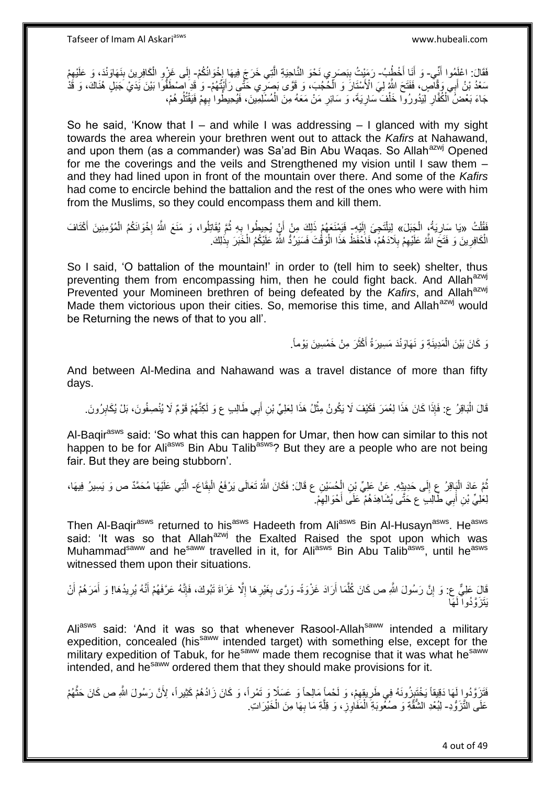فَقَالَ: اعْلَمُوا أَنِّي- وَ أَنَا أَخْطُبُ- رَمَيْتُ بِبَصَرِي نَحْوَ النَّاحِيَةِ الَّتِي خَرَجَ فِيهَا إِخْوَانُكُمْ- إِلَى غَرْبِرِ الْكَافِرِينَ بِنَهَاوَنْدَ، وَ عَلَيْهِمْ<br>يون داخلوس اللَّي - وَ إِنَّذَا يَجْبُ بِ َ َ ן<br>יי ه ِ ِ ِ ِ ْ **∶** ِ ِسَعْدُ بْنُ أَبِي وَقَالِّسٍ، فَفَتَحَ اللَّهُ لِيَ الْأَسْتَانَ وَ الْحُجُبَ، وَ قَوَّى بَصَرِّي خَتَّى رَأَيْتُهُمْ- وَ قَدِ اصْطَفُوا بَيْنَ يَدَيِّ جُنَلٍ هُنَاكَ، وَ قَدْ ْ َ جَاءَ بَعْضَ ٱلْمُُقَالِ لِيَدُورُوا خَلْفَ سَارِيَةَ، وَ سَائِرِ مَنْ مَعَهُ مِنَ الْمُسْلِمِينَ، فَيُحِيطُوا بِهِمْ فَيَقْتُلُوهُمْ، ِ ْ ِ ِ ْ **∶** ُ

So he said, 'Know that I – and while I was addressing  $-1$  glanced with my sight towards the area wherein your brethren went out to attack the *Kafirs* at Nahawand, and upon them (as a commander) was Sa'ad Bin Abu Waqas. So Allah<sup>azwj</sup> Opened for me the coverings and the veils and Strengthened my vision until I saw them – and they had lined upon in front of the mountain over there. And some of the *Kafirs* had come to encircle behind the battalion and the rest of the ones who were with him from the Muslims, so they could encompass them and kill them.

فَقُلْتُ «يَا سَارِيَةُ، الْجَنِلَ» لِلَيَلَّجِئَ إِلَيْهِ- فَيَمْنَعَهُمْ ذَلِكَ مِنْ أَنٍْ يُحِيطُوا بِهِ ثُمَّ يُقَاتِلُوا، وَ مَنَعَ اللَّهُ إِخْوَانَكُمُ الْمُؤْمِنِينَ أَكْتَافَ ْ ْ ِ لَ ِ َ ْ ا<br>: ُ ِ َ ِ الْكَافِرِينَ وَ فَتَحَ اللَّهُ عَلَيْهِمْ بِلَادَهُمْ، ۖ فَاَحْفَظْ هَذَا الْوَقُّتَ فَسَيَرُكُّ اللَّهُ عَلَيْكُمُ الْخَبَرَ بِذَٰلِكَ. ْ ْ ْ ِ ِ

So I said, 'O battalion of the mountain!' in order to (tell him to seek) shelter, thus preventing them from encompassing him, then he could fight back. And Allah<sup>azwj</sup> Prevented your Momineen brethren of being defeated by the *Kafirs*, and Allah<sup>azwj</sup> Made them victorious upon their cities. So, memorise this time, and Allah<sup>azwj</sup> would be Returning the news of that to you all'.

> وَ كَانَ بَيْنَ الْمَدِينَةِ وَ نَهَاوَنْدَ مَسِيرَةُ أَكْثَرَ مِنْ خَمْسِينَ يَوْماً. ة<br>أ َ ْ

And between Al-Medina and Nahawand was a travel distance of more than fifty days.

قَالَ الْبَاقِرُ ع: فَإِذَا كَانَ هَذَا لِعُمَرَ فَكَيْفَ لَا يَكُونُ مِثْلُ هَذَا لِعَلِيِّ بْنِ أَبِي طَالِبِ ع وَ لَكِنَّهُمْ قَوْمٌ لَا يُنْصِفُونَ، بَلْ يُكَابِرُونَ. ْ :<br>ا ِ َ

Al-Bagir<sup>asws</sup> said: 'So what this can happen for Umar, then how can similar to this not happen to be for Aliasws Bin Abu Talib<sup>asws</sup>? But they are a people who are not being fair. But they are being stubborn'.

ثُمَّ عَادَ الْبَاقِرُ عِ إِلَى حَدِيِثِهِ. عَنْ عَلِيِّ بْنِ الْحُسَيْنِ ع قَالَ: فَكَانَ اللَّهُ تَعَالَى يَرْفَعُ الْبِقَاعَ- الَّتِي عَلَيْهَا مُحَمَّدٌ ص وَ يَسِيرُ فِيهَا، ِ ْ ْ  $\frac{1}{2}$ :<br>ا ُ ه لِعَلِيِّ بْنِ أَبِي طَّالِبَ ع حَتَّى يُشَاهِدَهُمْ عَلَى أَحْوَالِهِمْ ۚ ِ َ َ

Then Al-Baqir<sup>asws</sup> returned to his<sup>asws</sup> Hadeeth from Ali<sup>asws</sup> Bin Al-Husayn<sup>asws</sup>. He<sup>asws</sup> said: 'It was so that Allah<sup>azwj</sup> the Exalted Raised the spot upon which was Muhammad<sup>saww</sup> and he<sup>saww</sup> travelled in it, for Ali<sup>asws</sup> Bin Abu Talib<sup>asws</sup>, until he<sup>asws</sup> witnessed them upon their situations.

قَالَ عَلِيٌّ ع: وَ إِنَّ رَسُولَ اللَّهِ ص كَانَ كُلَّمَا أَرَادَ غَزْوَةً- وَرَّى بِغَيْرِهَا إِلَّا غَزَاةَ تَبُوكَ، فَإِنَّهُ عَرَّفَهُمْ أَنَّهُ يُرِيدُهَا! وَ أَمَرَهُمْ أَنْ َ ه יִי, ِ ِ ِ ِ َ ا∣<br>ِ∘ َ َ يَتَزَوَّدُواً لَهَا

Ali<sup>asws</sup> said: 'And it was so that whenever Rasool-Allah<sup>saww</sup> intended a militarv expedition, concealed (his<sup>saww</sup> intended target) with something else, except for the military expedition of Tabuk, for he<sup>saww</sup> made them recognise that it was what he<sup>saww</sup> intended, and he<sup>saww</sup> ordered them that they should make provisions for it.

فَتَزَوَّدُوا لَهَا دَقِيقاً يَخْتَبِزُونَهُ فِي طَرِيقِهِمْ، وَ لَحْماً مَالِحاً وَ عَسَلًا وَ تَمْراً، وَ كَانَ زَادُهُمْ كَثِيراً، لِأَنَّ رَسُولَ اللَّهِ ص كَانَ حَتَّهُمْ ِ ِ ׇ֧֖֧֓֝֓֝֓<u>֓</u> ه عَلَى الثَّزَوُّدِ- لِبُعْدِ الشُّقَّةِ وَ صُنُّوبَةِ الْمَفَاوِزِ، وَ قِلَّةِ مَا بِهَا مِنَ الْخَيْرَاتِ. ْ **∶** ه **∶** ْ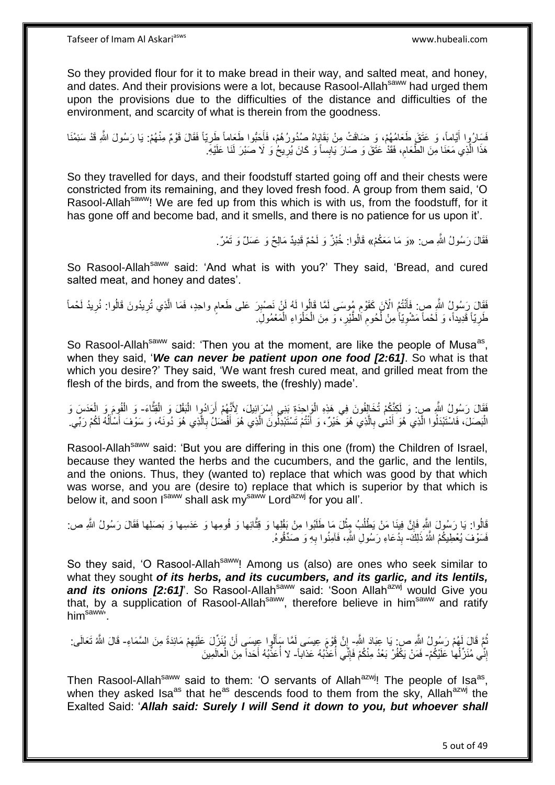So they provided flour for it to make bread in their way, and salted meat, and honey, and dates. And their provisions were a lot, because Rasool-Allahsaww had urged them upon the provisions due to the difficulties of the distance and difficulties of the environment, and scarcity of what is therein from the goodness.

فَسَارُوٍا أَيَّاماً، وَ عَتَقَ طَعَامُهُمْ، وَ ضَاقَتْ مِنْ بَقَايَاهُ صُدُورُهُمْ، فَأَحَبُّوا طَعَاماً طَرِيّاً فَقَالَ قَوْمٌ مِنْهُمْ. يَا رَسُولَ اللَّهِ قَدْ سَئِمْنَا َ ِ َ هَذَا الَّذِي مَعَنَا مِنَ الطَّعَامِ، فَقَدْ عَتَقَ وَ صَارَ يَابِساً وَ كَانَ يُرِيحُ وَ لَا صَبْرَ لَنَا عَلَيْهِ ِ ِ ه

So they travelled for days, and their foodstuff started going off and their chests were constricted from its remaining, and they loved fresh food. A group from them said, 'O Rasool-Allah<sup>saww</sup>! We are fed up from this which is with us, from the foodstuff, for it has gone off and become bad, and it smells, and there is no patience for us upon it'.

فَقَالَ رَسُولُ اللَّهِ ص: «وَ مَا مَعَكُمْ» قَالُوا: خُبْزٌ وَ لَحْمٌ قَدِيدٌ مَالِحٌ وَ عَسَلٌ وَ تَمْرٌ.

So Rasool-Allah<sup>saww</sup> said: 'And what is with you?' They said, 'Bread, and cured salted meat, and honey and dates'.

فَقَالَ رَسُولُ النَّهِ ص: فَأَنْتُمُ الْآنَ كَقَوْمٍ مُوسَى لَمَّا قَالُوا لَهُ لَنْ نَصْبِرَ عَلَى طَعامٍ واحِدٍ، فَمَا الَّذِي تُرِيدُونَ قَالُوا: نُرِيدُ لَحْماً<br>يَرَسَعُ بَعَلَيْهِ مَعْ مَعْ مَعْ الْآنَ كَقَوْمٍ مُوس ِ َ ِ لَ ِ ِ ه طَرِيّاً قَدِيداً، وَ لَحْماً مَشْوِيّاً مِنْ لُحُومِ الطَّيْرِ ، وَ مِنَ الْحَلْوَاءِ الْمَعْمُولَِ. **∶ ∶** ْ ْ ْ **ٍ** ِ :<br>ا

So Rasool-Allah<sup>saww</sup> said: 'Then you at the moment, are like the people of Musa<sup>as</sup>, when they said, '*We can never be patient upon one food [2:61]*. So what is that which you desire?' They said, 'We want fresh cured meat, and grilled meat from the flesh of the birds, and from the sweets, the (freshly) made'.

فَقَالَ رَسُولُ اللَّهِ صِ: وَ لَكِنَّكُمْ تُخَالِفُونَ فِي هَذِهِ الْوَاحِدَةِ بَنِي إِسْرَائِيلَ، لِأَنَّهُمْ أَرَادُوٍا الْبَقْلَ وَ الْقُلْعَاءَ- وَ الْفُومَ وَ الْعَدَسَ وَ ْ َ ِ ْ ه ْ ْ ْ الْبَصَلَ، فَاسْتَبْدَلُوا الَّذِي هُوَ أَدْنى بِالَّذِي هُوَ خَيْرٌ، وَ أَنْتُمْ تَسْتَبْدِلُونَ الَّذِي هُوَ أَفْضَلُ بِالَّذِي هُوَ دُونَهُ، وَ سَوْفَ أَسْأَلُهُ لَكُمْ رَبِّي ِ َ ه  $\overline{a}$ َ َ ه ِ َ ه َ ه **∶** 

Rasool-Allah<sup>saww</sup> said: 'But you are differing in this one (from) the Children of Israel, because they wanted the herbs and the cucumbers, and the garlic, and the lentils, and the onions. Thus, they (wanted to) replace that which was good by that which was worse, and you are (desire to) replace that which is superior by that which is below it, and soon Isaww shall ask mysaww Lordazwj for you all'.

قَالُوا: يَا رَسُولَ اِللَّهِ فَإِنَّ فِينَا مَنْ يَطْلُبُ مِِثْلَ مَا طَلَبُوا مِنْ بَقْلِها وَ قِثَّائِها وَ فُومِها وَ عَدَسِها وَ بَصَلِها فَقَالَ رَسُولُ اللَّهِ ص: ه ْ ُ ِ فَسَوْفَ يُعْطِيكُمُ اللَّهُ ذَلِكَ- بِدُعَاءِ رَسُولِ اللَّهِ، فَاَمِنُوا بِهِ وَ صَدِّقُوهُ. **∶ ∣** 

So they said, 'O Rasool-Allah<sup>saww</sup>! Among us (also) are ones who seek similar to what they sought *of its herbs, and its cucumbers, and its garlic, and its lentils,*  and its onions [2:61]. So Rasool-Allah<sup>saww</sup> said: 'Soon Allah<sup>azwj</sup> would Give you that, by a supplication of Rasool-Allah<sup>saww</sup>, therefore believe in him<sup>saww</sup> and ratify  $him<sup>saww</sup>$ 

نُمَّ قَالَ لَهُمْ رَسُولُ اللَّهِ ص: يَا عِبَادَ اللَّهِ- إِنَّ قَوْمَ عِيسَى لَمَّا سَأَلُوا عِيسَى أَنْ يُنَزِّلَ عَلَيْهِمْ مَائِدَةً مِنَ السَّمَاءِ- قَالَ اللَّهُ تَعَالَى: ُ ِ َ َ ِ إِنِّي مُنَزِّلُها ۚ عَلَيْكُمْ- فَمَنْ يَكْفُرْ بَعْدُ مِنْكُمْ فَإِنَّي أُعَذِّبُهُ عَذاباً- لا أُعَذِّبُهُ أَحَداً مِنَ الْعالَمِينَ ُ ِ ا<br>أ ׀ו<br>ِי َ ْ

Then Rasool-Allah<sup>saww</sup> said to them: 'O servants of Allah<sup>azwj</sup>! The people of Isa<sup>as</sup>, when they asked Isa<sup>as</sup> that he<sup>as</sup> descends food to them from the sky, Allah<sup>azwj</sup> the Exalted Said: '*Allah said: Surely I will Send it down to you, but whoever shall*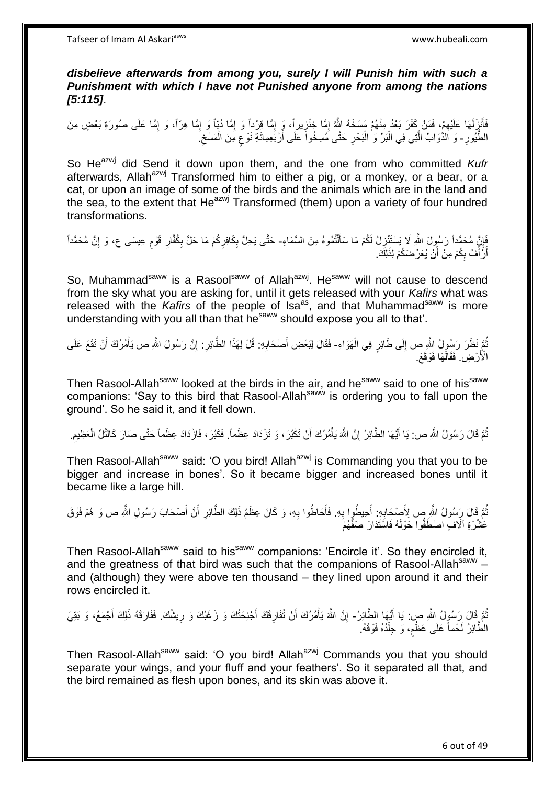*disbelieve afterwards from among you, surely I will Punish him with such a Punishment with which I have not Punished anyone from among the nations [5:115]*.

فَأَنْزَلَهَا عَلَيْهِمْ، فَمَنْ كَفَرَ بَعْدُ مِنْهُمْ مَسَخَهُ اللَّهُ إِمَّا خِنْزِيراً، وَ إِمَّا ذُبّا وَ إِمَّا هِرّاً، وَ إِمَّا عَلَى صُورَةِ بَعْضٍ مِنَ ِ ِ ِ َ ِ ِ ِ ِ **∶** الطُّيُورِ - وَ اَلذُّوَابٍّ الَّذِي فِي الْبَرِّ وَ ٰالْبَحْرِ حَتَّى مُسِخُواَ عَلَى أَرْبَعِمِائَةِ نَوْعٍ مِنَ الْمَسْخِ  $\zeta$ ْ ٍ اُ **∶** ْ ْ ه

So He<sup>azwj</sup> did Send it down upon them, and the one from who committed *Kufr* afterwards, Allah<sup>azwj</sup> Transformed him to either a pig, or a monkey, or a bear, or a cat, or upon an image of some of the birds and the animals which are in the land and the sea, to the extent that  $He^{azwj}$  Transformed (them) upon a variety of four hundred transformations.

فَإِنَّ مُحَمَّداً رَسُولَ اللَّهِ لَا يَسْتَنْزِلُ لَكُمْ مَا سَأَلْتُمُوهُ مِنَ السَّمَاءِ- حَتَّى يَحِلَّ بِكَافِرِكُمْ مَا حَلَّ بِكُفَّارِ قَوْمٍ عِيسَى ع، وَ إِنَّ مُحَمَّداً ْ َ ِ ِ ِ ِ ِ ِ **∶** ِ أَرَّ أَفُ بِكُمْ مِنْ أَنْ يُعَرِّضَكُمْ لِذَلِكَ َ ِ َ اً

So. Muhammad<sup>saww</sup> is a Rasool<sup>saww</sup> of Allah<sup>azwj</sup>. He<sup>saww</sup> will not cause to descend from the sky what you are asking for, until it gets released with your *Kafirs* what was released with the *Kafirs* of the people of Isa<sup>as</sup>, and that Muhammad<sup>saww</sup> is more understanding with you all than that he<sup>saww</sup> should expose you all to that'.

ثُمَّ نَظَرَ رَسُولُ اللَّهِ ص إِلَى طَائِرٍ فِي الْهَوَاءِ- فَقَالَ لِبَعْضِ أَصْحَابِهِ: قُلْ لِهَذَا الطَّائِرِ: إِنَّ رَسُولَ اللَّهِ ص يَأْمُرُكَ أَنْ نَقَعَ عَلَى ْ ∣∣<br>∶ ِ ِ ِ َ َ ْ الْأَرْضِ فَقَالَهَا فَوَقَعَ.

Then Rasool-Allah<sup>saww</sup> looked at the birds in the air, and he<sup>saww</sup> said to one of his<sup>saww</sup> companions: 'Say to this bird that Rasool-Allah<sup>saww</sup> is ordering you to fall upon the ground'. So he said it, and it fell down.

نُّمَّ قَالَ رَسُولُ اللَّهِ ص: يَا أَيُّهَا الطَّائِرُ إِنَّ اللَّهَ يَأْمُرُكَ أَنْ تَكْبُرَ ، وَ تَزْدَادَ عِظَماً فَكَبُرَ ، فَازْدَادَ عِظَماً حَتَّى صَارَ كَالثَّلِّ الْعَظِيمِ اُ ْ ِ َ ُ ِ ْ

Then Rasool-Allah<sup>saww</sup> said: 'O you bird! Allah<sup>azwj</sup> is Commanding you that you to be bigger and increase in bones'. So it became bigger and increased bones until it became like a large hill.

َ ُمَّ قَالَ رَسُولُ اللَّهِ صِ لِأَصْحَابِهِ: أَحِيطُوا بِهِ. فَأَحَاطُوا بِهِ، وَ كَانَ عِظَمُ ذَلِكَ الطَّائِرِ أَنَّ أَصْحَابَ رَسُولِ اللَّهِ ص وَ هُمْ فَوْقَ **∶** َ **∶ ∶** َ َ ِ عَشْرَةِ آلَافٍ اصْطَفُّوا حَوْلَهُ فَاسْتَدَارَ صَفُّهُمْ

Then Rasool-Allah<sup>saww</sup> said to his<sup>saww</sup> companions: 'Encircle it'. So they encircled it, and the greatness of that bird was such that the companions of Rasool-Allah<sup>saww</sup> and (although) they were above ten thousand – they lined upon around it and their rows encircled it.

نُّمَّ قَالَ رَسُولُ اللَّهِ ص: يَا أَيُّهَا الطَّائِرُ- إِنَّ اللَّهَ يَأْمُرُكَ أَنْ تُفَارِقَكَ أَجْنِحَتُكَ وَ زَغَبُكَ وَ رِيشُكَ. فَفَارَقَهُ ذَلِكَ أَجْمَعُ، وَ بَقِيَ َ ُ َ ْ ِ َ ِ َ **ٍ** الْطَّائِرُ لَحْماً عَلَى عَظْمٍ، وَ جِلْدُهُ فَوْقَهُ. ْ ٍ

Then Rasool-Allah<sup>saww</sup> said: 'O you bird! Allah<sup>azwj</sup> Commands you that you should separate your wings, and your fluff and your feathers'. So it separated all that, and the bird remained as flesh upon bones, and its skin was above it.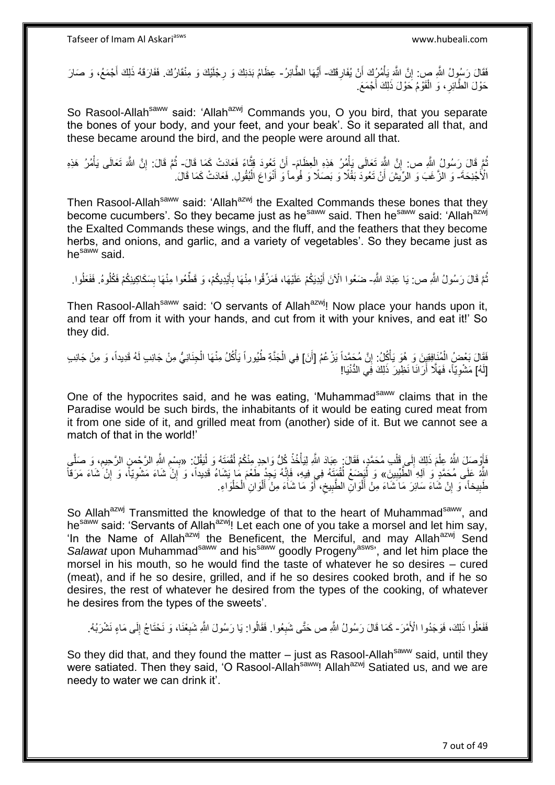فَقَالَ رَسُولُ اللَّهِ صِ: إِنَّ اللَّهَ يَأْمُرُكَ أَنْ يُفَارِقَكَ- أَيُّهَا الطَّائِرُ- عِظَامُ بَدَنِكَ وَ رِجْلَيْكَ وَ مِنْقَارُكَ. فَفَارَقَهُ ذَلِكَ أَجْمَعُ، وَ صَارَ ِ َ ْ ِ **∶** َ حَوْلَ الطَّاَئِرِ ، وَ الْقَوْمُ خَوْلَ ذَلِكَ أَجْمَعَ ْ ِ

So Rasool-Allah<sup>saww</sup> said: 'Allah<sup>azwj</sup> Commands you, O you bird, that you separate the bones of your body, and your feet, and your beak'. So it separated all that, and these became around the bird, and the people were around all that.

نُّمَّ قَالَ رَسُولُ اللَّهِ ص: إِنَّ اللَّهِ تَعَالَى يَأْمُرُ هَذِهِ الْعِظَامَ- أَنْ تَعُودَ قِتَّاءً فَعَادَتْ كَمَا قَالَ- ثُمَّ قَالَ: إِنَّ اللَّهَ تَعَالَى يَأْمُرُ هَذِهِ ْ ْ ِ ه اُ ْ ِ ُ الْأَجْنِحَةَ- وَ الزَّغَبَ وَ الرِّيَشَ أَنْ تَعُودَ بَقْلًا وَ بَصَلًا وَ فُوماً وَ أَنْوَاعَ الْبُقُولِ. فَعَادَتْ كَمَا قَالَ. ْ َ اً

Then Rasool-Allah<sup>saww</sup> said: 'Allah<sup>azwj</sup> the Exalted Commands these bones that they become cucumbers'. So they became just as he<sup>saww</sup> said. Then he<sup>saww</sup> said: 'Allah<sup>azwj</sup> the Exalted Commands these wings, and the fluff, and the feathers that they become herbs, and onions, and garlic, and a variety of vegetables'. So they became just as he<sup>saww</sup> said.

نُّمَّ قَالَ رَسُولُ اللَّهِ ص: يَا عِبَادَ اللَّهِ- ضَعُوا الْآنَ أَيْدِيَكُمْ عَلَيْهَا، فَمَزِّقُوا مِنْهَا بِأَيْدِيكُمْ، وَ قَطَّعُوا مِنْهَا بِسَكَاكِينِكُمْ فَكُلُوهُ. فَفَعَلُوا ـ ُ ِ َ **∶** َ اُ

Then Rasool-Allah<sup>saww</sup> said: 'O servants of Allah<sup>azwj</sup>! Now place your hands upon it, and tear off from it with your hands, and cut from it with your knives, and eat it!' So they did.

فَقَالَ بَعْضٍ الْمُنَافِقِينَ وَ هُوَ يَأْكُلُ: إِنَّ مُحَمَّداً يَزْعُمُ [أَنَ] فِي الْجَذَّةِ طُيُوراً يَأْكُلُ مِنْهَا الْجِنَانِيُّ مِنْ جَانِبِ لَهُ قَدِيداً، وَ مِنْ جَانِبِ َ ِ **ٔ** ْ ْ ة<br>أ ْ [لَهُ] مَشْوِيّاً، فَهَلَّا أَرَانَا نَظِيرَ ذَلِكَ فِي الدُّنْيَا! اُ ِ

One of the hypocrites said, and he was eating, 'Muhammad<sup>saww</sup> claims that in the Paradise would be such birds, the inhabitants of it would be eating cured meat from it from one side of it, and grilled meat from (another) side of it. But we cannot see a match of that in the world!'

فَأَوْصَلِ اللَّهُ عِلْمَ ذَلِكَ إِلَى قَلْبِ مُحَمَّدٍ، فَقَالَ: عِبَادَ اللَّهِ لِيَأْخُذُ كُلُّ وَاحِدٍ مِنْكُمْ لُقْمَتَهُ وَ لِيَقُلْ : «بِسْمِ اللَّهِ الرَّحْسِ الرَّحِيمِ، وَ صَلَّى ْ  $\frac{1}{2}$ ْ ز<br>و ْ ُ **ٔ** ْ ِ ِ ِ ه اللَّهُ عَلَى مُحَمَّدٍ وَ اَلِهِ الطَّيِّبِينَ» وَ لَيَصْنعْ لُقْهَتَهُ فِي فِيهِ، فَإِنَّهُ يَجِدُ طَعْمَ مَا يَشَاءُ قَدِيداً، وَ إِنْ شَاءَ مَشْوِيّاً، وَ إِنْ شَاءَ مَرَقاً **!** ِ ِ ه ِ طَبِيخاً، ۖ وَ إِنْ شَاءَ سَائِرَ مَا َشَاءَ مِنْ أَلْوَالِۖ الطَّبِيخِ، أَوْ مَا شَاءَ مِنْ أَلْوَانِ الْحَلْوَاءِ. ِ **!** ْ ْ ْ َ َ  $\zeta$ ِ :<br>ا َ

So Allah<sup>azwj</sup> Transmitted the knowledge of that to the heart of Muhammad<sup>saww</sup>, and he<sup>saww</sup> said: 'Servants of Allah<sup>azwj</sup>! Let each one of you take a morsel and let him say, 'In the Name of Allah<sup>azwj</sup> the Beneficent, the Merciful, and may Allah<sup>azwj</sup> Send Salawat upon Muhammad<sup>saww</sup> and his<sup>saww</sup> goodly Progeny<sup>asws</sup>', and let him place the morsel in his mouth, so he would find the taste of whatever he so desires – cured (meat), and if he so desire, grilled, and if he so desires cooked broth, and if he so desires, the rest of whatever he desired from the types of the cooking, of whatever he desires from the types of the sweets'.

فَفَعُلُوا ذَلِكَ، فَوَجَدُوا الْأَمْرَ- كَمَا قَالَ رَسُولُ اللَّهِ ص حَتَّى شَبِعُوا. فَقَالُوا: يَا رَسُولَ اللَّهِ شَبِعْنَا، وَ نَحْتَاجُ إِلَى مَاءٍ نَشْرَبُهُ. **∶** ِ ِ

So they did that, and they found the matter  $-$  just as Rasool-Allah<sup>saww</sup> said, until they were satiated. Then they said, 'O Rasool-Allah<sup>saww</sup>! Allah<sup>azwj</sup> Satiated us, and we are needy to water we can drink it'.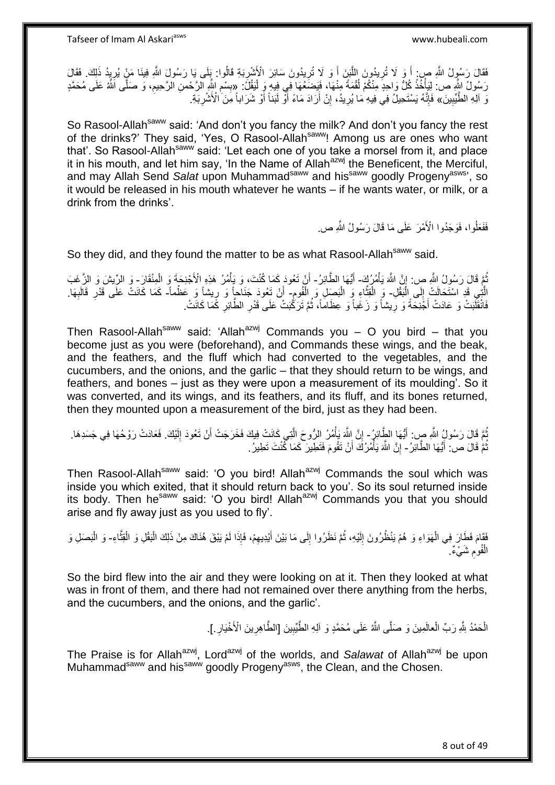فَقَالَ رَسُولُ اللَّهِ صِن أَ وَ لَا تُرِيدُونَ اللَّذِنَ أَ وَ لَا تُرِيدُونَ سَائِرَ الْأَشْرِبَةِ قَالُوا: بِلَى يَا رَسُولَ اللَّهِ فِينَا مَنْ يُرِيِدُ ذَلِكَ. فَقَالَ **∶** َ ه **∶** َ ِ ِ رَسُولُ اللَّهِ ص: لِلَيَأْخُذْ كُلُّ وَاحِدَ مِنْكُمْ لُقْمَةً مِنْهَا، فَيَضَعُهَا فِي فِيهِ وَ لَيَقُلَّ: «بِسْمِ اللَّهِ الرَّحْمنِ الرَّحِيمِ، وَ صَلَّى اللَّهُ عَلَى مُحَمَّدٍ ْ ا<br>ا ْ .<br>أ ِ ِ ِ نَ آلِهِ الطَّيِّبِينَ» فَإِنَّهُ يَسْتَحِيلُ فِي فِيهِ مَا يُرِيدُ، إِنْ أَرَادَ مَاءً أَوَّ لَبَناً أَوْ شَرَاباً مِنَ الْأَشْرِيَةِ **!** ِ َ َ ِ ِ ِ

So Rasool-Allah<sup>saww</sup> said: 'And don't you fancy the milk? And don't you fancy the rest of the drinks?' They said, 'Yes, O Rasool-Allah<sup>saww</sup>! Among us are ones who want that'. So Rasool-Allah<sup>saww</sup> said: 'Let each one of you take a morsel from it, and place it in his mouth, and let him say, 'In the Name of Allah $^{a}$ zwj the Beneficent, the Merciful, and may Allah Send Salat upon Muhammad<sup>saww</sup> and his<sup>saww</sup> goodly Progeny<sup>asws</sup>', so it would be released in his mouth whatever he wants – if he wants water, or milk, or a drink from the drinks'.

فَفَعَلُوا، فَوَجَدُوا الْأَمْرَ عَلَى مَا قَالَ رَسُولُ اللَّهِ صِ

So they did, and they found the matter to be as what Rasool-Allah<sup>saww</sup> said.

نُمَّ قَالَ رَسُولُ اللَّهِ صِ: إِنَّ اللَّهَ يَأْمُرُكَ - أَيُّهَا الطَّائِرُ - أَنْ تَعُودَ كَمَا كُنْتَ، وَ يَأْمُرُ هَذِهِ الْأَجْذِحَةَ وَ الْمِنْقَارَ - وَ الرِّيشَ وَ الزَّغَبَ ْ ِ ا<br>أ الَّتِي قَدِ اسْتَحَالَتْ إِلَى الْبَقْلِ- وَ الْقِتَّاءِ وَ الْبَصِلِ وَ الْفُومِ- أَنْ تَعُودَ جَنَاحاً وَ رِيشاً وَ عَظْماً- كَمَا كَانَتْ عَلَى قَدْرِ قَالَبِهَا. :<br>ا  $\frac{1}{2}$ ِ ْ ْ ه ِ َ ِ ِ فَانْقَلَّبَتْ وَ عَادَتْ أَجْنِحَةً وَ رِيشاً وَ زَغَباً وَ عِظَاماً، ثُمَّ تَرَكَّبَتْ عَلَى قَدْرِ الطَّائِرِ كَمَا كَانَتْ. **∶** َ **∶ ∶** ُ

Then Rasool-Allah<sup>saww</sup> said: 'Allah<sup>azwj</sup> Commands you – O you bird – that you become just as you were (beforehand), and Commands these wings, and the beak, and the feathers, and the fluff which had converted to the vegetables, and the cucumbers, and the onions, and the garlic – that they should return to be wings, and feathers, and bones – just as they were upon a measurement of its moulding'. So it was converted, and its wings, and its feathers, and its fluff, and its bones returned, then they mounted upon a measurement of the bird, just as they had been.

ثُمَّ قَالَ رَسُولٍُ اللَّهِ صِ: أَيُّهَا الطَّائِرُ - إِنَّ اللَّهَ بَأْمُرُ الرُّوحَ الَّتِي كَانَتْ فِيكَ فَخَرَجَتْ أَنْ تَعُودَ إِلَيْكَ. فَعَادَتْ رَوْحُهَا فِي جَسَدِهَا. َ ُ لَ ِ َ ه ْ ِ ثُمَّ قَالَ ص! ۖ أَيُّهَا الطَّاَئِرُ - ۚ إِنَّ اللَّهَ يَأْمُرُكَ ۖ أَنْ نَقُومَ فَتَطِّيرَ ۚ كَمَا كَّنْتَ تَطِيرُ ۖ. َ ُ َ ْ ِ

Then Rasool-Allah<sup>saww</sup> said: 'O you bird! Allah<sup>azwj</sup> Commands the soul which was inside you which exited, that it should return back to you'. So its soul returned inside its body. Then he<sup>saww</sup> said: 'O you bird! Allah<sup>azwj</sup> Commands you that you should arise and fly away just as you used to fly'.

ْفَقَامَ فَطَارَ فِي الْهَوَاءِ وَ هُمْ يَنْظُرُونَ إِلَيْهِ، ثُمَّ نَظَرُوا إِلَى مَا بَيْنَ أَيْدِيهِمْ، فَإِذَا لَمْ يَبْقَ هُنَاكَ مِنْ ذَلِكَ الْبَقْلِ وَ الْقِتَّاءِ- وَ الْبَصَلِ وَ ِ َ ِ ان<br>المقام المقام المقام المقام المقام المقام المقام المقام المقام المقام المقام المقام المقام المقام المقام المقا لَ  $\frac{1}{2}$ ْ ه ْ ْ الْفُوم شَيْءٌ. ِ ْ

So the bird flew into the air and they were looking on at it. Then they looked at what was in front of them, and there had not remained over there anything from the herbs, and the cucumbers, and the onions, and the garlic'.

> الْحَمْدُ لِلَّهِ رَبِّ الْعالَمِينَ وَ صَلَّى اللَّهُ عَلَى مُحَمَّدٍ وَ آلِهِ الطَّّيِّبِينَ [الطَّاهِرِينَ الْأَخْيَارِ .]. ْ ِ ِ **!**

The Praise is for Allah<sup>azwj</sup>, Lord<sup>azwj</sup> of the worlds, and *Salawat* of Allah<sup>azwj</sup> be upon Muhammad<sup>saww</sup> and his<sup>saww</sup> goodly Progeny<sup>asws</sup>, the Clean, and the Chosen.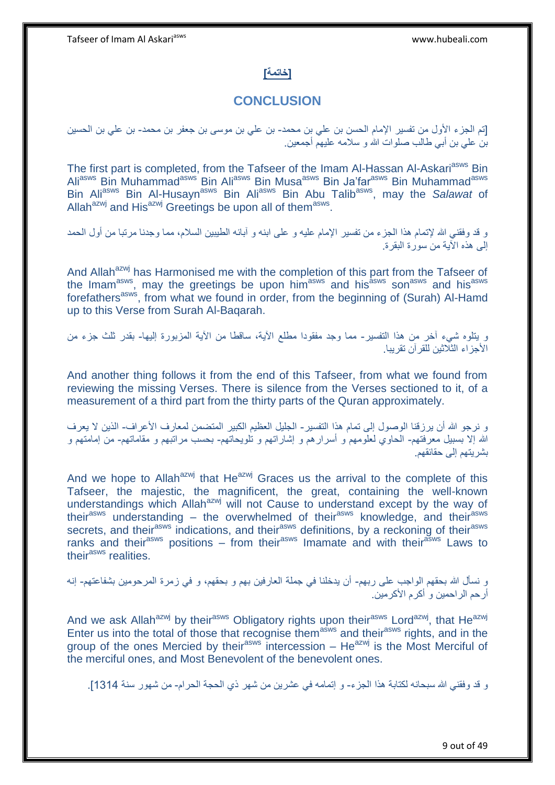### **]خاتمة[**

## **CONCLUSION**

]تم الجزء اْلول من تفسير اإلمام الحسن بن علي بن محمد- بن علي بن موسى بن جعفر بن محمد- بن علي بن الحسين بن علي بن أبي طالب صلوات َّللا و سَلمه عليهم أجمعين.

The first part is completed, from the Tafseer of the Imam Al-Hassan Al-Askari<sup>asws</sup> Bin Ali<sup>asws</sup> Bin Muhammad<sup>asws</sup> Bin Ali<sup>asws</sup> Bin Musa<sup>asws</sup> Bin Ja'far<sup>asws</sup> Bin Muhammad<sup>asws</sup> Bin Ali<sup>asws</sup> Bin Al-Husayn<sup>asws</sup> Bin Ali<sup>asws</sup> Bin Abu Talib<sup>asws</sup>, may the Salawat of Allah<sup>azwj</sup> and His<sup>azwj</sup> Greetings be upon all of them<sup>asws</sup>.

و قد وفقني َّللا إلتمام هذا الجزء من تفسير اإلمام عليه و على ابنه و آبائه الطيبين السَلم، مما وجدنا مرتبا من أول الحمد إلى هذه اْلية من سورة البقرة.

And Allah<sup>azwj</sup> has Harmonised me with the completion of this part from the Tafseer of the Imam<sup>asws</sup>, may the greetings be upon him<sup>asws</sup> and his<sup>asws</sup> son<sup>asws</sup> and hisasws forefathers<sup>asws</sup>, from what we found in order, from the beginning of (Surah) Al-Hamd up to this Verse from Surah Al-Baqarah.

و يتلوه شيء آخر من هذا التفسير- مما وجد مفقودا مطلع اْلية، ساقطا من اْلية المزبورة إليها- بقدر ثلث جزء من اْلجزاء الثَلثين للقرآن تقريبا.

And another thing follows it from the end of this Tafseer, from what we found from reviewing the missing Verses. There is silence from the Verses sectioned to it, of a measurement of a third part from the thirty parts of the Quran approximately.

و نرجو َّللا أن يرزقنا الوصول إلى تمام هذا التفسير- الجليل العظيم الكبير المتضمن لمعارف اْلعراف- الذين َّل يعرف َّللا إَّل بسبيل معرفتهم- الحاو، لعلومهم و أسرارهم و إشاراتهم و تلويحاتهم- بحسب مراتبهم و مقاماتهم- من إمامتهم و بشريتهم إلى حقائقهم.

And we hope to Allah<sup>azwj</sup> that He<sup>azwj</sup> Graces us the arrival to the complete of this Tafseer, the majestic, the magnificent, the great, containing the well-known understandings which Allah<sup>azwj</sup> will not Cause to understand except by the way of their<sup>asws</sup> understanding – the overwhelmed of their<sup>asws</sup> knowledge, and their<sup>asws</sup> secrets, and their<sup>asws</sup> indications, and their<sup>asws</sup> definitions, by a reckoning of their<sup>asws</sup> ranks and their<sup>asws</sup> positions – from their<sup>asws</sup> Imamate and with their<sup>asws</sup> Laws to their<sup>asws</sup> realities.

و نسأل َّللا بحقهم الواجب على ربهم- أن يدخلنا في جملة العارفين بهم و بحقهم، و في زمرة المرحومين بشفاعتهم- إنه أرحم الراحمين و أكرم اْلكرمين.

And we ask Allah<sup>azwj</sup> by their<sup>asws</sup> Obligatory rights upon their<sup>asws</sup> Lord<sup>azwj</sup>, that He<sup>azwj</sup> Enter us into the total of those that recognise them<sup>asws</sup> and their<sup>asws</sup> rights, and in the group of the ones Mercied by their<sup>asws</sup> intercession  $-$  He<sup>azwj</sup> is the Most Merciful of the merciful ones, and Most Benevolent of the benevolent ones.

و قد وفقني الله سبحانه لكتابة هذا الجزء- و إتمامه في عشرين من شهر ذي الحجة الحرام- من شهور سنة 1314].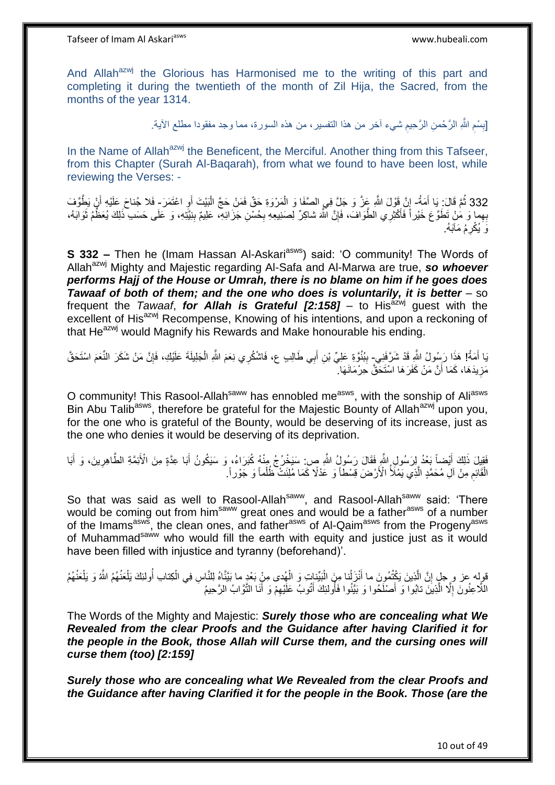And Allah<sup>azwj</sup> the Glorious has Harmonised me to the writing of this part and completing it during the twentieth of the month of Zil Hija, the Sacred, from the months of the year 1314.

> ِ [بِسْمِ اللَّهِ الرَّحْمنِ الرَّحِيمِ شيء آخر من هذا التفسير، من هذه السورة، مما وجد مفقودا مطلع الأية. ِ ِ

In the Name of Allah<sup>azwj</sup> the Beneficent, the Merciful. Another thing from this Tafseer, from this Chapter (Surah Al-Baqarah), from what we found to have been lost, while reviewing the Verses: -

332 ثُمَّ قَالَ: يَا أَمَةُ- إِنَّ قَوْلَ اللَّهِ عَذَّ وَ جَلَّ فِي الصَّفَا وَ الْمَرْوَةِ حَقٌّ فَمَنْ حَجَّ الْبَيْتَ أَوِ اعْتَمَرَ- فَلا جُناحَ عَلَيْهِ أَنْ يَطِّوَّفَ َ َ ْ ْ ِ َ بِهِما وَ مُنْ نَطَوَّع خَيْراً فَأَكْثِرِي الطَّوَافَ، فَإِنَّ اللَّهَ شاكِرٌ لِصَنِيعِهِ بِحُسْنِ جَزَائِهِ، عَلِيمٌ بِنِيَّتِهِ، وَ عَلَى حَسَب ذَلِكَ يُعَظُّمُ ثَوَابَهُ، َ ِ ِ ِ َ وَ يُكْرِمُ مَآبَهُ. ِ

**S 332 -** Then he (Imam Hassan Al-Askari<sup>asws</sup>) said: 'O community! The Words of Allah<sup>azwj</sup> Mighty and Majestic regarding Al-Safa and Al-Marwa are true, so whoever *performs Hajj of the House or Umrah, there is no blame on him if he goes does Tawaaf of both of them; and the one who does is voluntarily, it is better* – so frequent the *Tawaaf*, *for Allah is Grateful [2:158]* – to His<sup>azwj</sup> guest with the excellent of His<sup>azwj</sup> Recompense, Knowing of his intentions, and upon a reckoning of that He<sup>azwj</sup> would Magnify his Rewards and Make honourable his ending.

يَا أَمَةُ! هَذَا رَسُولُ النَّهِ قَدْ شَرَّفَنِي بِبُنُوَّةِ عَلِيِّ بْنِ أَبِي طَالِبٍ ع، فَاشْكُرِي نِعَمَ النَّهِ الْمَجْلِيلَةَ عَلَيْكِ، فَإِنَّ مَنْ شَكَرَ النِّعَمَ اسْتَحَقَّ َ َ ِ ْ مَزِيدَهَا، كَمَا أَنَّ مَنْ كَفَرَهَا اسْتَحَقُّ حِرْمَانَهَا. اً **∶** 

O community! This Rasool-Allah<sup>saww</sup> has ennobled me<sup>asws</sup>, with the sonship of Ali<sup>asws</sup> Bin Abu Talib<sup>asws</sup>, therefore be grateful for the Majestic Bounty of Allah<sup>azwj</sup> upon you, for the one who is grateful of the Bounty, would be deserving of its increase, just as the one who denies it would be deserving of its deprivation.

فَقِيلَ ذَلِكَ أَيْضاً بَعْدُ لِرَسُولِ اللَّهِ فَقَالَ رَسُولُ اللَّهِ صٍ سَيَخْرُجُ مِنْهُ كُبَرَاءُ، وَ سَيَكُونُ أَبَا عِدَّةٍ مِنَ الْأَئِمَّةِ الطَّاهِرِينَ، وَ أَبَا َ َ ِ َ الْقَائِمِ مِنْ آلِّ مُحَمَّدٍ الَّذِي يَمْلَأُ الْأَرْضَ قِسْطاً وَ عَدْلًا كَمَا مُلِئَتْ ظُلُماً وَ جَوْراً ه ِ ْ ْ

So that was said as well to Rasool-Allah<sup>saww</sup>, and Rasool-Allah<sup>saww</sup> said: 'There would be coming out from him<sup>saww</sup> great ones and would be a father<sup>asws</sup> of a number of the Imams<sup>asws</sup>, the clean ones, and father<sup>asws</sup> of Al-Qaim<sup>asws</sup> from the Progeny<sup>asws</sup> of Muhammad<sup>saww</sup> who would fill the earth with equity and justice just as it would have been filled with injustice and tyranny (beforehand)'.

ؚ<br>ا قولِه عز و حِلٍ إِنَّ الَّذِينَ يَكْتُمُونَ ما أَنْزَلْنا مِنَ الْبَيِّناتِ وَ الْهُدى مِنْ بَحْدٍ ما بَيَّنَّاهُ لِلنَّاسِ فِي الْكِتابِ أُولئِكَ يَلْعَنُهُمُ اللَّهُ وَ يَلْعَنُهُمُ ْ ْ َ ه ِ ْ ْ ْ اُ اللَّاعِنُونَ إِلَّا الَّذِينَ تابُوا وَ أَصْلَحُوا وَ بَيَّنُوا فَأُولَٰئِكَ أَتُوبُ عَلَيْهِمْ وَ أَنَا النَّوَّابُ الرَّحِيمُ َ ِ َ ر<br>ا َ ه ِ

The Words of the Mighty and Majestic: *Surely those who are concealing what We Revealed from the clear Proofs and the Guidance after having Clarified it for the people in the Book, those Allah will Curse them, and the cursing ones will curse them (too) [2:159]* 

*Surely those who are concealing what We Revealed from the clear Proofs and the Guidance after having Clarified it for the people in the Book. Those (are the*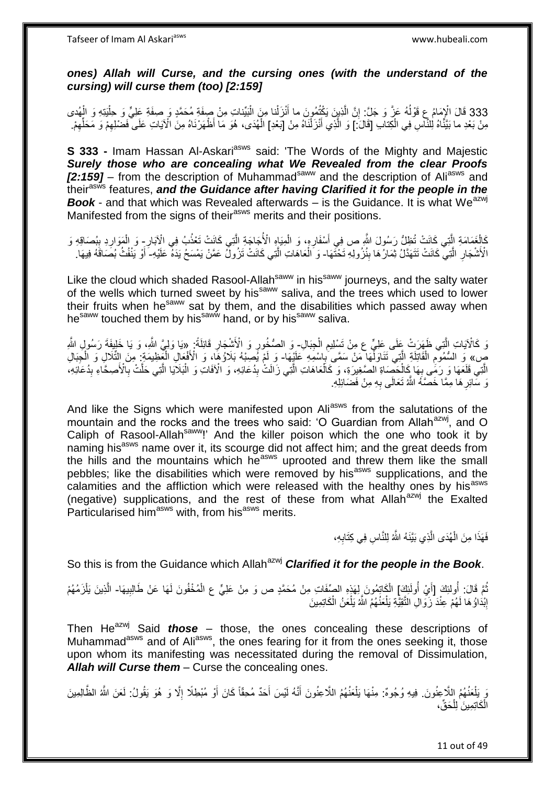Tafseer of Imam Al Askariasws www.hubeali.com

### *ones) Allah will Curse, and the cursing ones (with the understand of the cursing) will curse them (too) [2:159]*

333 قَالَ الْإِمَامُ عِ قَوْلُهُ عَنَّ وَ جَلَّ: إِنَّ الَّذِينَ يَكُْتُمُونَ ما أَنْزَلْنا مِنَ الْبَيِّناتِ مِنْ صِفَةٍ مُحَمَّدٍ وَ صِفَةٍ عَلِيٍّ وَ حِلْيَتِهِ وَ الْهُدى ْ ْ **المناسب** َ ه יֲ<br>י ا<br>ا مِنْ بَعْدِ ما بَيَّنَّاهُ لِلنَّاسِ فِي الْكِتابِ [قَالَ: ] وَ الَّذِي أَنْزَلْنَاهُ مِنْ [بَعْدِ] الْهُدَى، هُوَ مَا أَظْهَرْنَاهُ مِنَ الْآيَاتِ عَلَى فَضْلِهِمْ وَ مَحَلِّهِمْ. ْ ْ ْ ِ ِّ ِ

**S 333 - Imam Hassan Al-Askari<sup>asws</sup> said: 'The Words of the Mighty and Majestic** *Surely those who are concealing what We Revealed from the clear Proofs [2:159]* – from the description of Muhammad<sup>saww</sup> and the description of Ali<sup>asws</sup> and their<sup>asws</sup> features, and the Guidance after having Clarified it for the people in the **Book** - and that which was Revealed afterwards – is the Guidance. It is what We<sup>azwj</sup> Manifested from the signs of their<sup>asws</sup> merits and their positions.

كَالْغَمَامَةِ الَّذِي كَانَتْ تُظِلُّ رَسُولَ الثَّهِ ص فِي أَسْفَارِهِ، وَ الْمِيَاهِ الْأُجَاجَةِ الَّذِي كَانَتْ تَعْذُبُ فِي الْآبَارِ- وَ الْمَوَارِدِ بِبُصَاقِهِ وَ ه ْ **∶** اُ، ه ْ ِ ِ ِ الْأَشْجَارِ الَّتِي كَانَتْ تَتَهَدَّلُ ثِمَارٌ هَا بِنُزُولِهِ تَخْتَهَا- وَ الْعَاهَاتِ الَّتِي كَانَتْ تَزُولُ عَمَّنْ يَمْسَحُ يَدَهُ عَلَيْهِ- أَوْ يَنْفُثُ بُصَاقَهُ فِيهَا. ه ِ **∣** ه ْ َ

Like the cloud which shaded Rasool-Allah<sup>saww</sup> in his<sup>saww</sup> journeys, and the salty water of the wells which turned sweet by his<sup>saww</sup> saliva, and the trees which used to lower their fruits when he<sup>saww</sup> sat by them, and the disabilities which passed away when hesaww touched them by hissaww hand, or by hissaww saliva.

رَ كَالْآيَاتِ الَّذِي ظَهَرَتْ عِلَى عِلمٍّ ع مِنْ تَسْلِيمِ الْجِبَالِ- وَ الصُّخُورِ وَ الْأَشْجَارِ قَائِلَةً: «يَا وَلِيَّ اللَّهِ، وَ يَا خَلِيفَةَ رَسُولِ اللَّهِ ْ ِ ه ِ ֢֧֦֧֦֧֦֧֦֚ صٍ» وَ السُّمُومِ الْقَاتِلَةِ الَّتِي نَتَاوَلِّهَا مَنْ سَمَّى بِاسْمِهِ عَلَيْهَا- وَ لَمْ يُصِبْهُ بَلَاؤُهَا) وَ الْأَفْعَالِ الْغَظِيمَةِ ۚ مِنَ التِّلَالِ وَ الْخِبَالِ ْ ْ ْ ِ ه ْ ِ ْ الَّتِي قَلَعَهَا وَ رَمَّى بِهَا كَالْحَصَاةِ الصَّغِيرَةِ، وَ كَالْعَاهَاتِ الَّتِي زَالَتْ بِدُعَائِهِ، وَ الْآفَاتِ وَ الْبَلَايَا الَّتِي حَلَّتْ بِالْأَصِحَّاءِ بِدُعَائِهِ، ِ ه ْ ْ ِ ِ ِ ه نَ سَّائِرِ هَا مِمَّا خَصَّهُ اللَّهُ تَعَالَى بِهِ مِنْ فَضَائِلِهِ. ِ ِ

And like the Signs which were manifested upon Ali<sup>asws</sup> from the salutations of the mountain and the rocks and the trees who said: 'O Guardian from Allah $a^{2}$ , and O Caliph of Rasool-Allah<sup>saww</sup>!' And the killer poison which the one who took it by naming his<sup>asws</sup> name over it, its scourge did not affect him; and the great deeds from the hills and the mountains which he<sup>asws</sup> uprooted and threw them like the small pebbles; like the disabilities which were removed by his<sup>asws</sup> supplications, and the calamities and the affliction which were released with the healthy ones by his<sup>asws</sup> (negative) supplications, and the rest of these from what Allan<sup>azwj</sup> the Exalted Particularised him<sup>asws</sup> with, from his<sup>asws</sup> merits.

> فَهَذَا مِنَ الْهُدَى الَّذِي بَيَّنَهُ اللَّهُ لِلنَّاسِ فِي كِتَابِهِ، ْ ِ ه

So this is from the Guidance which Allah<sup>azwj</sup> **Clarified it for the people in the Book**.

نُّمَّ قَالَ: أُولَٰئِكَ [أَيْ أُولَٰئِكَ] الْكَاتِمُونَ لِهَذٍهِ الصِّفَاتِ مِنْ مُحَمَّدٍ ص وَ مِنْ عَلِيٍّ ع الْمُخْفُونَ لَهَا عَنْ طَالِبِيهَا- الَّذِينَ يَلْزَمُهُمْ ُ َ ِ ْ ْ ه إِنْدَاؤُ هَا لَهُمْ عِنْدَ زَوَالِ التَّقِيَّةِ يَلْعَنُهُمُ اللَّهُ يَلْعَنُ الْكَاتِمِينَ ْ <u>֖֚֚֚֓</u> ْ ْ

Then He<sup>azwj</sup> Said *those –* those, the ones concealing these descriptions of Muhammad<sup>asws</sup> and of Ali<sup>asws</sup>, the ones fearing for it from the ones seeking it, those upon whom its manifesting was necessitated during the removal of Dissimulation, *Allah will Curse them* – Curse the concealing ones.

وَ يَلْعَنُهُمُ اللَّاعِنُونَ. فِيهِ وُجُوهٌ: مِنْهَا يَلْعَنُهُمُ اللَّاعِنُونَ أَنَّهُ لَيْسَ أَحَدٌ مُحِقّاً كَانَ أَوْ مُبْطِلًا إِلَّا وَ هُوَ يَقُولُ: لَعَنَ اللَّهُ الظَّالِمِينَ ْ ِ َ َ َ الْكَاتِمِينَ لِلْحَقِّ، ْ ْ

11 out of 49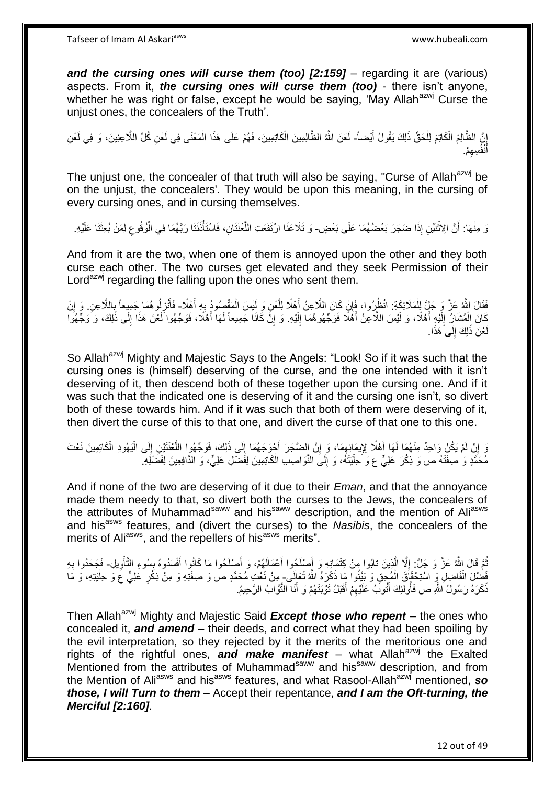**and the cursing ones will curse them (too) [2:159]** – regarding it are (various) aspects. From it, *the cursing ones will curse them (too)* - there isn't anyone, whether he was right or false, except he would be saying, 'May Allah<sup>azwj</sup> Curse the unjust ones, the concealers of the Truth'.

إِنَّ الظَّالِمَ الْكَاتِمَ لِلْحَقِّ ذَلِكَ يَقُولُ أَيْضاً- لَعَنَ اللَّهُ الظَّالِمِينَ الْكَاتِمِينَ، فَهُمْ عَلَى هَذَا الْمَعْنَى فِي لَعْنِ كُلِّ اللَّاعِنِينَ، وَ فِي لَعْنِ َ ْ ْ ِ ْ ْ لَ أَنْفُسِهِمْ. ِ َ

The unjust one, the concealer of that truth will also be saying, "Curse of Allah<sup>azwj</sup> be on the unjust, the concealers'. They would be upon this meaning, in the cursing of every cursing ones, and in cursing themselves.

نَ مِنْهَا: أَنَّ الِاثْنَيْنِ إِذَا ضَجَرَ بَعْضُهُمَا عَلَى بَعْضٍ- وَ تَلَاعَنَا ارْتَفَعَتِ اللَّعْنَتَانِ، فَاسْتَأْذَنَنَا رَبَّهُمَا فِي الْوُثُوعِ لِمَنْ بُعِثَتَا عَلَيْهِ. ْ َ َ ِ ْ ْ ه

And from it are the two, when one of them is annoyed upon the other and they both curse each other. The two curses get elevated and they seek Permission of their Lord<sup>azwj</sup> regarding the falling upon the ones who sent them.

ِ فَقَالَ اللَّهُ عَزَّ وَ جَلٍّ لِلْمَلَائِكَةِ: انْظُرُوا، فَإِنْ كَانَ اللَّاعِنُ أَهْلًا لِلَّعْنِ وَ لَيْسَ الْمَقْصِمُودُ بِهِ أَهْلًا- فَأَنْزِلُوهُمَا جَمِيعاً بِاللَّاعِنِ. وَ إِنْ ْ ه َ ا ْ َ ِ ِ َ ِ كَانَ اِلْمُشَارُ إِلَيْهِ أَهْلًا، وَ لَيْسَ اللَّاعِنُ أَهْلًا فَوَجّهُوهُمَا إِلَيْهِ. وَ إِنَّ كَانَا جَمِيعاً لَهَا أَهْلًا، فَوَجّهُوا لَعْنَ هَذَا إِلَى ذَلِكَ، وَ وَجّهُوا لَ ِ َ َ لَ  $\frac{1}{2}$ ْ ِ َ لَ ِ مْنَ ذَلِكَ إِلَى َهَذَا.  $\frac{1}{2}$ لَ

So Allah<sup>azwj</sup> Mighty and Majestic Says to the Angels: "Look! So if it was such that the cursing ones is (himself) deserving of the curse, and the one intended with it isn't deserving of it, then descend both of these together upon the cursing one. And if it was such that the indicated one is deserving of it and the cursing one isn't, so divert both of these towards him. And if it was such that both of them were deserving of it, then divert the curse of this to that one, and divert the curse of that one to this one.

وَ إِنْ لَمْ يَكُنْ وَاحِدٌ مِنْهُمَا لَهَا أَهْلًا لِإِيمَانِهِمَا، وَ إِنَّ الضَّجَرَ أَحْوَجَهُمَا إِلَى ذَلِكَ، فَوَجّهُوا اللَّعْنَتَيْنِ إِلَى الْيَهُودِ الْكَاتِمِينَ نَعْتَ ِ ْ ِ ه ِ َ ِ  $\zeta$ َ ْ مُحَمَّدٍ وَ صِفَنَهُ ص وَ ذِكْرَ عَلِيٍّ ع وَ حِلْيَنَهُ، وَ إِلَى النَّوَاصِدِ الْكَاتِمِينَ لِفَضْلِ عَلِيٍّ، وَ الدَّافِعِينَ لِفَضْلَهِ. ْ  $\frac{1}{2}$ :<br>إ

And if none of the two are deserving of it due to their *Eman*, and that the annoyance made them needy to that, so divert both the curses to the Jews, the concealers of the attributes of Muhammad<sup>saww</sup> and his<sup>saww</sup> description, and the mention of Aliasws and his<sup>asws</sup> features, and (divert the curses) to the *Nasibis*, the concealers of the merits of Ali<sup>asws</sup>, and the repellers of his<sup>asws</sup> merits".

ُمَّ قَالَ اللَّهُ عَزَّ وَ جَلَّ: إِلَّا الَّذِينَ تابُوا مِنْ كِثْمَانِهِ وَ أَصْلَحُوا أَعْمَالَهُمْ، وَ أَصْلَحُوا مَا كَانُوا أَفْسَدُوهُ بِسُوءِ التَّأْوِيلِ- فَجَحَدُوا بِهِ ه ِ ِ ْ ¦ َ َ َ ِ فَضْلَ الْفَاضِلِ وَ اسْتِحْقَاقَ الْمُجِقِ وَ بَيِّنُوا مَا ذَكَرَهُ اللَّهُ تَعَالَى- مِنْ نَعْتِ مُحَمَّدٍ ص وَ صفَتِهِ وَ مِنْ ذِكْرِ عَلِيٍّ عَ وَ حِلْيَتِهِ، وَ مَا<br>يَجْمَعُكُمْ الْفَاضِلِ وَ اسْتِحْقَاقَ الْمُجِقِ ْ **∶** ْ ذَكَرَهُ رَسُولُ اللَّهِ ص فَأُولئِكَ أَتُوبَ عَلَيْهِمْ أَقْبَلُ تَوْبَتَهُمْ وَ أَنَا النَّوَّابُ الرَّحِيمُ. َ ُ َ

Then Allah<sup>azwj</sup> Mighty and Majestic Said *Except those who repent* – the ones who concealed it, *and amend* – their deeds, and correct what they had been spoiling by the evil interpretation, so they rejected by it the merits of the meritorious one and rights of the rightful ones, and make manifest – what Allah<sup>azwj</sup> the Exalted Mentioned from the attributes of Muhammad<sup>saww</sup> and his<sup>saww</sup> description, and from the Mention of Ali<sup>asws</sup> and his<sup>asws</sup> features, and what Rasool-Allah<sup>azwj</sup> mentioned, so *those, I will Turn to them* – Accept their repentance, *and I am the Oft-turning, the Merciful [2:160]*.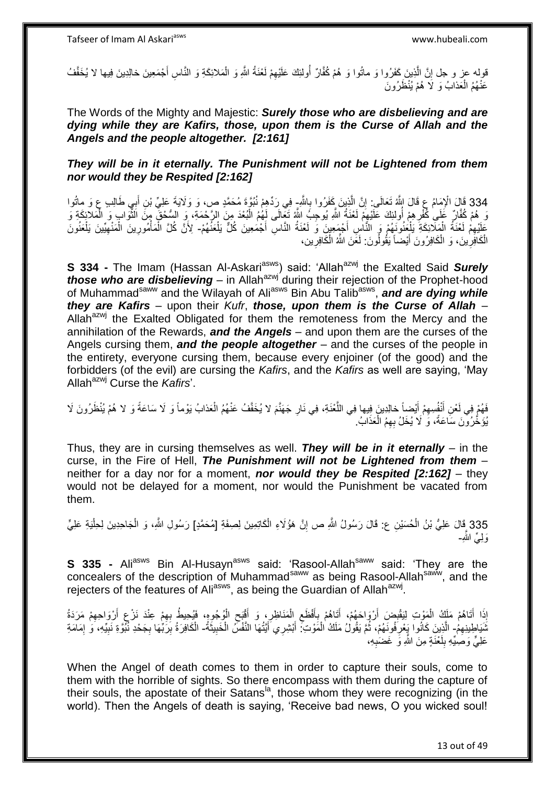هقوله عز و جل إِنَّ الَّذِينَ كَفَرُوا وَ ماتُوا وَ هُمْ كُفَّارٌ أُولئِكَ عَلَيْهِمْ لَغْنَةُ الثَّهِ وَ الْمَلائِكَةِ وَ النَّاسِ أَجْمَعِينَ خالِدِينَ فِيها لا يُخَفَّفُ ِ َ ْ ِ ُ عَنْهُمُ الْعَذابُ وَ لَا هُمْ يُنْظَرُونَ ْ

The Words of the Mighty and Majestic: *Surely those who are disbelieving and are dying while they are Kafirs, those, upon them is the Curse of Allah and the Angels and the people altogether. [2:161]*

### *They will be in it eternally. The Punishment will not be Lightened from them nor would they be Respited [2:162]*

334 قَالَ الْإِمَامُ عِ قَالَ اللَّهُ تَعَالَى: إِنَّ الَّذِينَ كَفَرُوا بِاللَّهِ فِي رَدِّهِمْ نُنُوَّةٍ مُحَمَّدٍ ص، وَ وَلَايَةَ عَلِيِّ بْنِ أَبِي طَالِبٍ عِ وَ ماتُوا<br>وَيَا الْإِمَامُ عَلَيْهِ الْإِمَامُ عَلَيْهِ بِ ∶<br>∶ َ ِ ه ِ وَ هُمْ كُفَّارٍ ۚ عَمَىٰ كُفْرِ هِمْ أُولِئِكَ عَلَيْهِمْ لَعْنَةُ اللَّهِ يُوجِبُ اللَّهُ تَعَالَى لَهُمُ الْبُعْدَ مِنَ الرَّحْمَةِ، وِ السُّحْقَ مِنَّ الْثُّوَابِ وَ الْمَلاَئِكَةِ وَ **∶** ِ ْ .<br>ا جَلِّيْهِمْ لَعْنَةُ الْمَلَّائِكَةَ يَلْجِنُونَهُمْ وَ النَّاسِ أَجْمَعِينَ وَ لَعْنَةُ النَّاسِ أَجْمَعِينَ كُلٌّ يَلْعَنُهُمْ- لِأَنَّ كُلَّ الْمَاْمُورِينَ الْمَنْهِيِّينَ يَلْعَنُونَ ْ ْ ِ ْ َ ِ ْ ِ **ٔ** ْ ْ الْكَافِرِٰينَ، وَ الْكَافِرُونَ أَيْضاً يَقُولُونَ: لَعَنَ اللَّهُ الْكَافِرِين، **∶** ْ َ ْ ِ ْ

**S 334 -** The Imam (Hassan Al-Askari<sup>asws</sup>) said: 'Allah<sup>azwj</sup> the Exalted Said Surely *those who are disbelieving* – in Allah<sup>azwj</sup> during their rejection of the Prophet-hood of Muhammad<sup>saww</sup> and the Wilayah of Ali<sup>asws</sup> Bin Abu Talib<sup>asws</sup>, and are dying while *they are Kafirs* – upon their *Kufr*, *those, upon them is the Curse of Allah* – Allah $a^{2}$  the Exalted Obligated for them the remoteness from the Mercy and the annihilation of the Rewards, *and the Angels* – and upon them are the curses of the Angels cursing them, *and the people altogether* – and the curses of the people in the entirety, everyone cursing them, because every enjoiner (of the good) and the forbidders (of the evil) are cursing the *Kafirs*, and the *Kafirs* as well are saying, 'May Allah<sup>azwj</sup> Curse the *Kafirs'*.

### فَهُمْ فِي لَعْنِ أَنْفُسِهِمْ أَيْضِاً خالِدِينَ فِيها فِي اللَّعْنَةِ، فِي نَارِ جَهَنَّمَ لا يُخَفَّفُ عَنْهُمُ الْعَذابُ يَوْماً وَ لَا سَاعَةً وَ لا هُمْ يُنْظَرُونَ لَا ِ ه َ ِ َ ْ يُؤَخَّرُونَ سَاعَةً، وَ لَا يُخَلُ بِهِمُ الْعَذَابُ. ْ

Thus, they are in cursing themselves as well. *They will be in it eternally* – in the curse, in the Fire of Hell, *The Punishment will not be Lightened from them* – neither for a day nor for a moment, *nor would they be Respited [2:162]* – they would not be delayed for a moment, nor would the Punishment be vacated from them.

335 قَالَ عَلِيُّ بْنُ الْحُسَيْنِ ع: قَالَ رَسُولُ اللَّهِ ص إِنَّ هَؤُلَاءِ الْكَاتِمِينَ لِصِفَةِ [مُحَمَّدٍ] رَسُولِ اللَّهِ، وَ الْجَاحِدِينَ لِحِلْيَةِ عَلِيٍّ ْ ْ ِ ْ وَ لِّيِّ اللَّهِ-

**S 335 -** Ali<sup>asws</sup> Bin Al-Husayn<sup>asws</sup> said: 'Rasool-Allah<sup>saww</sup> said: 'They are the concealers of the description of Muhammad<sup>saww</sup> as being Rasool-Allah<sup>saww</sup>, and the rejecters of the features of Ali<sup>asws</sup>, as being the Guardian of Allah<sup>azwj</sup>.

إِذَا أَتَاهُمْ مَلَكُ الْمَوْتِ لِيَقْبِضَ أَرْوَاحَهُمْ، أَتَاهُمْ بِأَفْظَعِ الْمَنَاظِرِ، وَ أَقْبَحِ الْوُجُوهِ، فَيُحِيطُ بِهِمْ عِنْدَ نَرْعِ أَرْوَاحِهِمْ مَرَدَةُ َ ِ ْ ِ َ ِ ْ ِ َ ِ َ ِ ْ َ ِ ِ ثَنَيَاطِنِنِهِمُ - الَّذِينَ كَانُوا يَعْرِفُونَهُمْ، ثُمَّ يَقُولُ مَلَكُ الْمَوْتِ؟ أَبْشِرِي أَيَّتُهَا النَّفْسُ الْخَبِيثَةُ- الْكَافِرَةُ بِرَبِّهَا بِجَحْدِ نُبُّوَةِ نَبِيِّهِ، وَ إِمَامَةِ ْ ្ញ ِ ه َ ِ ْ َ ן<br>יִ ِ ِ ِ ْ عَلِيٍّ وَصَلِّيْهِ بِلَعْذَةٍ مِنَ اللَّهِ وَ غَضْبِهِ، لَ ِ ِ

When the Angel of death comes to them in order to capture their souls, come to them with the horrible of sights. So there encompass with them during the capture of their souls, the apostate of their Satans<sup> $a$ </sup>, those whom they were recognizing (in the world). Then the Angels of death is saying, 'Receive bad news, O you wicked soul!

13 out of 49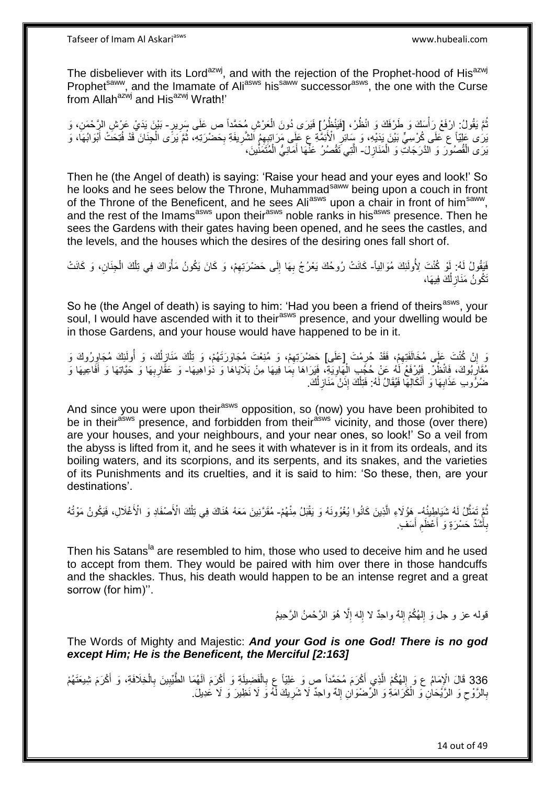Tafseer of Imam Al Askariasws www.hubeali.com

The disbeliever with its Lord<sup>azwj</sup>, and with the rejection of the Prophet-hood of His<sup>azwj</sup> Prophet<sup>saww</sup>, and the Imamate of Ali<sup>asws</sup> his<sup>saww</sup> successor<sup>asws</sup>, the one with the Curse from Allah<sup>azwj</sup> and His<sup>azwj</sup> Wrath!'

نُّمَّ يَقُولُ: إِرْفَعْ رَأْسَكَ وَ طَرْفَكَ وَ انْظُرْ، [فَيَنْظُرُ] فَيَرَى دُونَ الْعَرْشِ مُحَمَّداً ص عَلَى سِرِيرٍ- بَيْنَ يَدَيْ عَرْشِ الرِّحْمَنِ، وَ ِ ْ **ٔ** يَرَى عَلِيّاً ع عَلَى كُرْسِيٍّ بَيْنَ يَدَيْهِ، وَ سَائِرِ الْأَئِمَّةِ عِ عَلَى مَرَ اتِبِهِمُ الشَّرِيفَةِ بِحَضْرَتِهِ، ثُمَّ يَرَنًى الْجِنَانَ قَدْ فُتِحَتْ أَبْوَابُهَا، وَ َ ْ ُ ِ ِ ِ يَرَى الْقُصُورَ وَ الدَّرَجَاتِ وَ الْمَنَازِلَ- الَّتِي تَقْصُرُ عَنَّمَا أَمَانِيُّ الْمُتَمَنِّينَ، **∶** ْ ْ َ ه

Then he (the Angel of death) is saying: 'Raise your head and your eyes and look!' So he looks and he sees below the Throne, Muhammad<sup>saww</sup> being upon a couch in front of the Throne of the Beneficent, and he sees Ali<sup>asws</sup> upon a chair in front of him<sup>saww</sup>, and the rest of the Imams<sup>asws</sup> upon their<sup>asws</sup> noble ranks in his<sup>asws</sup> presence. Then he sees the Gardens with their gates having been opened, and he sees the castles, and the levels, and the houses which the desires of the desiring ones fall short of.

فَيَقُولُ لَهُ: إَوْ كُنْتَ لِأُولَئِكَ مُوَالِياً- كَانَتْ رُوحُكَ يَعْرُجُ بِهَا إِلَى حَضْرَتِهِمْ، وَ كَانَ يَكُونُ مَأْوَاكَ فِي تِلْكَ الْجِنَانِ، وَ كَانَتْ ْ ْ ْ ِ ِ ِ تَكُونُ مَذَازِلُكَ فِيهَا، ُ **∶** 

So he (the Angel of death) is saying to him: 'Had you been a friend of theirs<sup>asws</sup>, your soul, I would have ascended with it to their<sup>asws</sup> presence, and your dwelling would be in those Gardens, and your house would have happened to be in it.

رَ إِنْ كُنْتَ عَلَى مُخَالَفَتِهِمْ، فَقَدْ حُرِمْتَ [عَلَى] حَضْرَتِهِمْ، وَ مُنِعْتَ مُجَاوَرَتَهُمْ، وَ تِلْكَ مَنَازِلُكَ، وَ أُولَئِكَ مُجَاوِرُوكَ وَ ِ ِ ِ ْ ِ ِ اُ ُ ِ مُقَارِبُوكَ، فَانْظُرْ ۚ فَيُرْفَعُ لَٰهُ عَنْ حُجَٰبِ الْهَاوِيَةِ، فَيَرَاهَا بِمَا فِيهَا مِنْ بَلَايَاهَا وَ ذُوَاهِيهَا- وَ عَقَارِبِهَا وَ حَيَّاتِهَا وَ أَفَاعِيهَا وَ ֢֧֦֧֦֧֦֢֦֦֢֦֦֚֜ ِ ِ ْ َ ِ ِ ضُرُوبِ عَذَابِهَا وَ أَنْكَالِهَا فَيُقَالُ لَهُ: فَتِلْكَ إِذَنْ مَنَازِلُكَ. َ **∶** ُ **∶** ْ

And since you were upon their<sup>asws</sup> opposition, so (now) you have been prohibited to be in their<sup>asws</sup> presence, and forbidden from their<sup>asws</sup> vicinity, and those (over there) are your houses, and your neighbours, and your near ones, so look!' So a veil from the abyss is lifted from it, and he sees it with whatever is in it from its ordeals, and its boiling waters, and its scorpions, and its serpents, and its snakes, and the varieties of its Punishments and its cruelties, and it is said to him: 'So these, then, are your destinations'.

نُّمَّ تَمَثَّلُ لَهُ شَيَاطِينُهُ- هِؤُلَاءِ الَّذِينَ كَانُوا يُغْوُونَهُ وَ يَقْبَلُ مِنْهُمْ- مُقَرَّنِينَ مَعَهُ هُنَاكَ فِي تِلْكَ الْأَصْفَادِ وَ الْأَغْلَالِ، فَيَكُونُ مَوْتُهُ ه ه ْ اُ بِأَشَدٍّ حَسْرَةٍ وَ أَعْظَم أَسَفٍ ِ اُ، ِ َ

Then his Satans<sup>la</sup> are resembled to him, those who used to deceive him and he used to accept from them. They would be paired with him over there in those handcuffs and the shackles. Thus, his death would happen to be an intense regret and a great sorrow (for him)''.

> قوله عز و جل وَ اِلهُكُمْ اِلهٌ واحِدٌ لا إِلهَ إِلَّا هُوَ الرَّحْمنُ الرَّحِيمُ ِ  $\frac{1}{2}$ ِ  $\frac{1}{2}$

The Words of Mighty and Majestic: *And your God is one God! There is no god except Him; He is the Beneficent, the Merciful [2:163]*

336 قَالَ الْإِمَامُ عِ وَ إِلهُكُمْ الَّذِي أَكْرَمَ مُحَمَّداً صٍ وَ عَلِيّاً عِ بِالْفَضِيلَةِ وَ أَكْرَمَ آلَهُمَا الطَّيِّبِينَ بِالْخِلَافَةِ، وَ أَكْرَمَ شِيعَتَهُمْ َ ْ ِ ِ َ ْ ه ِ بِالرَّوْحِ وَ الرَّبُمَانِۖ وَ الْمَكَرَامَةِ وَ الرِّصْنُوَانِ إِلٰهٌ واحِدٌ لَا شَرِيكَ لَهُ وَ لَا نَظِيرَ وَ لَا عَدِيلَ. ْ  $\zeta$ ِ ∣∣<br>ِ ِ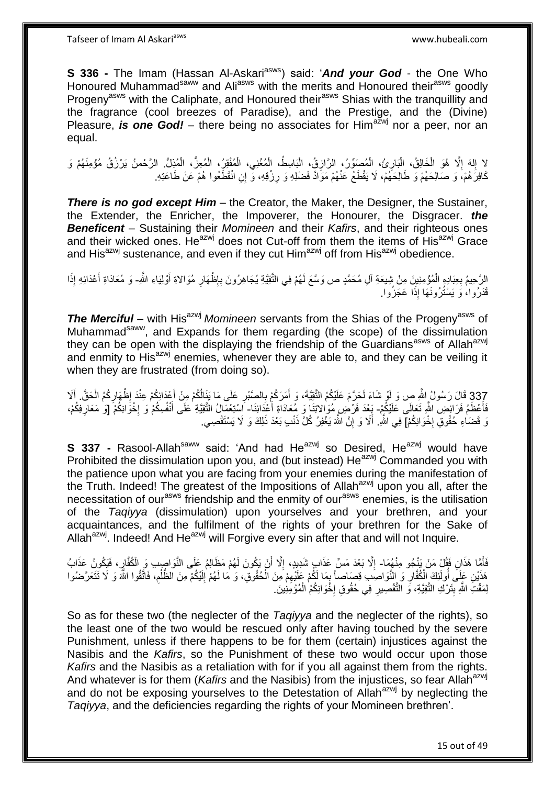**S 336 -** The Imam (Hassan Al-Askari<sup>asws</sup>) said: 'And your God - the One Who Honoured Muhammad<sup>saww</sup> and Ali<sup>asws</sup> with the merits and Honoured their<sup>asws</sup> goodly Progeny<sup>asws</sup> with the Caliphate, and Honoured their<sup>asws</sup> Shias with the tranquillity and the fragrance (cool breezes of Paradise), and the Prestige, and the (Divine) Pleasure, *is one God!* – there being no associates for Him<sup>azwj</sup> nor a peer, nor an equal.

لا إِلهَ إِلَّا هُوَ الْخَالِقُ، الْبَارِئُ، الْمُصَوِّرُ، الرَّازِقُ، الْبَاسِطُ، الْمُغْنِي، الْمُغْنِيُ، الْمُغِزُّ، الْمُذِلُّ الرَّحْمنُ يَرْزُقُ مُؤْمِنَهُمْ وَ ْ ِ :<br>ا ْ  $\ddot{\phantom{a}}$ ِ ْ ْ ْ ْ :<br>ا كَافِرَ هُمْ، وَ صَالِحَهُمْ وَ طَالِحَهُمْ، لَا يَقْطَعُ عَنْهُمْ مَوَادَّ فَضْلِهِ وَ رِزْقِهِ، وَ إِنِ انْقَطَعُوا هُمْ عَنْ طَاعَتِهِ. **∶** 

*There is no god except Him* – the Creator, the Maker, the Designer, the Sustainer, the Extender, the Enricher, the Impoverer, the Honourer, the Disgracer. *the Beneficent* – Sustaining their *Momineen* and their *Kafirs*, and their righteous ones and their wicked ones. He<sup>azwj</sup> does not Cut-off from them the items of His<sup>azwj</sup> Grace and His<sup>azwj</sup> sustenance, and even if they cut Him<sup>azwj</sup> off from His<sup>azwj</sup> obedience.

الرَّحِيمُ بِعِبَادِهِ الْمُؤْمِنِينَ مِنْ شِيعَةِ آلِ مُحَمَّدٍ ص وَسَّعَ لَهُمْ فِي الثَّقِيَّةِ يُجَاهِرُونَ بِإِظْهَارِ مُوَالاةِ أَوْلِيَاءِ اللَّهِ- وَ مُعَادَاةِ أَعْدَائِهِ إِذَا ْ ِ َ ِ ِ ِ َ قَدَرُوا، وَ يَسْتُرُونَـهَا إِذَا عَجَزُوا.

**The Merciful** – with His<sup>azwj</sup> Momineen servants from the Shias of the Progeny<sup>asws</sup> of Muhammad<sup>saww</sup>, and Expands for them regarding (the scope) of the dissimulation they can be open with the displaying the friendship of the Guardians<sup>asws</sup> of Allah<sup>azwj</sup> and enmity to His<sup>azwj</sup> enemies, whenever they are able to, and they can be veiling it when they are frustrated (from doing so).

337 قَالَ رَسُولُ اللَّهِ ص وَ لَوْ شَاءَ لَحَرَّمَ عَلَيْكُمُ الثَّقِيَّةَ، وَ أَمَرَكُمْ بِالصَّبْرِ عَلَى مَا يَنَالُكُمْ مِنْ أَعْذَائِكُمْ عِنْدَ إِظْهَارِكُمُ الْحَقَّ. أَلَا<br>337 قَالَ رَسُولُ اللَّهِ ص وَ لَوْ شَاء َ ْ ِ َ **∶** َ فَأَعْظَمُ فَرَائِضٍ اللَّهِ تَعَالَى عَلَيْكُمْ- يَعْدَ فَرْضِ مُوَالاتِنَا وَ مِعَادَاةِ أَعْدَائِنَا- اسْتِعْمَالُ التَّقِيَّةِ عَلَى أَنْفُسِكُمْ وَ إِخْوَانِكُمْ [وَ مَعَارِفِكُمْ، َ **∶** َ ِ نَ قَضَاءِ حُقُوقِ إِخْوَانِكُمْ] فِي اللَّهِ. أَلَا وَ إِنَّ اللَّهَ يَغْفِرُ كُلَّ ذَنْبِ بَعْدَ ذَلِكَ وَ لَا يَسْتَقْصِي. **∶** ِ َ

**S 337 -** Rasool-Allah<sup>saww</sup> said: 'And had He<sup>azwj</sup> so Desired, He<sup>azwj</sup> would have Prohibited the dissimulation upon you, and (but instead) He<sup>azwj</sup> Commanded you with the patience upon what you are facing from your enemies during the manifestation of the Truth. Indeed! The greatest of the Impositions of Allah<sup>azwj</sup> upon you all, after the necessitation of our<sup>asws</sup> friendship and the enmity of our<sup>asws</sup> enemies, is the utilisation of the *Taqiyya* (dissimulation) upon yourselves and your brethren, and your acquaintances, and the fulfilment of the rights of your brethren for the Sake of Allah<sup>azwj</sup>. Indeed! And He<sup>azwj</sup> will Forgive every sin after that and will not Inquire.

فَأَهًا هَذَانِ فَقُلْ مَنْ يَنْجُو مِنْهُمَا- إِلَّا بَعْدَ مَسٍّ عَذَابٍ شَدِيدٍ، إِلَّا أَنْ يَكُونَ لَهُمْ مَظَالِمُ عَلَى النَّوَاصِبِ وَ الْكُفَّارِ، فَيَكُونُ عَذَابُ َ َ ِ ِ ِ هَذَيْنِ عَلَى أُولَئِكَ الْكُفَّارِ وَ النَّوَاصِدِ قِصَاصاً بِمَا لَكُمْ عَلَيْهِمْ مِنَ الْحُقُوقِ، وَ مَا لَهُمْ إِلَيْكُمْ مِنَ الظَّلْمِ، فَاتَّقُوا اللَّهَ وَ لَا تَتَعَرَّضُوا لَ ِ ْ ِ ِ ِ ُ :<br>ن ِ ْ لِمَقْتِ اللَّهِ بِتَرْكِ النَّقِيَّةِ، وَ النَّقْصِيرِ فِي حُقُوقِ إِخْوَانِكُمُ الْمُؤْمِنِينَ. **!** ْ **∶** ِ

So as for these two (the neglecter of the *Taqiyya* and the neglecter of the rights), so the least one of the two would be rescued only after having touched by the severe Punishment, unless if there happens to be for them (certain) injustices against the Nasibis and the *Kafirs*, so the Punishment of these two would occur upon those *Kafirs* and the Nasibis as a retaliation with for if you all against them from the rights. And whatever is for them (*Kafirs* and the Nasibis) from the injustices, so fear Allah<sup>azwj</sup> and do not be exposing yourselves to the Detestation of Allah<sup>azwj</sup> by neglecting the *Taqiyya*, and the deficiencies regarding the rights of your Momineen brethren'.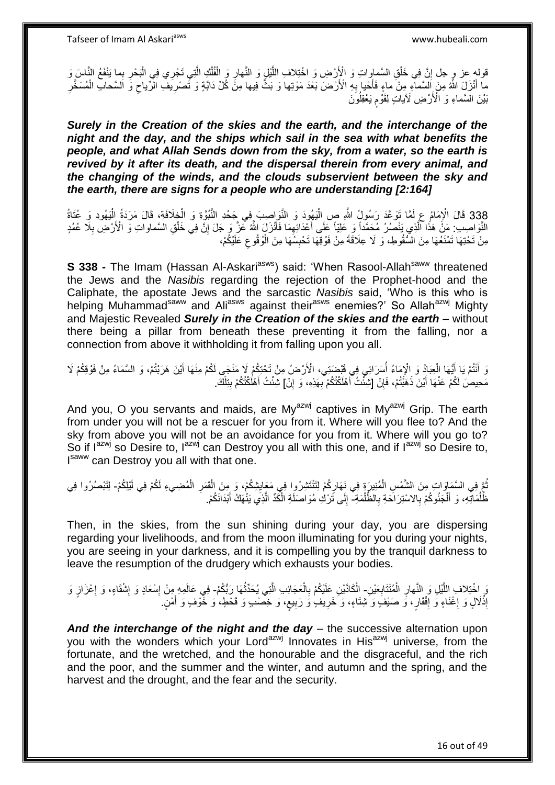قوله عز و جل إِنَّ فِي خَلْقِ السَّماواتِ وَ الْإَرْضِ وَ اخْتِلافِ اللَّيْلِ وَ النَّهارِ وَ الْفُلْكِ الَّتِي تَجْرِي فِي الْبَحْرِ بِما يَنْفَعُ النَّاسَ وَ ِ ِ ْ ه ْ ْ ِ ه ْ **֝** مَا أَنْزَلَ اللَّهُ مِنَ اَلْسَمَاتِهِ مِنْ ماءٍ فَأَخْيا بِهِ الْأَرْضَ بَعْدَ مَوْتِها وَ بَثَّ فِيها مِنْ كُلِّ دَابَّةٍ وَ تَّصْرِيَفُ الرِّياحِ وَّ السَّحَابِ الْمُسَخَّرِ ِ ا<br>است َ ْ ِ ِ بَيْنَ السَّماءِ وَ الْأَرْضِ لَآياتٍ لِقَوْمٍ يَعْقِلُونَ ֧֧֧֧֧֧֧֧֓֝֟֓֝֓֝֓֝֬֟֓֓֓֟֓֓֟֓֓<del>֓</del>֧֓

*Surely in the Creation of the skies and the earth, and the interchange of the night and the day, and the ships which sail in the sea with what benefits the people, and what Allah Sends down from the sky, from a water, so the earth is revived by it after its death, and the dispersal therein from every animal, and the changing of the winds, and the clouds subservient between the sky and the earth, there are signs for a people who are understanding [2:164]*

338 قَالَ الْإِمَامُ عِ لَمَّا تَوَعَّدَ رَسُولُ اللَّهِ صِ الْيَهُودَ وَ النَّوَاصِبَ فِي جَحْدِ النُّبُوَّةِ وَ الْخِلَافَةِ، قَالَ مَرَدَةُ الْيَهُودِ وَ عُتَاةُ<br>نَقَّدَ الْجَمَعَ الْجَمَعَ الْمَسْرَةِ فَيَسْتَقِيَّةِ ْ ْ ا<br>ا النَّوَاصِبِ: مَنْ هَذَا الَّذِي يَنْصُرُ مُحَمَّداً وَ عَلِيّاً عَلَى أَعْدَائِهِمَا فَأَنْزَلَ اللَّهُ عَزَّ وَ جَلَ إِنَّ فِي خَلْقِ السَّماواتِ وَ الْأَرْضِ بِلَا عُمُدٍ َ ِ َ ه ْ ِ ِ مِنْ تَحْتِهَا تَمْنَعُهَا مِنَ السُّقُوطِ، وَ لَا عِلَاقَةَ مِنْ فَوْقِهَا تَحْبِسُهَا مِنَ الْوُقُوعِ عَلَيْكُمْ، ِ ْ **∣** 

**S 338 -** The Imam (Hassan Al-Askari<sup>asws</sup>) said: 'When Rasool-Allah<sup>saww</sup> threatened the Jews and the *Nasibis* regarding the rejection of the Prophet-hood and the Caliphate, the apostate Jews and the sarcastic *Nasibis* said, 'Who is this who is helping Muhammad<sup>saww</sup> and Ali<sup>asws</sup> against their<sup>asws</sup> enemies?' So Allah<sup>azwj</sup> Mighty and Majestic Revealed *Surely in the Creation of the skies and the earth* – without there being a pillar from beneath these preventing it from the falling, nor a connection from above it withholding it from falling upon you all.

وَ أَنْتُمْ يَا أَيُّهَا الْعِبَادُ وَ الْإِمَاءُ أُسَرَائِي فِي قَبْضَنَتِي، الْأَرْضُ مِنْ تَحْتِكُمْ لَا مَنْجَي لَكُمْ مِنْهَا أَيْنَ هَرَبْتُمْ، وَ السَّمَاءُ مِنْ فَوْقِكُمْ لَا<br>وَيَنْتُمْ يَا أَيُّهَا الْعِبَارُ وَ ا<br>ا ْ َ َ ِ مَحِيصَ لَكُمْ عَنْهَا أَيْنَ ذَهَبْتُمْ، فَإِنْ [شِئْتُ أَهْلَكْتُكُمْ بِهَذِهِ، وَ إِنْ] شِئْتُ أَهْلَكْتُكُمْ بِتِلْكَ َ ِ َ ِ ْ **∣** َ

And you, O you servants and maids, are My $a^{2}$  captives in My $a^{2}$  Grip. The earth from under you will not be a rescuer for you from it. Where will you flee to? And the sky from above you will not be an avoidance for you from it. Where will you go to? So if  $I^{azwj}$  so Desire to,  $I^{azwj}$  can Destroy you all with this one, and if  $I^{azwj}$  so Desire to, Isaww can Destroy you all with that one.

ُمَّ فِي السَّمَاوَاتِ مِنَ الشَّمْسِ الْمُنِيرَةِ فِي نَهَارِكُمْ لِتَنْتَشِرُوا فِي مَعَايِشِكُمْ، وَ مِنَ الْقَمَرِ الْمُضِيءِ لَكُمْ فِي لَيْلِكُمْ- لِتَبْصُرُوا فِي ِ ْ ْ ِ ْ ِ ظُّلُمَاتِّهِ، وَ أَلْجَئُوكُمْ بِالاسْتِرَاحَةِ بِالْظُّلْمَةِ ۖ إِلَى تَرْكِ مُوَاصَلَةِ الْكَدِّ الَّذِي يَنْهَكُ أَبْدَانَكُمْ. ْ ِ ِ ْ َ ُ َ ه ْ  $\frac{1}{2}$ 

Then, in the skies, from the sun shining during your day, you are dispersing regarding your livelihoods, and from the moon illuminating for you during your nights, you are seeing in your darkness, and it is compelling you by the tranquil darkness to leave the resumption of the drudgery which exhausts your bodies.

اً وَ اِخْتِلاف اللَّيْلِ وَ النَّهارِ الْمُتَتَابِعَيْنِ- اِلْكَاذَيْنِ عَلَيْكُمْ بِالْعَجَائِبِ الَّتِي يُحَدِّثُهَا رَبُّكُمْ- فِي عَالَمِهِ مِنْ إِسْعَادٍ وَ إِشْقَاءٍ، وَ إِعْزَازٍ وَ ِ ْ ِ ُ ه ْ ِ ِ ِ ِ إِذْلَالٍ وَ إِغْنَاءٍ وَ إِفْقَارٍ، وَ صَيْفٍ وَ شِتَاءٍ، وَ خَرِيفٍ وَ رَبِيعٍ، وَ خِصْبٍ وَ قَحْطٍ، وَ خُوْفٍ وَ أَمْنٍ **∶ ! ∶ ׀** ِ **ٔ** َ

*And the interchange of the night and the day* – the successive alternation upon you with the wonders which your Lord<sup>azwj</sup> Innovates in His<sup>azwj</sup> universe, from the fortunate, and the wretched, and the honourable and the disgraceful, and the rich and the poor, and the summer and the winter, and autumn and the spring, and the harvest and the drought, and the fear and the security.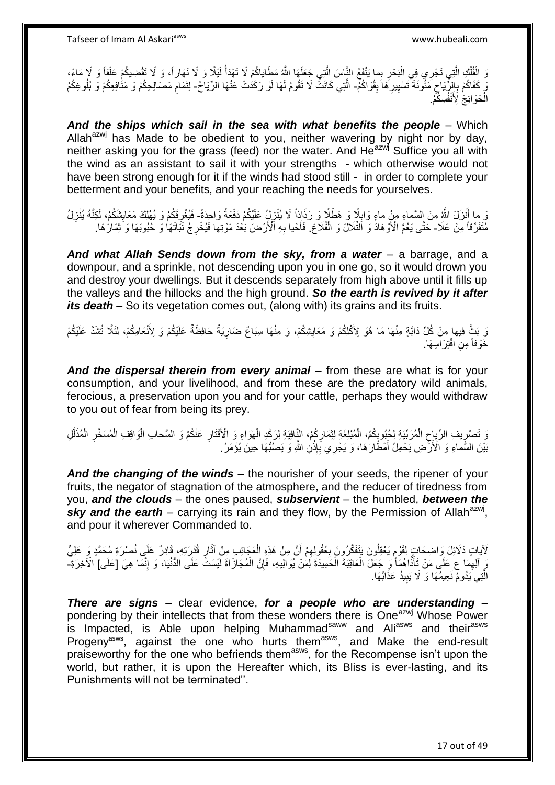وَ الْفُلْكِ الَّتِي تَجْرِي فِي الْبَحْرِ بِما يَنْفَعُ النَّاسَ الَّتِي جَعَلَهَا اللَّهُ مَطَايَاكُمْ لَا تَهْدَأُ لَيْلًا وَ لَا ذَوا اللَّهُ مَا تَقْضِيكُمْ عَلَفًا وَ لَا مَاءً،<br>وَ الْفُلْكِ الَّتِي تَجْرِي فِي الْبَ **∶** :<br>ا ه ْ ْ لَ يَ كَفَاكُمْ بِالرِّّبَاحِ مَثُونَةً تَسْيِيرِ هَا بِقُواكُمْ- الَّتِي كَانَتْ لَا تَقُومُ لَهَا لَوْ رَكَدُتْ عَنْهَا الرِّيَاحُ- لِتَمَامِ مَصَالِحِكُمْ وَ مَنْافِعِكُمْ وَ بُلُوغِكُمْ **ِ** ِ **!** ِ ِ ه ِ الْحَوَائِجَ لِأَنْفُسِكُمْ. ْ

And the ships which sail in the sea with what benefits the people - Which Allah<sup>azwj</sup> has Made to be obedient to you, neither wavering by night nor by day, neither asking you for the grass (feed) nor the water. And He<sup>azwj</sup> Suffice you all with the wind as an assistant to sail it with your strengths - which otherwise would not have been strong enough for it if the winds had stood still - in order to complete your betterment and your benefits, and your reaching the needs for yourselves.

َو ما أَنْزَلَ اللَّهِ مِنَ السَّماءِ مِنْ ماءٍ وَابِلَا وَ هَطْلًا وَ رَذَاذِاً لَا يُنْزِلِ عَلَيْكُمْ دَفْعَةً وَاحِدَةً- فَيُغْرِقَكُمْ وَ يُهْلِكَ مَعَايِشَكُمْ، لَكِنَّهُ يُنْزِلُ ِ ¦ ِ ِ ِ مُتَفَرِّقاً مِنْ عَلا- حَتَّى يَعُمَّ الْأَوْهَادَ وَ الْثِّلَالَ وَ الْقُلَاعَ. فَأَحْيا بِهِ الْأَرْضَ بَعْدَ مَوْتِها فَيُخْرِجُ نَبَاتَهَا وَ حُبُوبَهَا وَ ثِمَارَهَا. ْ ِ ِ َ

*And what Allah Sends down from the sky, from a water* – a barrage, and a downpour, and a sprinkle, not descending upon you in one go, so it would drown you and destroy your dwellings. But it descends separately from high above until it fills up the valleys and the hillocks and the high ground. *So the earth is revived by it after its death* – So its vegetation comes out, (along with) its grains and its fruits.

وَ بَثِّ فِيها مِنْ كُلِّ دَابَّةٍ مِنْهَا مَا هُوَ لِأَكْلِكُمْ وَ مَعَايِشِكُمْ، وَ مِنْهَا سِبَاعٌ ضَارِيَةٌ حَافِظَةٌ عَلَيْكُمْ وَ لِأَنْعَامِكُمْ، لِئَلَّا تُشَدَّ عَلَيْكُمْ ِ ِ خَوْفاً مِنِ افْتِرَاسِهَا.

*And the dispersal therein from every animal* – from these are what is for your consumption, and your livelihood, and from these are the predatory wild animals, ferocious, a preservation upon you and for your cattle, perhaps they would withdraw to you out of fear from being its prey.

ِ وَ تَصْرِيفِ الرِّيِاحِ الْمُرَبِّيَةِ لِحُبُوبِكُمُ، الْمُبْلِغَةِ لِثِمَارِكُمْ، النَّافِيَةِ لِرَكْدِ الْهَوَاءِ وَ الْأَقْتَارِ عَنْكُمْ وَ السَّحابِ الْوَاقِفِ الْمُسَخَّرِ الْمُذَلَّلِ ِ ْ **∶** ْ ِ ِ ْ ه ْ ِ ْ بَيْنَ السَّمَاءِ وَ الْأَزْضِ يَحْمِلُ أَمْطَارَكُما، وَ يَجْرِي بِإِذْنِ اللَّهِ وَ يَصُبُّهَا حِينَ يُؤْمَرُ **ٔ** ِ َ

*And the changing of the winds* – the nourisher of your seeds, the ripener of your fruits, the negator of stagnation of the atmosphere, and the reducer of tiredness from you, *and the clouds* – the ones paused, *subservient* – the humbled, *between the*  sky and the earth – carrying its rain and they flow, by the Permission of Allah<sup>azwj</sup>, and pour it wherever Commanded to.

لَاياتٍ دَلَائِلَ وَاضِحَاتٍ لِقَوْمِ يَعْقِلُونَ يَتَفَكَّرُونَ بِعُقُولِهِمْ أَنَّ مِنْ هَذِهِ الْعَجَائِبِ مِنْ آثَارِ قُذْرِيَهِ، قَادِرٌ عَلَى نُصْرَةِ مُحَمَّدٍ وَ عَلِيٍّ ُ ֧֧֖֚֚֓֝֝֓֝ ្ន َ ْ َ  $\ddot{\xi}$ ِ يَ آلِهِمَا ع عَلَى مَنْ تَأَذَّاهُمَأْ وَ جَعَلَ الْعَاقِبَةَ الْحَمِيدَةَ لَمَنْ يُوَالِيهِ، فَإِنَّ الْمُجَازَاةَ لَيْسَتُّ عَلَى الدُّنْيَا، وَ إِنَّمَا هِيَ [عَلَى] الْأَخِرَةِ-֪֧֧֧֧֧֧֧֦֪֪֪֪֪֪֪֪֪֪֘֝֟֓֟֓֟֓֟֟֟֓֟֓֟֓֟֓֟֓֟֓֟֓֟֓֟֓֟֓֟֓֟֓֟֟֓֟֓֟֓֟֓֟֓֟֓֟֓֟֓֟֓֟֓֟֓֞֟֝֬֞֟֝ ِ ْ ∣ļ ْ الَّتِي يَدُومٌ نَعِيمُهَا وَ لَا يَبِيدُ عَذَابُهَا. **!** ه

*There are signs* – clear evidence, *for a people who are understanding* – pondering by their intellects that from these wonders there is One<sup>azwj</sup> Whose Power is Impacted, is Able upon helping Muhammad<sup>saww</sup> and Ali<sup>asws</sup> and their<sup>asws</sup> Progeny<sup>asws</sup>, against the one who hurts them<sup>asws</sup>, and Make the end-result praiseworthy for the one who befriends them<sup>asws</sup>, for the Recompense isn't upon the world, but rather, it is upon the Hereafter which, its Bliss is ever-lasting, and its Punishments will not be terminated''.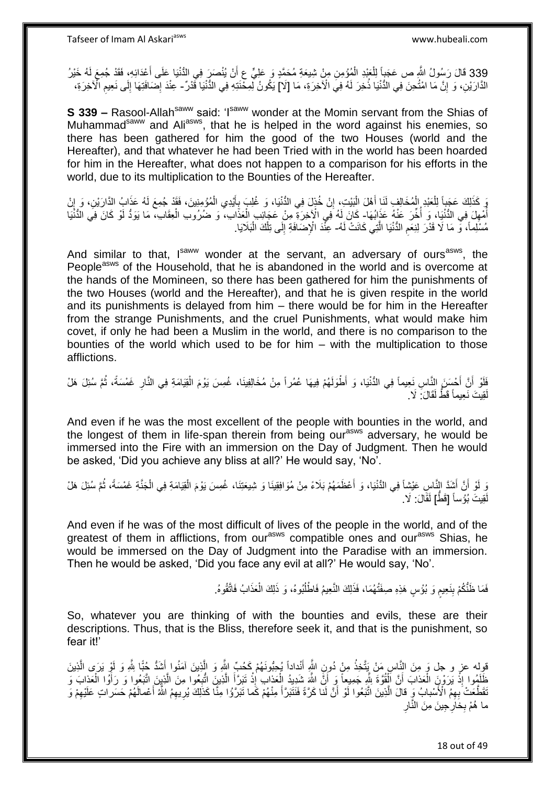339 قَالَ رَسُولُ اللَّهِ ص عَجَباً لِلْعَبْدِ الْمُؤْمِنِ مِنْ شِيعَةِ مُحَمَّدٍ وَ عَلِيٍّ عِ أَنْ يُنْصَرَرَ فِي الدُّنْيَا عَلَى أَعْدَائِهِ، فَقَدْ جُمِعَ لَهُ خَيْرُ َ ْ ْ الذَّارَيْنِ، وَ إِنَّ مَا امْتُحِنَ فِي الدُّنْيَا ذُخِرَ لَهُ فِي الْأَخِرَةِ، مَا [لَا] يَكُونُ لِّمِحْنَتِهِ فِي الذُّنْيَا قَدْرٌ - عِنْدَ إِصْنافَتِهَا إِلَى نَعِيمِ الْأَخِرَةِ، <u>֖֚֚֚֚֚֚֚֓</u> ِ ِ ِ

**S 339 –** Rasool-Allah<sup>saww</sup> said: 'I<sup>saww</sup> wonder at the Momin servant from the Shias of Muhammad<sup>saww</sup> and Ali<sup>asws</sup>, that he is helped in the word against his enemies, so there has been gathered for him the good of the two Houses (world and the Hereafter), and that whatever he had been Tried with in the world has been hoarded for him in the Hereafter, what does not happen to a comparison for his efforts in the world, due to its multiplication to the Bounties of the Hereafter.

وَ كَذَلِكَ عَجَدٍاً لِلْعَبْدِ إِلْمُخَالِفٍ لَنَا أَهْلَ الْبَيْتِ، إِنْ خُذِلَ فِي الدُّنْيَا، وَ غُلِبَ بِأَيْدِي الْمُؤْمِنِينَ، فَقَدْ جُمِعَ لَهُ عَذَابُ الدَّارَيْنِ، وَ إِنْ ْ َ ِ ِ :<br>ا َ ْ ْ ِ اُمْهِلَ فِي الدُّنْيَا، وَ أُخِّرَ عَنْهُ عَذَابُهَا- كَانَ لَهُ فِي الْإِخِرَةِ مِنْ عَجَائِبِ الْعَذَابِ، وَ ضُرُوبِ الْعِقَابِ، مَا يَوَدُّ لَوْ كَانَ فِي الدُّنْيَا ا<br>ا ِ ُ ْ ْ مُسْلِماً، وَ مَا لَا قَدْرَ لِنِعَمِ الدُّنْيَا الَّذِي كَانَتْ لَهُ- عِنْدَ الْإِصْمَافَةِ إِلَى تِلْكَ الْبَلَايَا. ِ ْ ْ ِ

And similar to that, Isaww wonder at the servant, an adversary of ours<sup>asws</sup>, the People<sup>asws</sup> of the Household, that he is abandoned in the world and is overcome at the hands of the Momineen, so there has been gathered for him the punishments of the two Houses (world and the Hereafter), and that he is given respite in the world and its punishments is delayed from him – there would be for him in the Hereafter from the strange Punishments, and the cruel Punishments, what would make him covet, if only he had been a Muslim in the world, and there is no comparison to the bounties of the world which used to be for him – with the multiplication to those afflictions.

فَلَوْ أَنَّ أَحْسَنَ إِلنَّاسِ نَعِيماً فِي الدُّنْيَا، وَ أَطْوَلَهُمْ فِيهَا عُمُراً مِنْ مُخَالِفِينَا، غُمِسَ بَوْمَ الْقِيَامَةِ فِي النَّارِ غَمْسَةً، ثُمَّ سُئِلَ هَلْ ْ َ ُ ِ قِيتَ نَعِيماً قَطَّ لَقَالَ: لَا. لَ

And even if he was the most excellent of the people with bounties in the world, and the longest of them in life-span therein from being our<sup>asws</sup> adversary, he would be immersed into the Fire with an immersion on the Day of Judgment. Then he would be asked, 'Did you achieve any bliss at all?' He would say, 'No'.

وَ أَنَّ أَشَدَّ النَّاسِ عَيْشِاً فِي الدُّنْيَا، وَ أَعْظَمَهُمْ بَلَاءً مِنْ مُوَافِقِينَا وَ شِيعَتِنَا، غُمِسَ يَوْمَ الْقِيَامَةِ فِي الْجَنَّةِ غَمْسَةً، ثُمَّ سُئِلَ هَلْ َ َ َ ُ ْ ْ قِيتَ بُوُّساً [قَطَّ] لَقَالَ: لَا لَ

And even if he was of the most difficult of lives of the people in the world, and of the greatest of them in afflictions, from our<sup>asws</sup> compatible ones and our<sup>asws</sup> Shias, he would be immersed on the Day of Judgment into the Paradise with an immersion. Then he would be asked, 'Did you face any evil at all?' He would say, 'No'.

> فَمَا ظَنُّكُمْ بِنَعِيمٍ وَ بُؤْسٍ هَذِهِ صِفَتُهُمَا، فَذَلِكَ النَّعِيمُ فَاطْلُبُوهُ، وَ ذَلِكَ الْعَذَابُ فَاتَّقُوهُ. ٍ **ِ** ْ ا<br>ا

So, whatever you are thinking of with the bounties and evils, these are their descriptions. Thus, that is the Bliss, therefore seek it, and that is the punishment, so fear it!'

قوِله عز و جل وَ مِنَ النَّاسِ مَنْ يَتَّخِذُ مِنْ دُونِ اللَّهِ أَنْداداً يُجِبُّونَهُمْ كَحُبِّ اللَّهِ وَ الَّذِينَ آمَنُوا أَشَدُّ جُبًّا لِلَّهِ وَ لَوْ يَرَى الَّذِينَ َ ه َ ه َفِلَهُوا إِذْ يَرَوْنَ الْعَذابَ أَنَّ اَلْقُوَّةَ شَّرِيعًا وَ أَنَّ اللَّهَ شَدِيدُ الْعَذابِ إِذْ تَبَرَّأَ الَّذِينَ اتُّبِعُوا مِنَ الَّذِينَ اتَّبَعُوا وَ رَأَوُا الْعَذابَ وَ اُ ْ ْ <u>ٔ</u> ْ َ ه ِ ه َ **ٔ** ْ ْقَطَّعَتْ بِهِمْ الْأَسْبابُ وَبِ قالَ الَّذِينَ اتَّبَعُوا لَوْ أَنَّ لَنَا كَرَّةً فَنَتَبَرَّأَ مِنْهُمْ كَما تَبَرَّؤُا مِنَّا كَذَلِكَ يُرِيهِمُ اللَّهُ أَعْمالَهُمْ حَسَراتِ عَلَيْهِمْ وَ َ اً ه ِ ِ َ ِ ما هُمْ بِخَارِجِينَ مِنَ النَّارِ

18 out of 49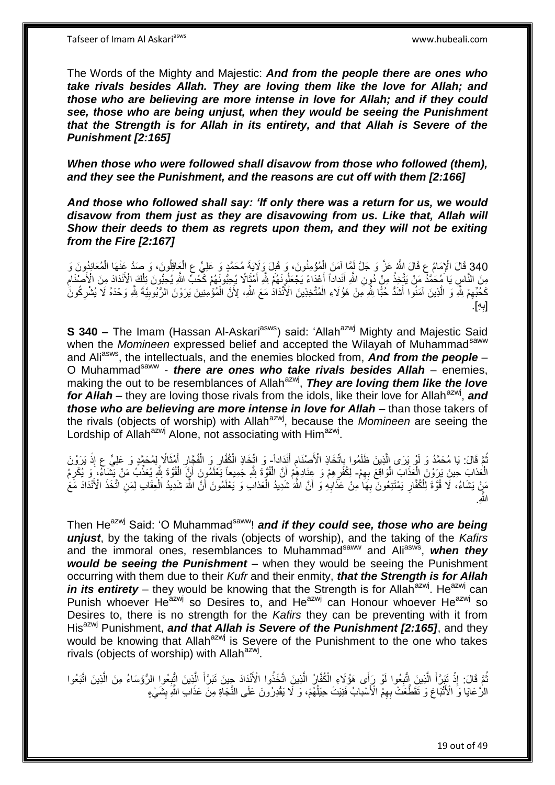Tafseer of Imam Al Askariasws www.hubeali.com

The Words of the Mighty and Majestic: *And from the people there are ones who take rivals besides Allah. They are loving them like the love for Allah; and those who are believing are more intense in love for Allah; and if they could see, those who are being unjust, when they would be seeing the Punishment that the Strength is for Allah in its entirety, and that Allah is Severe of the Punishment [2:165]* 

*When those who were followed shall disavow from those who followed (them), and they see the Punishment, and the reasons are cut off with them [2:166]*

*And those who followed shall say: 'If only there was a return for us, we would disavow from them just as they are disavowing from us. Like that, Allah will Show their deeds to them as regrets upon them, and they will not be exiting from the Fire [2:167]*

340 قَالَ الْإِمَامُ عِ قَالَ اللَّهُ عَنَّ وَ جَلَّ لَمَا آمَنَ الْمُؤْمِنُونَ، وَ قَبِلَ وَلَايَةَ مُحَمَّدٍ وَ عَلِيٍّ عِ الْعَاقِلُونَ، وَ صَدَّ عَنْهَا الْمُعَانِدُونَ وَ<br>20 تَبَعَّلُ الْإِمَامُ عَلَيْهِ مِنْ الْمَرْ ْ ْ ِ ْ مِنَ النَّاسِ يَا مُحَمَّدٌ مَنْ يَتَّخِذُ مِنْ دُوِنِ اللَّهِ أَنْداداً أَعْدَاءَ يَجْعَلُونَهُمْ اللَّهِ أَمْثَالاً يُجِبُّونَهُمْ كَحُبٍّ اللَّهِ يُحِبُّونَ تِلْكَ الْأَنْدَادَ مِنَ الْأَصْنَامِ َ َ َ َ ِ ْ ِ كَحَّبِّهِمْ شِّهِ وَ الَّذِينَ آمَنُوا أَشَدُّ حُبًّا شِّهِ مِنْ هَؤُلَاءِ الْمُتَّخِذِينَ الْأَنْدَادُ مَعَ اللَّهِ، لِأَنَّ الْمُؤْمِنِينَ يَرَوْنَ الرُّبُوبِيَّةَ شِّهِ وَحْدَهُ لَا يُشْرِكُونَ ِ ِ َ ه ِ ْ ْ ِ ِه ]ب [. **∶** 

**S 340 –** The Imam (Hassan Al-Askari<sup>asws</sup>) said: 'Allah<sup>azwj</sup> Mighty and Majestic Said when the *Momineen* expressed belief and accepted the Wilayah of Muhammad<sup>saww</sup> and Ali<sup>asws</sup>, the intellectuals, and the enemies blocked from, **And from the people** – O Muhammad<sup>saww</sup> - *there are ones who take rivals besides Allah* – enemies, making the out to be resemblances of Allah<sup>azwj</sup>, They are loving them like the love for Allah – they are loving those rivals from the idols, like their love for Allah<sup>azwj</sup>, and *those who are believing are more intense in love for Allah* – than those takers of the rivals (objects of worship) with Allah<sup>azwj</sup>, because the *Momineen* are seeing the Lordship of Allah<sup>azwj</sup> Alone, not associating with Him<sup>azwj</sup>.

نُمَّ قَالَ: يَا مُحَمَّدُ وَ لَوْ بَرَى الَّذِينَ ظَلَمُوا بِاتِّخَاذِ الْأَصِنْنَامِ أَنْدَاداً وَ اتِّخَاذِ الْمُقَالِرِ وَ الْفُجَّالِ أَهْثَالاً لِمُحَمَّدٍ وَ عَلِيٍّ عِ إِذْ يَرَوْنَ َ ِ .<br>ة ه َ َ ِ ْ ِ **ٔ** الْمَذابَ حِينَ بَرَوْنَ الْعَذَابَ الْوَاقِعَ بِهِمْ- لِكُفْرِهِمْ وَ عِنَادِهِمْ أَنَّ الْقُوَّةَ لِلَّهِ جَمِيعاً يَغْلَمُونَ أَنَّ الْقُوَّةَ لِلَّهِ يُعَذِّبُ مَنْ يَشْنَاءُ، وَ يُكْرِمُ ِ :<br>ا ِ ْ اُ ْ ِ مَنْ يَشَاءُ، ۚ لَا قُوَّةً لِلْكُفَّارِ يَمْتَنِعُونَ بِهَا مِنْ عَذَابِهِ وَ أَنَّ اللَّهَ شَدِيدُ الْعَذاب وَ يَعْلَمُونَ أَنَّ اللَّهَ شَدِيدُ الْعَنَادَ مَعَ أَ **∶ ∶** ِ ْ ْ َ اللَّهِ.

Then He<sup>azwj</sup> Said: 'O Muhammad<sup>saww</sup>! and *if they could see, those who are being unjust*, by the taking of the rivals (objects of worship), and the taking of the *Kafirs* and the immoral ones, resemblances to Muhammad<sup>saww</sup> and Ali<sup>asws</sup>, when they would be seeing the Punishment - when they would be seeing the Punishment occurring with them due to their *Kufr* and their enmity, *that the Strength is for Allah in its entirety* – they would be knowing that the Strength is for Allah<sup>azwj</sup>. He<sup>azwj</sup> can Punish whoever Heazwj so Desires to, and Heazwj can Honour whoever Heazwj so Desires to, there is no strength for the *Kafirs* they can be preventing with it from His<sup>azwj</sup> Punishment, **and that Allah is Severe of the Punishment [2:165]**, and they would be knowing that Allah<sup>azwj</sup> is Severe of the Punishment to the one who takes rivals (objects of worship) with Allah<sup>azwj</sup>.

نُّمَّ قَالَ: إِذْ نَبَرَأَ الَّذِينَ إِتُّبِعُوا لَوْ رَأَى هَؤُلَاءِ الْكُفَّارُ الَّذِينَ اتَّخَذُوا الْأَنْدَادَ جِينَ تَبَرَّأَ الَّذِينَ اتُّبِعُوا الرُّوَسَاءُ مِنَ الَّذِينَ اتَّبَعُوا ه **∶** ه َ **ٔ ∶** ه َ ه الزَّ عَايَا وَ الْأَنْبَاعَ وَ تَقَطَّعَتْ بِهِمُ الْأَسْبابُ فَنِيَتْ حِيَلُهُمْ، وَ لَّا يَقْدِرُونَ عَلَى النَّجَاةِ مِنْ عَذَابِ اللَّهِ بِشَيْءٍ ِ ا<br>ا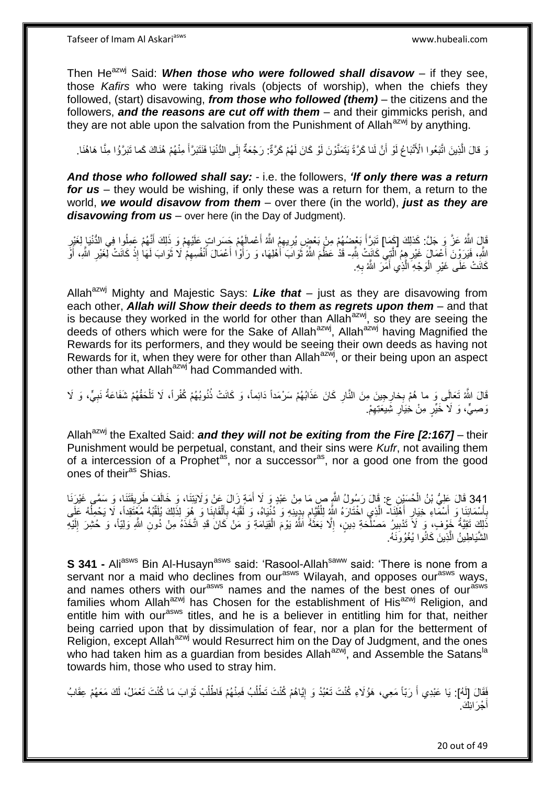Tafseer of Imam Al Askariasws www.hubeali.com

Then  $He^{azwj}$  Said: When those who were followed shall disavow – if they see, those *Kafirs* who were taking rivals (objects of worship), when the chiefs they followed, (start) disavowing, *from those who followed (them)* – the citizens and the followers, *and the reasons are cut off with them* – and their gimmicks perish, and they are not able upon the salvation from the Punishment of Allah<sup>azwj</sup> by anything.

رَ قالَ الَّذِينَ اتَّبَعُوا الْأَتْبَاعُ لَوْ أَنَّ لَنا كَرَّةً يَتَمَنَّوْنَ لَوْ كَانَ لَهُمْ كَرَّةٌ: رَجْعَةٌ إِلَى الدُّنْيَا فَنَتَبَرَّأَ مِنْهُمْ هُنَاكَ كَما تَبَرَّؤُا مِنَّا هَاهُنَا. َ ِ َ

*And those who followed shall say:* - i.e. the followers, *'If only there was a return for us* – they would be wishing, if only these was a return for them, a return to the world, *we would disavow from them* – over there (in the world), *just as they are disavowing from us* – over here (in the Day of Judgment).

قَالَ اللَّهُ عَزَّ وَ جَلَّ: كَذَلِكَ [كَمَا] تَبَرَّأَ بَعْضُهُمْ مِنْ بَعْضٍ يُرِيهِمُ اللَّهُ أَعْمالَهُمْ جَسَراتٍ عَلَيْهِمْ وَ ذَلِكَ أَنَّهُمْ عَمِلُوا فِي الدُّنْيَا لِغَيْرِ َ ِ َ **∶** َ ِ ِ اللَّهِ، فَيَرَوْنَ أَعْمَالٍ غَيْرِ هِمُ ٱلَّذِيَّ كَانَتْ لِلَّهِ- قَدْ عَظَمَ اللَّهُ ثَوَابَ أَهْلِهَا، وَ رَأَوْا أَعْمَالَ أَنْفُسِهِمْ لَا ثَوَابَ لَهَا إِذْ كَانَتْ لِغَيْرِ اللَّهِ، أَوَ ه ِ .<br>أ َ ِ **ٔ** َ ِ َ َ َ َ ِ كَانَتْ عَلَى غَيْرِ الْوَجْهِ الَّذِي أَمَّرَ اللَّهُ بِهِ. َ ه ا<br>ا **∶** 

Allah<sup>azwj</sup> Mighty and Majestic Says: Like that – just as they are disavowing from each other, *Allah will Show their deeds to them as regrets upon them* – and that is because they worked in the world for other than Allah<sup>azwj</sup>, so they are seeing the deeds of others which were for the Sake of Allah<sup>azwj</sup>, Allah<sup>azwj</sup> having Magnified the Rewards for its performers, and they would be seeing their own deeds as having not Rewards for it, when they were for other than Allah<sup>azwj</sup>, or their being upon an aspect other than what Allah<sup>azwj</sup> had Commanded with.

قَالَ اللَّهُ تَعَالَى وَ ما هُمْ بِخارِجِينَ مِنَ النَّارِ كَانَ عَذَابُهُمْ سَرْمَداً دَائِماً، وَ كَانَتْ ذُنُوبُهُمْ كُفْراً، لَا تَلْحَقُهُمْ شَفَاعَةُ نَبِيٍّ، وَ لَا **∶** ِ ْ ِ وَصِيٍّ، وَ لَا خَيِّرٍ مِنْ خِيَارِ شِيعَتِهِمْ. ِ

Allah<sup>azwj</sup> the Exalted Said: **and they will not be exiting from the Fire [2:167]** – their Punishment would be perpetual, constant, and their sins were *Kufr*, not availing them of a intercession of a Prophet<sup>as</sup>, nor a successor<sup>as</sup>, nor a good one from the good ones of their<sup>as</sup> Shias.

341 قَالَ عَلِيُّ بْنُ الْحُسَيْنِ ع: قَالَ رَسُولُ اللَّهِ صِ مَا مِنْ عَبْدٍ وَ لَا أُمَةٍ زَالَ عَنْ وَلَايَتِنَا، وَ خَالَفَ طَرِيقَتَنَا، وَ سَمَّى غَيْرَنَا َ ْ بِأَسْمَائِنَا وَ أَسْمَاءِ خِيَارِ أَهْلَنَا- الَّذِي اخْتَارَهُ اللَّهُ لِلْقُيَّامِ بِدِينِهِ وَ دُنْيَاهُ، وَ لَقَبَهُ بِأَلْقَابِنَا وَ هُوَ لِذَلِكَ يُلَقِّبُهُ مُغَتَقِداً، لَا يَحْمِلُهُ عَلَى َ ِ َ َ **∶** ه ِ ْ اً<br>أ ِ **!** ֺ֖֪֢ׅ֪֪ׅ֪֧֚֚֚֚֚֚֚֚֚֚֚֚֚֚֚֚֚֚֚֚֚֚֚֡֓֡֡֓֡֝֓֡֡֝֓֓֡֡֓֡֓֡֡֓֡֓֡֝֓ ْ  $\overline{a}$ َذَلِكَ تَقِيَّةُ خَوْفٍ، وَ لَاَ تَدْبِيرُ مَصْلُحَةِ دِينٍ، إِلَّا بَعَثَهُ اللَّهُ يَوْمَ الْقِيَامَةِ وَ مَنْ كَانَ قَدِ اتَّخَذَهُ مِنْ دُونِ اللَّهِ وَلِيّاً، وَ حُشِرَ إِلَيْهِ ْ َ ِ **!** الشَّيَاطِينُ الَّذِينَ كَانُوا يُغْوُوَنَهُ. اً

**S 341 -** Ali<sup>asws</sup> Bin Al-Husayn<sup>asws</sup> said: 'Rasool-Allah<sup>saww</sup> said: 'There is none from a servant nor a maid who declines from our<sup>asws</sup> Wilayah, and opposes our<sup>asws</sup> ways, and names others with our<sup>asws</sup> names and the names of the best ones of our<sup>asws</sup> families whom Allah<sup>azwj</sup> has Chosen for the establishment of His<sup>azwj</sup> Religion, and entitle him with our<sup>asws</sup> titles, and he is a believer in entitling him for that, neither being carried upon that by dissimulation of fear, nor a plan for the betterment of Religion, except Allah<sup>azwj</sup> would Resurrect him on the Day of Judgment, and the ones who had taken him as a quardian from besides Allah $a^{2xy}$ , and Assemble the Satans<sup>la</sup> towards him, those who used to stray him.

فَقَالَ [لَهُ]: يَا عَبْدِي أَ رَبّاً مَعِي، هَؤُلَاءِ كُنْتَ تَعْبُدُ وَ إِيَّاهُمْ كُنْتَ تَطْلُبُ فَمِنْهُمْ فَاطْلُبْ ثَوَابَ مَا كُنْتَ تَعْمَلُ، لَكَ مَعَهُمْ عِقَابُ َ ُ ُ ֖֧֦֧֦֧֦֧֦֧֦֧֦֧֦֧ׅ֧֦֧֦֧ׅ֧֦֧ׅ֧֦֧ׅ֧֦֧֦֧֦֧֦֧֦֧֦֧֦֧֦֧֦֧֦֧֦֧֧֦֧֧֧ׅ֦֧֧֧֚֚֜֓֓֜֓֓֜֓֓֜֓֓֓֡֓֡֓֞֡֡֡֡֡֡֡֓ أجْرَ ائِكَ <sub>ـ</sub> َ

20 out of 49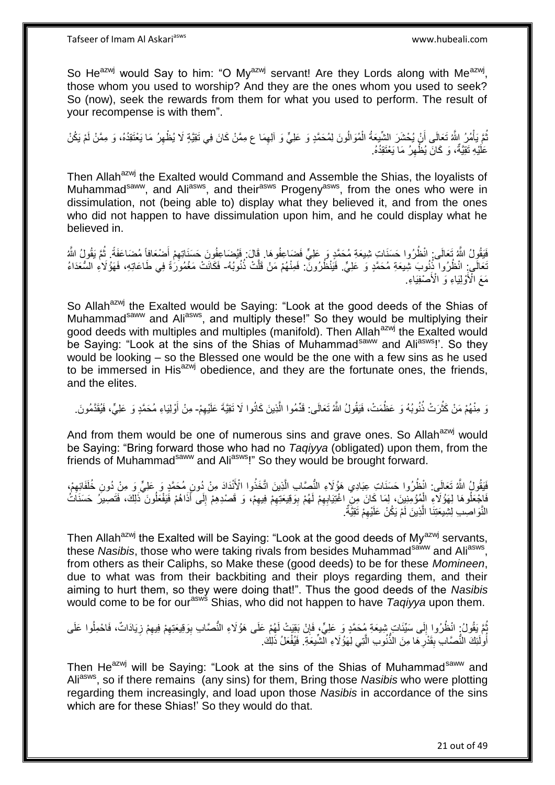So He<sup>azwj</sup> would Say to him: "O My<sup>azwj</sup> servant! Are they Lords along with Me<sup>azwj</sup>, those whom you used to worship? And they are the ones whom you used to seek? So (now), seek the rewards from them for what you used to perform. The result of your recompense is with them".

ُمَّ يَأْمُرُ اللَّهُ تَعَالَى أَنْ يُحْشَرَ الشَّيعَةُ الْمُوَالُونَ لِمُحَمَّدٍ وَ عَلِيٍّ وَ الِهِمَا ع مِمَّنْ كَانَ فِي تَقِيَّةٍ لَا يُظْهِرُ مَا يَعْتَقِدُهُ، وَ مِمَّنْ لَمْ يَكُنْ ِ ْ َ **ٔ** ِ عَلَيْهِ تَقِيَّةُ، وَ كَانَ يُظُّهِرُ مَا يَعْتَقِدُهُ. ِ

Then Allah<sup>azwj</sup> the Exalted would Command and Assemble the Shias, the loyalists of Muhammad<sup>saww</sup>, and Ali<sup>asws</sup>, and their<sup>asws</sup> Progeny<sup>asws</sup>, from the ones who were in dissimulation, not (being able to) display what they believed it, and from the ones who did not happen to have dissimulation upon him, and he could display what he believed in.

فَيَقُولُ اللَّهُ تَعَالَى انْظُرُوا حَسَنَاتٍ شِيعَةِ مُحَمَّدٍ وَ عَلِيٍّ فَضَاعِفُوهَا. قَالَ: فَيُضَاعِفُونَ حَسَنَاتِهِمْ أَضْعَافاً مُضَاعَفَةً. ثُمَّ يَقُولُ اللَّهُ َ ِ ا<br>المقام نَعَالَى:ِ انْظُرُوا ۖذُنُوبَ شِيعَةِ مُحَمَّدٍ وَ عَلِيٍّ. فَيَنْظُرُونَّ: فَمِنْهُمْ مَنْ قَلَّتْ ذُنُوبُهُ- فَكَانَتْ مَغْمُورَةً فِي طَاعَاتِهِ، فَهَؤُلَاءِ السُّعَدَاءُ مَعَ الْأَوْلِيَاءِ وَ الْأَصْفِيَاءِ

So Allah<sup>azwj</sup> the Exalted would be Saying: "Look at the good deeds of the Shias of Muhammad<sup>saww</sup> and Ali<sup>asws</sup>, and multiply these!" So they would be multiplying their good deeds with multiples and multiples (manifold). Then Allah<sup>azwj</sup> the Exalted would be Saying: "Look at the sins of the Shias of Muhammad<sup>saww</sup> and Ali<sup>asws</sup>!'. So they would be looking – so the Blessed one would be the one with a few sins as he used to be immersed in His<sup>azwj</sup> obedience, and they are the fortunate ones, the friends, and the elites.

وَ مِنْهُمْ مَنْ كَثُرَتْ ذُنُوبُهُ وَ عَظُمَتْ، فَيَقُولُ اللَّهُ تَعَالَى: قَدِّمُوا الَّذِينَ كَانُوا لَا تَقِيَّةَ عَلَيْهِمْ- مِنْ أَوْلِيَاءِ مُحَمَّدٍ وَ عَلِيٍّ، فَيُقَدَّمُونَ ِ ه روبو<br>په ِ َ

And from them would be one of numerous sins and grave ones. So Allah<sup>azwj</sup> would be Saying: "Bring forward those who had no *Taqiyya* (obligated) upon them, from the friends of Muhammad<sup>saww</sup> and Ali<sup>asws</sup>!" So they would be brought forward.

فَقِوْلُ اللَّهُ تَعَالَى: انْظُرُوا حَسَنَاتِ عِبَادِي هَؤُلَاءِ النُّصَابِ الَّذِينَ اتَّخَذُوا الْأَنْدَادَ مِنْ دُونٍ مُحَمَّدٍ وَ عَلِيٍّ وَ مِنْ دُونِ خُلَفَائِهِمْ، ِ ه فَاجْعَلُوهَا لِهَوُْلَاءِِ الْمُؤْمِنِيِنَ، لِمَا كَانَ مِنِّ اغْتِيَابِهِمْ لَهُمْ بِوَقِيعَتِهِمْ فِيهِمْ، وَ قَصْدِهِمْ إِلَى أَذَاهُمْ فَيَفْعَلُونَ ذَلِكَ، فَتَصِيرُ حَسَنَاتُ ْ ِ ا<br>ا َ ِ ِ ِ ِ النَّوَاصِبِ لِشِيعَتِنَا الَّذِينَ لَمْ يَكُنْ عَلَيْهِمْ تَقِيَّةٌ. ِ ه

Then Allah<sup>azwj</sup> the Exalted will be Saying: "Look at the good deeds of My<sup>azwj</sup> servants, these Nasibis, those who were taking rivals from besides Muhammad<sup>saww</sup> and Ali<sup>asws</sup>, from others as their Caliphs, so Make these (good deeds) to be for these *Momineen*, due to what was from their backbiting and their ploys regarding them, and their aiming to hurt them, so they were doing that!". Thus the good deeds of the *Nasibis* would come to be for our<sup>asws</sup> Shias, who did not happen to have *Taqiyya* upon them.

### ِ ُمَّ يَقُولُ: انْظُرُوا إِلَى سَيِّئَاتٍ شِيعَةِ مُحَمَّدٍ وَ عَلِيٍّ، فَإِنْ بَقِيَتْ لَهُمْ عَلَى هَؤُلَاءِ النُّصَّابِ بِوَقِيعَتِهِمْ فِيهِمْ زِيَادَاتٌ، فَاحْمِلُوا عَلَى ِ  $\frac{1}{2}$ ِ ِ أُولَٰٓئِكَ النُّصَّابِ بِقَدْرِهَا مِنَ الذُّنُوبِ الَّتِي لِهَؤُلَاءِ الَّشَّيغَةِ ۖ فَيُفْعَلُ ذَلِكَ. ه **∶ ِ** ُ

Then He<sup>azwj</sup> will be Saying: "Look at the sins of the Shias of Muhammad<sup>saww</sup> and Aliasws, so if there remains (any sins) for them, Bring those *Nasibis* who were plotting regarding them increasingly, and load upon those *Nasibis* in accordance of the sins which are for these Shias!' So they would do that.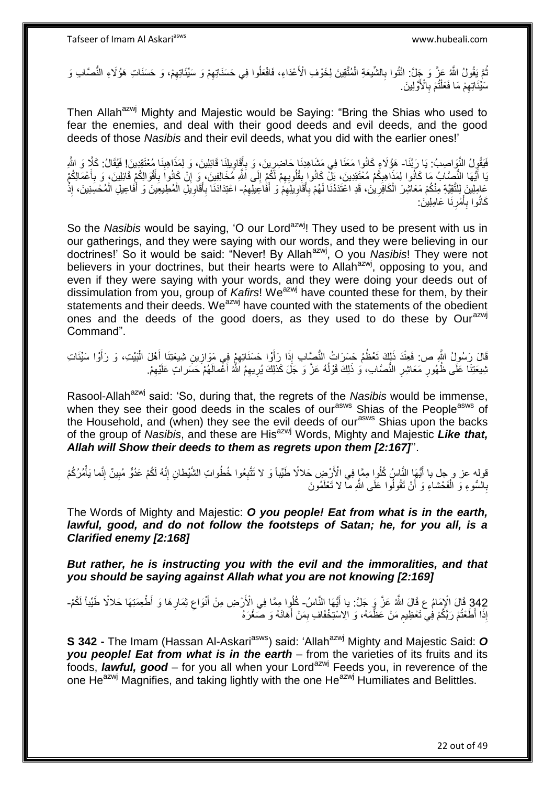ُمَّ يَقُولُ اللَّهُ عَنَّ وَ جَِلَّ: انْتُوا بِالشَّيعَةِ الْمُتَّقِينَ لِخَوْفِ الْأَعْدَاءِ، فَافْعَلُوا فِي حَسَنَاتِهِمْ وَ سَيِّئَاتِهِمْ، وَ حَسَنَاتِ هَؤُلَاءِ النُّصَّابِ وَ ْ ِ ِ ِ مَلِّيَّـَاتِـهِمْ مَا فَعَلْثُمْ بِٱلْأَوَّلِينَ. **∶** ْ ِ

Then Allah<sup>azwj</sup> Mighty and Majestic would be Saying: "Bring the Shias who used to fear the enemies, and deal with their good deeds and evil deeds, and the good deeds of those *Nasibis* and their evil deeds, what you did with the earlier ones!'

فَيَقُولُ النَّوَاصِبُ: يَا رَبَّنَا- هَؤُلَاءِ كَانُوا مَعَنَا فِي مَشَاهِدِنَا حَاضِرِينَ، وَ بِأَقَاوِيلِنَا قَائِلِينَ، وَ لِمَذَاهِبِنَا مُعْتَقِدِينَ! فَيُقَالُ: كَلَّا وَ اللَّهِ ِ َ ِ ِ ِ بَا أَيُّهَا النُّصَّابُ مَا كَانُوا لِمَذَاهِبِكُمْ مُعْتَقِدِينَ، بَلّْ كَانُوا بِقُلُوبِهِمْ لَكُمْ إِلَى اَشَّهِ مُخَالِفِينَ، وَ إِنْ كَانُوا بِقُلُوبِهِمْ لَكُمْ إِلَى اَشَّهِ مُخَالِفِينَ، وَ إِنْ كَانُوا بِقُلُوبِه ِ ِ **!** ِ َ ِ َ ِ ِ عَامِلِينَ لِلتَّقِيَّةِ مِنْكُمْ مَعَاشِرَ الْكَافِرِينَ، قَدِ اعْتَدَدْنَا لَهُمْ بِأَقَاوِيلِهِمْ وَ أَفَاعِيلِهِمُ- اعْتِدَادَنَا إِنْهِ عَائِمَةً مِنْ الْمُحْسِنِينَ، إِذْ ِ َ ِ ِ َ ِ ِ ْ ة<br>. ْ َ ْ ِ َ ِ كَانُوا بِأَمْرِنَا عَامِلِينَ: **∶** اُ **∶** 

So the *Nasibis* would be saying, 'O our Lord<sup>azwj</sup>! They used to be present with us in our gatherings, and they were saying with our words, and they were believing in our doctrines!' So it would be said: "Never! By Allahazwj, O you *Nasibis*! They were not believers in your doctrines, but their hearts were to Allah<sup>azwj</sup>, opposing to you, and even if they were saying with your words, and they were doing your deeds out of dissimulation from you, group of *Kafirs*! We<sup>azwj</sup> have counted these for them, by their statements and their deeds. We<sup>azwj</sup> have counted with the statements of the obedient ones and the deeds of the good doers, as they used to do these by Our<sup>azwj</sup> Command".

قَالَ رَسُولُ اللَّهِ ص: فَعِنْدَ ذَلِكَ تَعْظُمُ حَسَرَاتُ النُّصِّابِ إِذَا رَأَوْا حَسَنَاتِهِمْ فِي مَوَازِينِ شِيعَتِنَا أَهْلَ الْبَيْتِ، وَ رَأَوْا سَيِّئَاتِ ِ ِ اُ َ ْ َ نْبِيعَتِنَا عَلَى ظُهُورِ مَعَاشِرِ النُّصَّابِ، وَ ذَلِكَ قَوْلُهُ عَزَّ وَ جَلَ كَذلِكَ يُرِيهِمُ اَشَّهُ أَعْمالَهُمْ حَسَراتٍ عَلَيْهِمْ. ا<br>ا ِ ِ ِ َ ِ

Rasool-Allah<sup>azwj</sup> said: 'So, during that, the regrets of the *Nasibis* would be immense, when they see their good deeds in the scales of our<sup>asws</sup> Shias of the People<sup>asws</sup> of the Household, and (when) they see the evil deeds of our<sup>asws</sup> Shias upon the backs of the group of *Nasibis*, and these are His<sup>azwj</sup> Words, Mighty and Majestic Like that, *Allah will Show their deeds to them as regrets upon them [2:167]*''.

قوله عز و جل يا أَيُّهَا النَّاسُ كُلُوا مِمَّا فِي الْأَرْضِ حَلالًا طَيِّباً وَ لا تَتَّبِعُوا خُطُواتِ الشَّيْطانِ إِنَّهُ لَكُمْ عَدُوٌّ مُبِينٌ إِنَّما يَأْمُرُكُمْ ِ ِ ْ ِ ِ بِالسُّوءِ وَ الْفَحْشاءِ وَ أَنْ تَقُولُوا عَلَى اللَّهِ مَا لا تَعْلَمُونَ **∶** اً ْ

The Words of Mighty and Majestic: *O you people! Eat from what is in the earth,*  lawful, good, and do not follow the footsteps of Satan; he, for you all, is a *Clarified enemy [2:168]*

*But rather, he is instructing you with the evil and the immoralities, and that you should be saying against Allah what you are not knowing [2:169]*

342 قَالَ الْإِمَامُ عِ قَالَ اللَّهُ عَزَّ وَ جَلَّ: يا أَيُّهَا النَّاسُ- كُلُّوا مِمَّا فِي الْأَرْضِ مِنْ أَنْوَاعِ ثِمَارِهَا وَ أَطْعِمَتِهَا حَلالًا طَيِّباً لَكُمْ-<br>وَيَمْهُمُ وَأَمُّهُمْ وَعَلَيْهِ الْقُدْ عَزَّ َ َ إِذَا أَطَعْتُمْ رَبَّكُمْ فِي تَعْظِيمِ مَنْ عَظَّمَهُ، وَ الِاسْتِخْفَافِ بِمَنْ أَهَانَهُ وَ صَغَّرَهُ ا<br>أ ِ ِ

**S 342 -** The Imam (Hassan Al-Askari<sup>asws</sup>) said: 'Allah<sup>azwj</sup> Mighty and Majestic Said: O *you people! Eat from what is in the earth* – from the varieties of its fruits and its foods, *lawful, good* – for you all when your Lord<sup>azwj</sup> Feeds you, in reverence of the one He<sup>azwj</sup> Magnifies, and taking lightly with the one He<sup>azwj</sup> Humiliates and Belittles.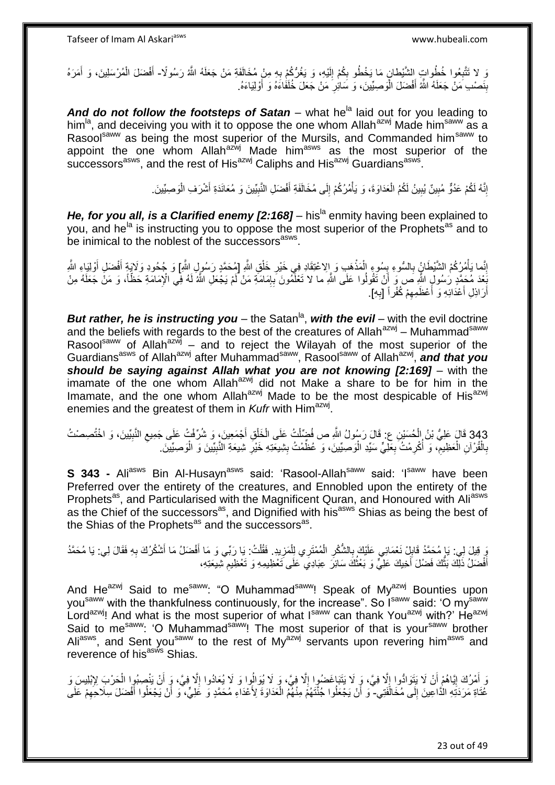وَ لا تَتَّبِعُوا خُطُواتٍ إِلشَّيْطانٍ مَا يَخْطُو بِكُمْ إِلَيْهِ، وَ يَغُرُّكُمْ بِهِ مِنْ مُخَالَفَةِ مَنْ جَعَلَهُ اللَّهُ رَسُولًا- أَفْضَلَ الْمُرْسَلِينَ، وَ أَمَرَهُ ِ ِ لَ ِ ِ َ ْ َ بِنَصْدِ مَنْ جَعَلَهُ اللَّهُ أَفْضَلَ الْوَصِيِّينَ، وَ سَائِرِ مَنْ جَعَلَ خُلَفَاءَهُ وَ أَوْلِيَاءَهُ. ِ ْ َ **ِ** َ

And do not follow the footsteps of Satan – what he<sup>la</sup> laid out for you leading to him<sup>la</sup>, and deceiving you with it to oppose the one whom Allah<sup>azwj</sup> Made him<sup>saww</sup> as a Rasool<sup>saww</sup> as being the most superior of the Mursils, and Commanded him<sup>saww</sup> to appoint the one whom Allah<sup>azwj</sup> Made him<sup>asws</sup> as the most superior of the successors<sup>asws</sup>, and the rest of His<sup>azwj</sup> Caliphs and His<sup>azwj</sup> Guardians<sup>asws</sup>.

> إِنَّهُ لَكُمْ عَدُوٌّ مُبِينٌ يُبِينُ لَكُمُ الْعَدَاوَةَ، وَ يَأْمُرُكُمْ إِلَى مُخَالَفَةِ أَفْضَلِ النَّبِيِّينَ وَ مُعَانَدَةِ أَشْرَفِ الْوَصِيِّينَ **!**  ِ **!** ْ َ ِ َ ِ ْ ْ

*He, for you all, is a Clarified enemy [2:168]* – his<sup>la</sup> enmity having been explained to you, and he<sup>la</sup> is instructing you to oppose the most superior of the Prophets<sup>as</sup> and to be inimical to the noblest of the successors<sup>asws</sup>.

إِنَّما بَأْمُرُكُمْ الشَّيْطَانُ بِالسُّوءِ بِسُوءٍ الْمَذْهَبِ وَ إِلاعْتِقَادِ فِي خَيْرِ خَلْقِ اللَّهِ [مُحَمَّدٍ رَسُولٍ اللَّهِ] وَ جُحُودِ وَلَايَةٍ أَفْضَلِ أَوْلِيَاءِ اللَّهِ ْ ِ ْ **∶ ٔ** ْ **∣ ∶** َ َ َبِّعْدَ مُحَمَّدٍ رَسُولٍ الثَّهِ صَ وَ أَنْ تَقُولُوا عَلَى الثَّهِ ما لا تَعْلَّمُونَ بِإِمَامَةِ يَجْعَلِ الثَّهُ لَهُ فِي الْإِمَامَةِ حَظَّاً، وَ مَنْ جَعَلَهُ مِنْ ן, **∶** أَرَاذِلِ أَعْدَائِهِ وَ أَعْظَمِهِمْ كُفْراً [بِهِ]. ِ ِ ة<br>أ َ اً

**But rather, he is instructing you** – the Satan<sup>la</sup>, with the evil – with the evil doctrine and the beliefs with regards to the best of the creatures of Allah<sup>azwj</sup> – Muhammad<sup>saww</sup> Rasool<sup>saww</sup> of Allah<sup>azwj</sup> – and to reject the Wilayah of the most superior of the Guardians<sup>asws</sup> of Allah<sup>azwj</sup> after Muhammad<sup>saww</sup>, Rasool<sup>saww</sup> of Allah<sup>azwj</sup>, and that you *should be saying against Allah what you are not knowing [2:169]* – with the imamate of the one whom Allah $a^{2x}$  did not Make a share to be for him in the Imamate, and the one whom Allah<sup>azwj</sup> Made to be the most despicable of His<sup>azwj</sup> enemies and the greatest of them in *Kufr* with Him<sup>azwj</sup>.

343 قَالَ عَلِيُّ بْنُ الْحُسَيْنِ عِ: قَالَ رَسُولُ اللَّهِ صِ فُضِّلْتُ عَلَى الْخَلْقِ أَجْمَعِينَ، وَ شُرِّفْتُ عَلَى جَمِيعِ النَّبِيِّينَ، وَ اخْتُصِصْتُ<br>فَأُمُوهُ عَلَيْهِ مِنْ مُؤْسُلِمَ مِنْ تَسْتَحِمْتُ اللَّهِ ِ ْ َ ْ ْ ْ بِالْقُرْآنِ الْعَظِيمِّ، وَ أُكْرِمْتُ بِعَلِيٍّ سَيِّدِ الْوَصِيِّينَ، وَ عُظِّمْتُ بِشِيعَّذِهِ خَيْرِ شِيعَةِ النَّبِيِّينَ وَ الْوَصِيِّينَ. ِ **∶** ِ :<br>ا **∶ ∶** ا<br>ا ِ ْ ْ ِ ْ

**S 343 -** Ali<sup>asws</sup> Bin Al-Husayn<sup>asws</sup> said: 'Rasool-Allah<sup>saww</sup> said: 'I<sup>saww</sup> have been Preferred over the entirety of the creatures, and Ennobled upon the entirety of the Prophets<sup>as</sup>, and Particularised with the Magnificent Quran, and Honoured with Ali<sup>asws</sup> as the Chief of the successors<sup>as</sup>, and Dignified with his<sup>asws</sup> Shias as being the best of the Shias of the Prophets<sup>as</sup> and the successors<sup>as</sup>.

، وَ قِيلَ لِي يَا مُحَمَّدُ قَابِلْ نَعْمَائِي عَلَيْكَ بِالشُّكْرِ الْمُمْتَرِي لِلْمَزِيدِ. فَقُلْتُ: يَا ر<br>بِّ قِيلَ لِي يَأْسُبَ دَيْنَ الْمُحَمَّدُ قَابِلٍ نَعْمَائِي عَلَيْكَ بِالشُّكْرِ الْمُمْتَرِي لِلْمَزِيدِ. ف ْ ِ ِ ا<br>پنج ِ ِ َ َ ْ أَفْضَلُ ذَلِّكَ بَثُّكَ فَضْلَ أَخِيكَ عَلِيٍّ وَ بَعْثُكَ سَائِرَ ۖ عِبَادِيِّ عَلَى تَعْظِيمِهِ وَ تَعْظِيم تَّثِيبِعَتِهِ، ُ َ ِ

And He<sup>azwj</sup> Said to me<sup>saww</sup>: "O Muhammad<sup>saww</sup>! Speak of My<sup>azwj</sup> Bounties upon you<sup>saww</sup> with the thankfulness continuously, for the increase". So I<sup>saww</sup> said: 'O my<sup>saww</sup> Lord<sup>azwj</sup>! And what is the most superior of what I<sup>saww</sup> can thank You<sup>azwj</sup> with?' He<sup>azwj</sup> Said to me<sup>saww</sup>: 'O Muhammad<sup>saww</sup>! The most superior of that is your<sup>saww</sup> brother Ali<sup>asws</sup>, and Sent you<sup>saww</sup> to the rest of My<sup>azwj</sup> servants upon revering him<sup>asws</sup> and reverence of his<sup>asws</sup> Shias.

وَ أَمْرُكَ إِيَّاهُمْ أَنْ لَا يَتَوَادُّوا إِلَّا فِيَّ، وَ لَا يَتَبَاغَضُوا إِلَّا فِيَّ، وَ لَا يُوَالُوا وَ لَا يُعَادُوا إِلَّا فِيَّ، وَ اََّنْ يَنْصِبُوا الْحَرْبَ لِإِبْلِيسَ وَ  $\frac{1}{2}$ **֓**ׇ֚֚֚֚֚֓֡֡֓֡֘ ْ اُ ِ ِ غُتَاةِ مَرَدَتِهِ الدَّاعِينَ إِلَى مُخَالَّفَتِي- ۖ وَ أَنْ يَجْعَلُوا جُنَّتَهُمْ مِنْهُمُ الْعَدَاوَةَ لِأَعْدَاءِ مُحَمَّدٍ وَ غَلِيٍّ، ۖ وَ أَنْ يَجْعَلُوا أَفْضَلَ سِلَاحَهِمْ عَلَى ∣∣<br>∶ ِ َ َ ْ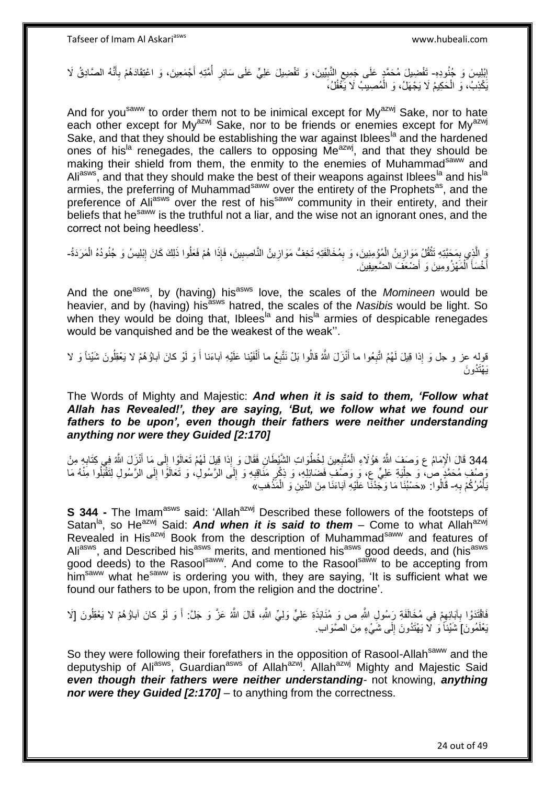إِبْلِيسَ وَ جُنُودِهِ- تَفْضِيلَ مُحَمَّدٍ عَلَى جَمِيعِ النَّبِيِّينَ، وَ تَفْضِيلَ عَلِيٍّ عَلَى سَائِرِ أَمَّتِهِ أَجْمَعِينَ، وَ اعْتِقَادَهُمْ بِأَنَّهُ الصَّادِقُ لَا <u>֖֚֚֓</u> ِ ِ َ ِ َ **ٍ** يَكْذِبُ، وَ الْحَكِيمُ لَا يَجْهَلُ، وَ الْمُصِيبُ لَا يَّغْفُلُ، ْ ْ

And for you<sup>saww</sup> to order them not to be inimical except for  $My^{azwj}$  Sake, nor to hate each other except for My<sup>azwj</sup> Sake, nor to be friends or enemies except for My<sup>azwj</sup> Sake, and that they should be establishing the war against Iblees<sup>la</sup> and the hardened ones of his<sup>la</sup> renegades, the callers to opposing Me<sup>azwj</sup>, and that they should be making their shield from them, the enmity to the enemies of Muhammad<sup>saww</sup> and Ali<sup>asws</sup>, and that they should make the best of their weapons against Iblees<sup>la</sup> and his<sup>la</sup> armies, the preferring of Muhammad<sup>saww</sup> over the entirety of the Prophets<sup>as</sup>, and the preference of Ali<sup>asws</sup> over the rest of his<sup>saww</sup> community in their entirety, and their beliefs that he<sup>saww</sup> is the truthful not a liar, and the wise not an ignorant ones, and the correct not being heedless'.

رَ الَّذِي بِمَحَبَّدِهِ تَثْقُلُ مَوَازِينُ الْمُؤْمِنِينَ، وَ بِمُخَالَفَدِهِ تَخِفُّ مَوَازِينُ النَّاصِبِينَ، فَإِذَا هُمْ فَعَلُوا ذَلِكَ كَانَ إِبْلِيسُ وَ جُنُودُهُ الْمَرَدَةُ-ِ ْ **∶** ْ ِ ه ْ ِ ِ **∶** أَخْسَأَ الْمَهْزُومِينَ وَ أَضْعَفَ الضَّعِيفِينَ َ ْ َ ا<br>ا

And the one<sup>asws</sup>, by (having) his<sup>asws</sup> love, the scales of the *Momineen* would be heavier, and by (having) hisasws hatred, the scales of the *Nasibis* would be light. So when they would be doing that, Iblees<sup>la</sup> and his<sup>la</sup> armies of despicable renegades would be vanquished and be the weakest of the weak''.

قوِلِه عز و جل وَ إِذا قِيلَ لَهُمُ اتَّبِعُوا ما أَنْزَلَ اللَّهُ قالُوا بَلْ نَتَّبِعُ ما أَلْفَيْنا عَلَيْهِ آباءَنا أَ وَ لَوْ كانَ آباؤُهُمْ لا يَعْقِلُونَ شَيْئاً وَ لا َ **∶** َ ْ َ ِ َي ْهَتُدو َن

The Words of Mighty and Majestic: *And when it is said to them, 'Follow what Allah has Revealed!', they are saying, 'But, we follow what we found our fathers to be upon', even though their fathers were neither understanding anything nor were they Guided [2:170]*

344 قَالَ الْإِمَامُ ع وَصَفَ اللَّهُ هَؤُلَاءِ الْمُتَّبِعِينَ لِخُطُوَاتِ الشَّيْطَانِ فَقَالَ وَ إِذا قِيلَ لَمُمُ تَعَالَوْا إِلَى مَا أَنْزَلَ اللَّهُ فِي كَتَابِهِ مِنْ<br>وَإِذَا قَالَ الْإِمَامُ ع وَصَفَ اللَّهُ هَؤُل ِ ْ َ ِ **∶** ْ ِ رَصْفِ مُحَمَّدٍ صْ، وَ حِلْيَةِ عَلِيٍّ عِ، وَ وَصَفْ ِفَضَائِلِهِ، وَ ذِكْرٍ مَذَاقِبِهِ وَ إِلَى الرَّسُولِ، وَ تَعَالَوْا إِلَى الرَّسُولِ لِتَقْبَلُوا مَِنْهُ مَا ِ ِ ِ :<br>ا يَأْمُرُكُمْ بِهِ- قَالُوا: «حَسْبُنَا مَا وَجَدْنَا عَلَيْهِ آبَاءَنَا مِنَ الدِّينِ وَ الْمَذْهَبِ»َ **∶** ْ **ٔ** ْ

**S 344 -** The Imam<sup>asws</sup> said: 'Allah<sup>azwj</sup> Described these followers of the footsteps of Satan<sup>la</sup>, so He<sup>azwj</sup> Said: **And when it is said to them** – Come to what Allah<sup>azwj</sup> Revealed in His<sup>azwj</sup> Book from the description of Muhammad<sup>saww</sup> and features of Ali<sup>asws</sup>, and Described his<sup>asws</sup> merits, and mentioned his<sup>asws</sup> good deeds, and (his<sup>asws</sup> good deeds) to the Rasool<sup>saww</sup>. And come to the Rasool<sup>saww</sup> to be accepting from him<sup>saww</sup> what he<sup>saww</sup> is ordering you with, they are saying, 'It is sufficient what we found our fathers to be upon, from the religion and the doctrine'.

فَاقْتَدَوْا بِآبَائِهِمْ فِي مُخَالَفَةِ رَسُولِ اللَّهِ ص وَ مُنَابَذَةِ عَلِيٍّ وَلِيٍّ اللَّهِ، قَالَ اللَّهُ عَزَّ وَ جَلَّ: أَ وَ لَوْ كانَ آباؤُهُمْ لا يَعْقِلُونَ [لَا ِ **∶** ا<br>ا يَعْلَمُونَ] شَيْئاً وَ لَا يَهْتَدُونَ إِلَى شَيْءٍ مِنَ الصَّوَابِ لَ ِ

So they were following their forefathers in the opposition of Rasool-Allah<sup>saww</sup> and the deputyship of Ali<sup>asws</sup>, Guardian<sup>asws</sup> of Allah<sup>azwj</sup>. Allah<sup>azwj</sup> Mighty and Majestic Said *even though their fathers were neither understanding*- not knowing, *anything nor were they Guided [2:170]* – to anything from the correctness.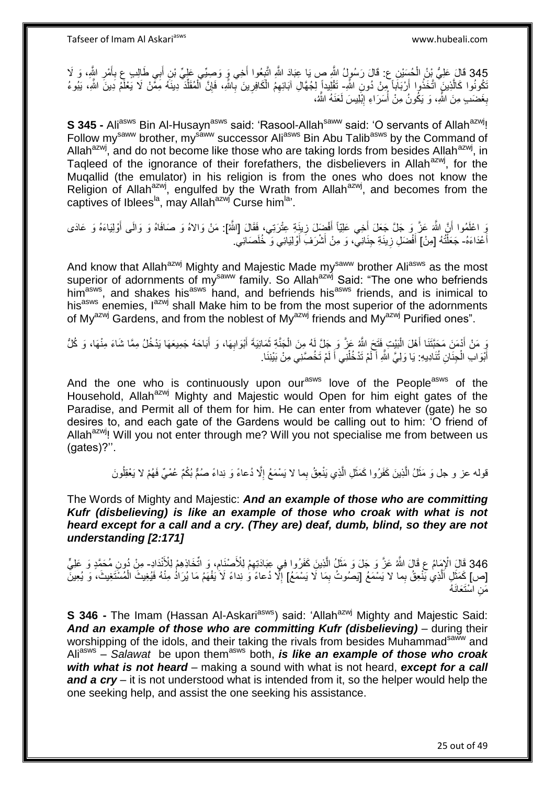345 قَالَ عَلِيُّ بِنُ الْحُسَيْنِ ع: قَالَ رَسُولُ اللَّهِ صِ يَا عِبَادَ اللَّهِ اتَّبِعُوا أَخِي وَ وَصِبِّي عَلِيِّ بْنِ أَبِي طَالِبٍ عِ بِأَمْرِ اللَّهِ ، وَ لَا<br>345 قَالَ عَلَيُّ بِنُ الْحُسَنِ ، وَ تَلْلَهُ رَسُولُ َ ِ **∶** َ َ ¦ ْ َّكُونُوا كَالَّذِينَ ۖ اتَّخَذُوا أَرْبَابَاً مِنْ دُونِ اللَّهِ- تَقْلِيداً لِلَجُهَالِ آبَائِهِمُ الْكَافِرِينَ بِّاللَّهِ، فَإِنَّ أَلْمُقَلِّدٌ دِينَهُ مِمَّنْ لَا يَعْلَمُ دِينَ اللَّهِ، يَبُوءُ ه ِّ ْ ∣ٍ إا ِ ِ ْ بِغَضَىبٍ مِنَ اللَّهِ، وَ يَكُونُ مِنْ أُسَرَاءِ إِبْلِيسَ لَعَنَهُ اللَّهُ، ِ ُ **∶** 

**S 345 -** Ali<sup>asws</sup> Bin Al-Husayn<sup>asws</sup> said: 'Rasool-Allah<sup>saww</sup> said: 'O servants of Allah<sup>azwj</sup>! Follow my<sup>saww</sup> brother, my<sup>saww</sup> successor Ali<sup>asws</sup> Bin Abu Talib<sup>asws</sup> by the Command of Allah<sup>azwj</sup>, and do not become like those who are taking lords from besides Allah<sup>azwj</sup>, in Tagleed of the ignorance of their forefathers, the disbelievers in Allah<sup>azwj</sup>, for the Muqallid (the emulator) in his religion is from the ones who does not know the Religion of Allah<sup>azwj</sup>, engulfed by the Wrath from Allah<sup>azwj</sup>, and becomes from the captives of Iblees<sup>la</sup>, may Allah<sup>azwj</sup> Curse him<sup>la</sup>'.

وَ اعْلَمُوا أَنَّ اللَّهَ عَزَّ وَ جَلَّ جَعَلَ أَخِي عَلِيّاً أَفْضِلَ زِينَةٍ عِتْرَتِي، فَقَالَ [اللَّهُ]: مَنْ وَالاهُ وَ صَافَاهُ وَ وَالَى أَوْلِيَاءَهُ وَ عَادَى ِ َ َ َ أَعْدَاءَهُ- جَعَلْتُهُ [مِنْ] أَفْضَلِ زِينَةِ جِنَانِيٌّ، وَ مِنْ أَشْرَفَ أَوْلِيَائِي وَ خُلَصَائِيٍّ. ֺ֧֦֧֦֧֦֦֦֦֖֦֪֦֪֦֧֦֪֦֪֦֪֪֦֪֪֦֪֪֦֪֦֪֪֦֝֟֟֟֟֟֟֟֟֟֟֟֟֟֟֟֟֟֟֟֟֟֟֓֕֟֓֟֓֟֓֟֓֟֓֟֓֟֓֟֓֟֓֟֓֟֟֟֝֟֟֟֟֟֟֟֝֟ َ َ ِ َ

And know that Allah<sup>azwj</sup> Mighty and Majestic Made my<sup>saww</sup> brother Ali<sup>asws</sup> as the most superior of adornments of my<sup>saww</sup> family. So Allah<sup>azwj</sup> Said: "The one who befriends him<sup>asws</sup>, and shakes his<sup>asws</sup> hand, and befriends his<sup>asws</sup> friends, and is inimical to his<sup>asws</sup> enemies, I<sup>azwj</sup> shall Make him to be from the most superior of the adornments of My<sup>azwj</sup> Gardens, and from the noblest of My<sup>azwj</sup> friends and My<sup>azwj</sup> Purified ones".

وَ مَنْ أَدْمَنَ مَجَنَّتَنَا أَهْلَ الْبَيْتِ فَتَحَ اللَّهُ عَزَّ وَ جَلَّ لَهُ مِنَ الْجَنَّةِ ثَمَانِيَةَ أَبْوَابِهَا، وَ أَبَاحَهُ جَمِيعَهَا يَدْخُلُ مِمَّا شَاءَ مِنْهَا، وَ كُلُّ َ َ ِ َ  $\ddot{\phantom{0}}$ ْ :<br>ا َ أَبْوَابِ الْجِنَانِ تُنَادِيهِ: يَا وَلِيَّ اللَّهِ أَكْمْ تَدْخُلْنِي أَكَمْ تَخُصَّنِي مِنْ بَيْنِنَا. لَ َ ْ لَ َ ْ ֞<u>֚</u>

And the one who is continuously upon our<sup>asws</sup> love of the People<sup>asws</sup> of the Household, Allah<sup>azwj</sup> Mighty and Majestic would Open for him eight gates of the Paradise, and Permit all of them for him. He can enter from whatever (gate) he so desires to, and each gate of the Gardens would be calling out to him: 'O friend of Allah<sup>azwj</sup>! Will you not enter through me? Will you not specialise me from between us (gates)?''.

> قوله عز و جل وَ مَثَّلُ الَّذِينَ كَفَرُوا كَمَثَلِ الَّذِي يَنْعِقُ بِما لا يَسْمَعُ إِلَّا دُعاءً وَ نِداءً صُمٌّ بُكُمٌ عُمْيٌ فَهُمْ لا يَعْقِلُونَ ِ ه  $\ddot{\phantom{0}}$ ه اُ

The Words of Mighty and Majestic: *And an example of those who are committing Kufr (disbelieving) is like an example of those who croak with what is not heard except for a call and a cry. (They are) deaf, dumb, blind, so they are not understanding [2:171]*

346 قَالَ الْإِمَامُ عِ قَالَ اللَّهُ عَنَّ وَ جَلَ وَ مَثَلُ الَّذِينَ كَفَرُوا فِي عِبَادَتِهِمْ لِلْأَصْنَامِ، وَ اتِّخَاذِفِمْ لِلْأَنْدَادِ- مِنْ دُونِ مُحَمَّدٍ وَ عَلِيٍّ<br>وَيَمَدُّدُ الْجَمَعِينَ الْمَرْسَمِينَ مِن **ٔ** ه ِ [ص] كَمَثَلِ الَّذِي يَّنْعِقُ بِما لا يَسْمَعُ [يَصُوتُ بِمَا لَا يَسْمَعُ] إِلَّا دُعاءً وَ نِداءً لَا يَفْهَمُ مَا يُرَادُ مِنْهُ فَيُغِيثَ الْمُسْتَغِيثَ، وَ يُعِينَ ِ ه َ ِ ِ ْ مَنِ اسْتَعَانَهُ

**S 346 -** The Imam (Hassan Al-Askari<sup>asws</sup>) said: 'Allah<sup>azwj</sup> Mighty and Majestic Said: *And an example of those who are committing Kufr (disbelieving)* – during their worshipping of the idols, and their taking the rivals from besides Muhammad<sup>saww</sup> and Ali<sup>asws</sup> – *Salawat* be upon them<sup>asws</sup> both, *is like an example of those who croak with what is not heard* – making a sound with what is not heard, *except for a call*  **and a cry** – it is not understood what is intended from it, so the helper would help the one seeking help, and assist the one seeking his assistance.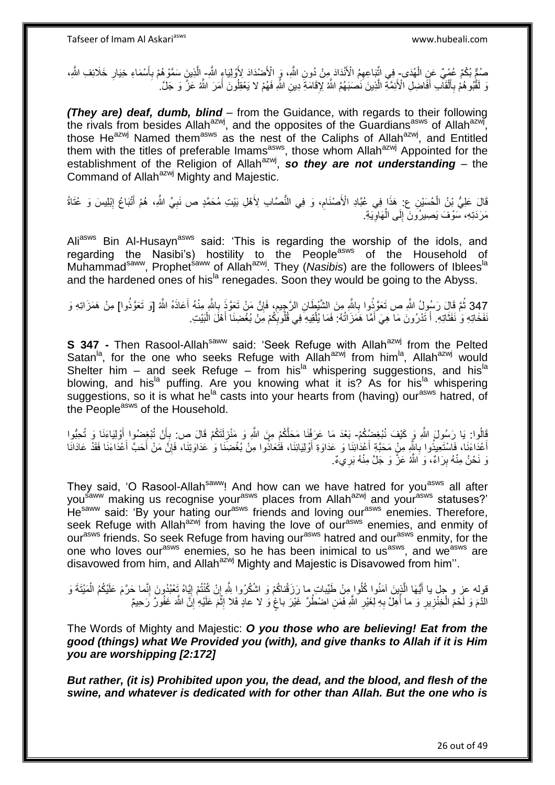صُمٍّ بُكْمٌ عُمْبٍ ۚ عَنِِ الْهُدَى- فِي اتِّبَاعِهِمُ الْأَنْدَادَ مِنْ دُونِ اللَّهِ، وَ الْأَضْدَادَ لِأَوْلِيَاءٍ اللَّهِۦ الْأَنْدَادَ مِنْ دُونِ اللَّهِ، وَ الْأَضْدَادَ لِأَوْلِيَاءٍ اللَّهِۦ الْأَشَادَ مِنْ دُونِ ْ ِّ ِ َ ِ ه نَ لَقَٰبُو هُمْ بِأَلْقَالَبِ أَفَّاضِلِ الْأَئِمَّةِ الَّذِينَ نَصْبَهُمُ اللَّهُ لِإِقَامَةٍ ۖ دِينِ اللَّهِ فَهُمْ لا يَعْقِلُونَ أَمَرَ اللَّهُ عَنَّ وَ جَلَّ. ه َ ْ َ **∶** ُ َ

*(They are) deaf, dumb, blind* – from the Guidance, with regards to their following the rivals from besides Allah<sup>azwj</sup>, and the opposites of the Guardians<sup>asws</sup> of Allah<sup>azwj</sup>, those He<sup>azwj</sup> Named them<sup>asws</sup> as the nest of the Caliphs of Allah<sup>azwj</sup>, and Entitled them with the titles of preferable Imams<sup>asws</sup>, those whom Allah<sup>azwj</sup> Appointed for the establishment of the Religion of Allah<sup>azwj</sup>, so they are not understanding – the Command of Allah<sup>azwj</sup> Mighty and Majestic.

قَالَ عَلِيُّ بْنُ الْحُسَيْنِ ع: هَذَا فِي عُبَّادِ الْأَصْنَامِ، وَ فِي النُّصَّابِ لِأَهْلِ بَيْتِ مُحَمَّدٍ ص نَبِيِّ اللَّهِ، هُمْ أَتْبَاعُ إِبْلِيسَ وَ عُتَاةُ ِ ِ َ ِ مَرَدَتِهِ، سَوْفَ يَصِيرُونَ إِلَى الْهَاوِيَةِ. ِ ْ ∣∣<br>∶

Ali<sup>asws</sup> Bin Al-Husayn<sup>asws</sup> said: 'This is regarding the worship of the idols, and regarding the Nasibi's) hostility to the People<sup>asws</sup> of the Household of Muhammad<sup>saww</sup>, Prophet<sup>saww</sup> of Allah<sup>azwj</sup>. They (*Nasibis*) are the followers of Iblees<sup>la</sup> and the hardened ones of his<sup>la</sup> renegades. Soon they would be going to the Abyss.

347 ثُمَّ قَالَ رَسُولُ اللَّهِ صِ تَعَوَّذُوا بِاللَّهِ مِنَ الشَّيْطَانِ الرَّجِيمِ، فَإِنَّ مَنْ تَعَوَّذَ بِاللَّهِ مِنْهُ أَعَاذَهُ اللَّهُ [وَ تَعَوَّذُوا] مِنْ هَمَزَاتِهِ وَ<br>يَرْكُمُ أَيْرَ مِن أَيَّهُ إِنَّ أَنْ َ َ ة **∶** ِ ِ نَفَخَاتِهِ وَ نَفَثَاتِهِ. أَ تَدْرُونَ مَا هِيَ أَمَّا هَمَزَاتُهُ: فَمَا يُلْقِيهِ فِي قُلُوبِكُمْ مِنْ بُغْضِنَا أَهْلَ الْبَيْتِ. ة<br>أ َ ِ ْ َ َ ْ

**S 347 -** Then Rasool-Allah<sup>saww</sup> said: 'Seek Refuge with Allah<sup>azwj</sup> from the Pelted Satan<sup>la</sup>, for the one who seeks Refuge with Allah<sup>azwj</sup> from him<sup>la</sup>, Allah<sup>azwj</sup> would Shelter him – and seek Refuge – from his<sup>la</sup> whispering suggestions, and his<sup>la</sup> blowing, and his<sup>la</sup> puffing. Are you knowing what it is? As for his<sup>la</sup> whispering suggestions, so it is what he<sup>la</sup> casts into your hearts from (having) our<sup>asws</sup> hatred, of the People<sup>asws</sup> of the Household.

قَالُوا: يَا رَسُولَ اللَّهِ وَ كَيْفَ نُبْغِضُكُمْ- بَعْدَ مَا عَرَفْنَا مَحَلَّكُمْ مِنَ اللَّهِ وَ مَنْزِلَتَكُمْ قَالَ ص: بِأَنْ تُبْغِضُوا أَوْلِيَاءَنَا وَ تُحِبُّوا َ أ ِ ِ أَعْدَاءَنَا، فَاسْتَعِيذُوا بِاشٍّهِ مِنْ مَحَبَّةِ أَعْدَٰائِنَا وَ عَدَاوَةِ أَوْلِيَائِنَا، فَتُعَاذُوا مِنْ بُغْضِنَا وَ عَدَاوَتا مَنْ أَحَدَا مَنْ أَحَدَا مَنْ أَعْدَاءَنَا فَقَدْ عَادَانًا َ ِ ∣ٍ َ َ نَ نَحْنُ مِنْهُ بِرَاءٌ، وَ اللَّهُ عَزَّ وَ جَلَّ مِنْهُ بَرِيءٌ. ِ

They said, 'O Rasool-Allah<sup>saww</sup>! And how can we have hatred for you<sup>asws</sup> all after you<sup>saww</sup> making us recognise your<sup>asws</sup> places from Allah<sup>azwj</sup> and your<sup>asws</sup> statuses?' He<sup>saww</sup> said: 'By your hating our<sup>asws</sup> friends and loving our<sup>asws</sup> enemies. Therefore, seek Refuge with Allah<sup>azwj</sup> from having the love of our<sup>asws</sup> enemies, and enmity of our<sup>asws</sup> friends. So seek Refuge from having our<sup>asws</sup> hatred and our<sup>asws</sup> enmity, for the one who loves our<sup>asws</sup> enemies, so he has been inimical to us<sup>asws</sup>, and we<sup>asws</sup> are disavowed from him, and Allah<sup>azwj</sup> Mighty and Majestic is Disavowed from him".

قوِله عز و جِلٍ يا أَيُّهَا الَّذِينَ آمَنُوا كُلُوا مِنْ طَيِّبات ما رَزَقْناكُمْ وَ اشْكُرُوا لِلَّهِ إِنْ كُنْتُمْ إِيَّاهُ تَعْبُدُونَ إِنَّما حَرَّمَ عَلَيْكُمُ الْمَيْتَةَ وَ ه ْ ِ ∣l<br>∶ٌ ∣l<br>∶ الذَّمَ وَ لَحْمَ الْخِنْزِيرِ وَ ما أُهِلَّ بِهِ لِغَيْرِ اللَّهِ فَمَنِ اصْطُرَّ غَيْرَ باغٍ وَ لا عادٍ فَلا إِثْمَ عَلَيْهِ ٰإِنَّ اللَّهَ غَفُولٌ رَحيمٌ الم<br>أ ِ ٍ **∶** ِ ُ **∶** ِ ْ ِ

The Words of Mighty and Majestic: *O you those who are believing! Eat from the good (things) what We Provided you (with), and give thanks to Allah if it is Him you are worshipping [2:172]*

*But rather, (it is) Prohibited upon you, the dead, and the blood, and flesh of the swine, and whatever is dedicated with for other than Allah. But the one who is*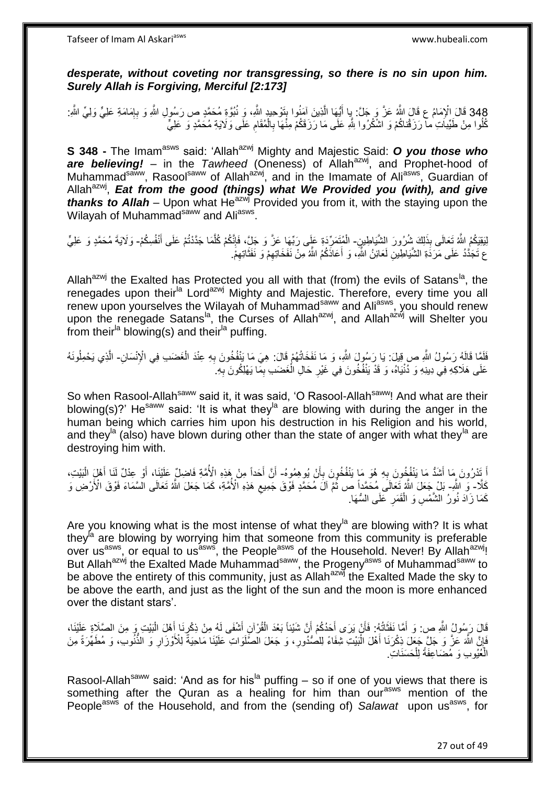Tafseer of Imam Al Askariasws www.hubeali.com

*desperate, without coveting nor transgressing, so there is no sin upon him. Surely Allah is Forgiving, Merciful [2:173]*

348 قَالَ الْإِمَامُ عِ قَالَ اللَّهُ عَنَّ وَ جَلَّ: يِا أَيُّهَا الَّذِينَ آمَنُوا بِتَوْحِيدٍ اللَّهِ، وَ نُبُوَّةٍ مُحَمَّدٍ ص رَسُولِ اللَّهِ وَ بِإِمَامَةِ عَلِيٍّ وَلِيٍّ اللَّهِ:<br>وُفُّدت تَبَعَّل الْإِمَامُ عَلَيْ ן<br>יִ **∶** ِ ه َ كُلُوا مِنْ طَيِّبَاتِ ٰمآ رَزَقْناكُمْ وَ اشْكُرُوا لِلَّهِ عَلَى مَا رَزَقَكُمْ مِنْْهَا بِالْمُقَامِ عَلَى وَلَايَةِ مُحَمَّدٍ وَ عَلِيٍّ ِ ِ ْ ِ

**S 348 -** The Imam<sup>asws</sup> said: 'Allah<sup>azwj</sup> Mighty and Majestic Said: O you those who are believing! – in the *Tawheed* (Oneness) of Allah<sup>azwj</sup>, and Prophet-hood of Muhammad<sup>saww</sup>, Rasool<sup>saww</sup> of Allah<sup>azwj</sup>, and in the Imamate of Ali<sup>asws</sup>, Guardian of Allah<sup>azwj</sup>, Eat from the good (things) what We Provided you (with), and give *thanks to Allah* – Upon what He<sup>azwj</sup> Provided you from it, with the staying upon the Wilayah of Muhammad<sup>saww</sup> and Ali<sup>asws</sup>.

لِبَقِيَكُمُ اللَّهُ تَعالَى بِذَلِكَ شُرُورَ الشَّيَاطِينِ- الْمُتَمَرِّدَةِ عَلَى رَبِّهَا عَزَ وَ جَلِّ، فَإِنَّكُمْ كُلَّمَا جَدَّدُتُمْ عَلَى أَنْفُسِكُمْ- وَلَايَةَ مُحَمَّدٍ وَ عَلِيٍّ َ ه ׀ו<br>ְי ع تَجَدُّدُ عَلَى مَرَدَةِ الشَّيَاطِينِ لَعَائِنُ اللَّهِ، وَ أَعَاذَكُمُ اللَّهُ مِنْ نَفَخَاتِهِمْ وَ نَفَثَاتِهِمْ. َ َ

Allah<sup>azwj</sup> the Exalted has Protected you all with that (from) the evils of Satans<sup>la</sup>, the renegades upon their<sup>la</sup> Lord<sup>azwj</sup> Mighty and Majestic. Therefore, every time you all renew upon yourselves the Wilayah of Muhammad<sup>saww</sup> and Ali<sup>asws</sup>, you should renew upon the renegade Satans<sup>la</sup>, the Curses of Allah<sup>azwj</sup>, and Allah<sup>azwj</sup> will Shelter you from their<sup>la</sup> blowing(s) and their<sup>la</sup> puffing.

فَلَمَّا قَالَهُ رَسُولُ اللَّهِ صِ قِيلَ: يَا رَسُولَ اللَّهِ، وَ مَا نَفَخَاتُهُمْ قَالَ: هِيَ مَا يَنْفُخُونَ بِهِ عِنْدَ الْغَضَبِ فِي الْإِنْسَانِ- الَّذِي يَحْمِلُونَهُ ْ ِ ه عَلَى هَلَاكِهِ فِي دِينِهِ وَ دُنْيَاهُ، وَ قَدْ يَنْفُخُونَ فِي غَيْرِ حَالِ الْغَضَبِ بِمَا يَهْلِكُونَ بِهِ ِ ِ ْ ِ

So when Rasool-Allah<sup>saww</sup> said it, it was said, 'O Rasool-Allah<sup>saww</sup>! And what are their blowing(s)?' He<sup>saww</sup> said: 'It is what they<sup>la</sup> are blowing with during the anger in the human being which carries him upon his destruction in his Religion and his world, and they<sup>la</sup> (also) have blown during other than the state of anger with what they<sup>la</sup> are destroying him with.

اً تَدْرُونَ مَا أَشَدُّ مَا يَنْفُخُونَ بِهِ هُوَ مَا يَنْفُخُونَ بِأَنْ يُوهِمُوهُ- أَنَّ أَحَداً مِنْ هَذِهِ الْأُمَّةِ فَاضِلٌ عَلَيْنَا، أَوْ عِدْلٌ لَنَا أَهْلِ الْبَيْتِ، َ ِ **∶** َ َ َ اُ ْ كَلَّا- وَ اللَّهِ- بَلْ جَعَلَ اللَّهُ ثَعَالَى مُحَمَّداً ص ثُمَّ آلَ مُحَمَّدٍ فَوْقَ جَمِيعٍ هَذِهِ الْأُمَّةِ، كَمَا جَعَلَ اللَّهُ تَعَالَى الْسَّمَاءَ فَوْقَ الْأَرْضِ وَ ِ .<br>• • • • كَمَا زَادَ نُورُ الشَّمْسِ وَ الْقَمَرِ عَلَى السُّهَا. **∶** ْ

Are you knowing what is the most intense of what they<sup>la</sup> are blowing with? It is what they<sup>la</sup> are blowing by worrying him that someone from this community is preferable over us<sup>asws</sup>, or equal to us<sup>asws</sup>, the People<sup>asws</sup> of the Household. Never! By Allah<sup>azwj</sup>! But Allah<sup>azwj</sup> the Exalted Made Muhammad<sup>saww</sup>, the Progeny<sup>asws</sup> of Muhammad<sup>saww</sup> to be above the entirety of this community, just as Allah<sup>azwj</sup> the Exalted Made the sky to be above the earth, and just as the light of the sun and the moon is more enhanced over the distant stars'.

قَالَ رَسُولُ اللَّهِ ص: وَ أَمَّا نَفَثَاتُهُ: فَأَنْ يَرَى أَحَدُكُمْ أَنَّ شَيْئاً بَعْدَ الْقُرُ إِنِ أَشْفَى لَهُ مِنْ ذِكْرِيَا أَهْلَ الْبَيْتِ وَ مِنَ الصَّلَاةِ عَلَيْنَا، َ ْ َ َ َ َ َ ْ َ ِ فَإِنَّ اللَّهَ عَنَّ وَ جَلٍّ جَعَلَ ذِكْرَنَا أَهْلَ الْبَيْتِ شِفَاءً لِلصُّدُورِ، وَ جَعَلَ الصُّلَوَاتِ عَلَيْنَا مَاحِيَةً لِلْأَوْزَارِ وَ النُّنُوبِ، وَ مُطَهِّرَةً مِنَ ِ ْ َ ِ ِ الْعُيُوبِ وَ مُضَاعِفَةً لِلْحَسَنَاتِ. ْ

Rasool-Allah<sup>saww</sup> said: 'And as for his<sup>la</sup> puffing – so if one of you views that there is something after the Quran as a healing for him than our<sup>asws</sup> mention of the People<sup>asws</sup> of the Household, and from the (sending of) Salawat upon us<sup>asws</sup>, for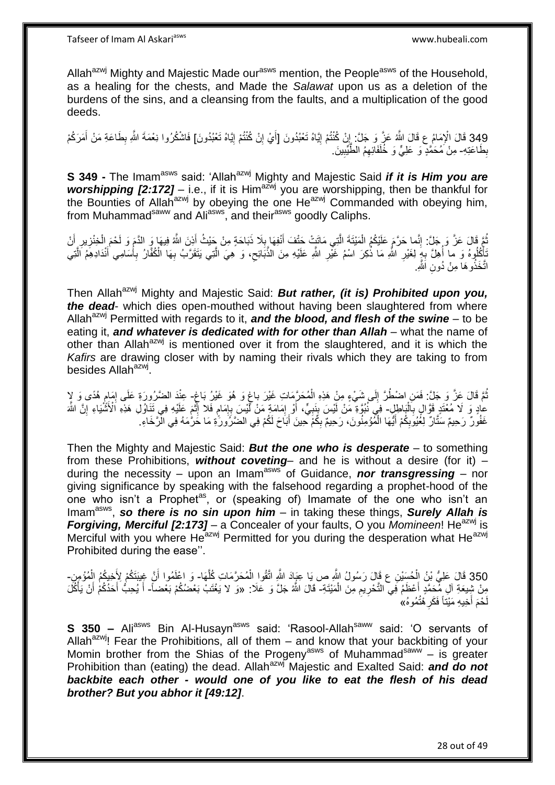Allah<sup>azwj</sup> Mighty and Majestic Made our<sup>asws</sup> mention, the People<sup>asws</sup> of the Household, as a healing for the chests, and Made the *Salawat* upon us as a deletion of the burdens of the sins, and a cleansing from the faults, and a multiplication of the good deeds.

349 قَالَ الْإِمَامُ عِ قَالَ اللَّهُ عَلَّ وَ جَلَّ: إِنْ كُنْتُمْ إِيَّاهُ تَعْبُدُونَ [أَيْ إِنْ كُنْتُمْ إِيَّاهُ تَعْبُدُونَ] فَاشْكُرُوا نِعْمَةَ اللَّهِ بِطَاعَةِ مَنْ أَمَرَكُمْ<br>349 َ ِ ِ ِ َ **֓**ׇ֚֓ ِ بِطَاعَتِهِ- مِنْ َمُحَمَّدٍ وَ عَلِيٍّ وَ خُلَفَائِهِمُ الطَّيِّبِينَ. ِ ِ ِ

**S 349 -** The Imam<sup>asws</sup> said: 'Allah<sup>azwj</sup> Mighty and Majestic Said *if it is Him you are worshipping [2:172]* – i.e., if it is Him<sup>azwj</sup> you are worshipping, then be thankful for the Bounties of Allah<sup>azwj</sup> by obeying the one He<sup>azwj</sup> Commanded with obeying him, from Muhammad<sup>saww</sup> and Ali<sup>asws</sup>, and their<sup>asws</sup> goodly Caliphs.

نُمَّ فَالَ عَزَّ وَ جَلَّ: إِنَّما حَرَّمَ عَلَيْكُمُ الْمَيْتَةَ الَّتِي مَاتَتْ حَتْفَ أَنْفِهَا بِلَا ذَبَاحَةٍ مِنْ جَيْثُ أَذِنَ اللَّهُ فِيهَا وَ الدَّمَ وَ لَحْمَ الْخِنْزِيرِ أَنْ **∶** َ ه ْ ِ ُ َ َ ِ ِ ْ تَأْكُلُوهُ وَ مَا أُهِلَّ بِهِ لِغَيْرِ اللَّهِ مَا ذُكِرَ اسْمُ غَيّْرِ اللَّهِ عَلَيْهِ مِنَ الذَّبَائِح، وَ هِيَ الَّتِي يَتَقَرَّبُ بِهَا الْكُفَّارُ بِأُسَامِي أَنْدَادِهِمُ اَلَّتِي ْ **∶** ِ ا<br>ا َ َ **∶** ِ ه  $\zeta$ ِ ه اتَّخَذُو هَا مِنْ دُونِ اَللَّهِ.

Then Allah<sup>azwj</sup> Mighty and Majestic Said: **But rather, (it is) Prohibited upon you,** *the dead*- which dies open-mouthed without having been slaughtered from where Allah<sup>azwj</sup> Permitted with regards to it, **and the blood, and flesh of the swine** – to be eating it, *and whatever is dedicated with for other than Allah* – what the name of other than Allah<sup>azwj</sup> is mentioned over it from the slaughtered, and it is which the *Kafirs* are drawing closer with by naming their rivals which they are taking to from besides Allah<sup>azwj</sup>.

نُمَّ قَالَ عَزَّ وَ جَلَّ: فَمَنِ اضْطُرَّ إِلَى شَيْءٍ مِنْ هَذِهِ الْمُحَرَّمَاتِ غَيْرَ بِاغٍ وَ هُوَ غَيْرُ بَاغٍ- عِنْدَ الضَّرُورَةِ عَلَى إِمَامٍ هُدًى وَ لإِ لَ  $\frac{1}{2}$ ْ ٍ ऽ<br>ऽ ֧֦֦֧֦֧֓֝֝֝֝֓֝ ِ عادٍ وَ لَا مُغَتَدٍ قَوَّالٍ بِالْبَاطِلِ- فِي َنُبُوَّةِ مَنْ أَيْسَ بِنَبِيٍّ، أَوْ إِمَامَةٍ مَنْ أَيْسَ بِإِمامٍ فَلا أَثْمَ عَلَيْهِ فِي تَتَاوُّلِ هَذِهِ اَلْأَمُّنْيَاءِ إِنَّ اللَّهَ ا.<br>ا **∶** ِ اُ **∶**  ِ ן, ِ ا<br>ا ِ ِ غَفُورٌ رَحِيمٌ سَتَّارٌ لِغُيُوبِكُمْ أَيُّهَا الْمُؤْمِنُونَ، رَحِيمٌ بِكُمْ حِينَ أَبَاحَ لَكُمْ فِي الضَّرُورَّةِ مَا حَرَّمَهُ فِي الْرَّخَاءِ. َ ِ ْ َ ِ

Then the Mighty and Majestic Said: *But the one who is desperate* – to something from these Prohibitions, *without coveting*– and he is without a desire (for it) – during the necessity – upon an Imam<sup>asws</sup> of Guidance, **nor transgressing** – nor giving significance by speaking with the falsehood regarding a prophet-hood of the one who isn't a Prophet<sup>as</sup>, or (speaking of) Imamate of the one who isn't an Imam<sup>asws</sup>, so there is no sin upon him – in taking these things, Surely Allah is *Forgiving, Merciful [2:173]* – a Concealer of your faults, O you *Momineen*! He<sup>azwj</sup> is Merciful with you where He $a$ <sup>zwj</sup> Permitted for you during the desperation what He $a$ <sup>zwj</sup> Prohibited during the ease''.

350 قَالَ عَلِيُّ بْنُ الْحُسَيْنِ ع قَالَ رَسُولُ اللَّهِ ص يَا عِيَادَ اللَّهِ اتَّقُوا الْمُحَرَّمَاتِ كُلَّهَا- وَ اعْلَمُوا أَنَّ غِيبَتَكُمْ لِأَخِيكُمُ الْمُؤْمِنِ-ْ َ ه ْ ْ مِنْ شِيعَةِ آلِ مِّحَمَّدٍ أَعْظَمُ فِي التَّحْرِيمِ مِنَ الْمَيْتَةِ- قَالَ اللَّهُ جَلَّ وَ عَلَا: «وَ لا يَغْتَبْ بَعْضُكُمْ بَعْضاً- أَ يُحِبُّ أَحَدُكُمْ أَنْ يَأْكُلَ ْ ِ **∶** َ **ٔ** َ َ َ لَحْمَ أَخِيهِ مَيْتَأَ فَكَرِ هُتُمُوهُ» ِ َ

**S 350 –** Ali<sup>asws</sup> Bin Al-Husayn<sup>asws</sup> said: 'Rasool-Allah<sup>saww</sup> said: 'O servants of Allah<sup>azwj</sup>! Fear the Prohibitions, all of them  $-$  and know that your backbiting of your Momin brother from the Shias of the Progeny<sup>asws</sup> of Muhammad<sup>saww</sup> – is greater Prohibition than (eating) the dead. Allah<sup>azwj</sup> Majestic and Exalted Said: **and do not** *backbite each other - would one of you like to eat the flesh of his dead brother? But you abhor it [49:12]*.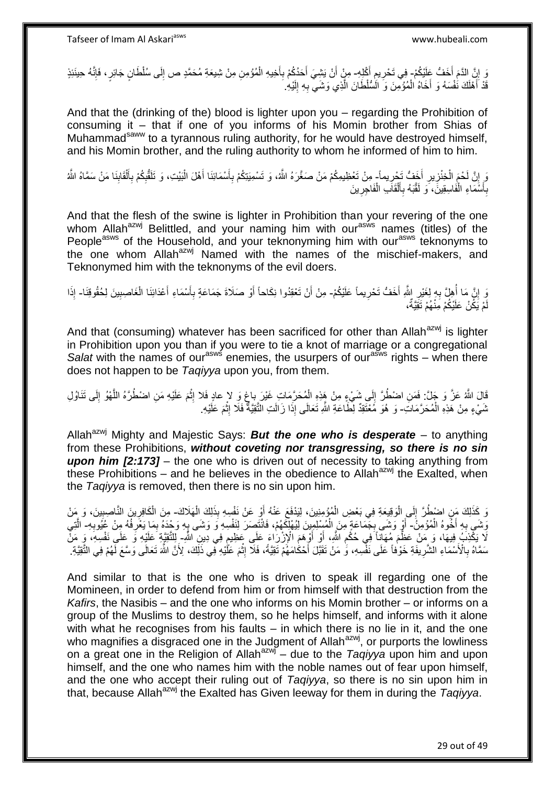رْ إِنَّ الذَّمَ أَخَفُّ عَلَيْكُمْ- فِي تَحْرِيمِ أُكْلِهِ- مِنْ أَنْ يَشِيَ أَحَدُكُمْ بِأَخِيهِ الْمُؤْمِنِ مِنْ شِيعَةِ مُحَمَّدٍ ص إِلَى سُلْطَانٍ جَائِرٍ ، فَإِنَّهُ حِينَئِذٍ َ ِ **ٍ** ا∣<br>ِ∘ِ ِ ْ َ ِ َ قَدْ أَهْلَكَ نُفْسَهُ وَ أَخَاهُ الْمُؤْمِّنَ وَ الْمُتُلْطَانَ الَّذِي وَشَيِّ بِهِ إِلَيْهِ ۢ َ اً<br>ا لَ ِ **∶** ه ْ

And that the (drinking of the) blood is lighter upon you – regarding the Prohibition of consuming it – that if one of you informs of his Momin brother from Shias of Muhammad<sup>saww</sup> to a tyrannous ruling authority, for he would have destroyed himself, and his Momin brother, and the ruling authority to whom he informed of him to him.

وَ إِنَّ لَحْمَ الْخِنْزِيرِ أَخَفُّ تَجْرِيماً- مِنْ تَعْظِيمِكُمْ مَنْ صَغَّرَهُ اللَّهُ، وَ تَسْمِيَتِكُمْ بِأَسْمَائِنَا أَهْلَ الْبَيْتِ، وَ تَلَقَّلُهُمْ بِأَلْقَابِنَا مَنْ سَمَّاهُ اللَّهُ ِ َ **∶** ِ ْ ِ اً ِ ِ ْ َ ِ ِ :<br>ا َ بِأَسَّمَاءِ الْفَاسِقِينََ، وَ لَقَّبَهُ بِأَلْقَاكِ الْفَاجِرِينَ **∶** ْ ْ َ **∶** ْ َ **∶** 

And that the flesh of the swine is lighter in Prohibition than your revering of the one whom Allah<sup>azwj</sup> Belittled, and your naming him with our<sup>asws</sup> names (titles) of the People<sup>asws</sup> of the Household, and your teknonyming him with our<sup>asws</sup> teknonyms to the one whom Allah<sup>azwj</sup> Named with the names of the mischief-makers, and Teknonymed him with the teknonyms of the evil doers.

وَ إِنَّ مَا أُهِلَّ بِهِ لِغَيْرِ اللَّهِ أَخَفُّ تَحْرِيماً عَلَيْكُمْ- مِنْ أَنْ تَعْقِدُوا نِكَاحاً أَوْ صَلَاةَ جَمَاعَةٍ بِأَسْمَاءِ أَعْدَائِنَا الْغَاصِبِينَ لِحُقُوقِنَا- إِذَا **∶** َ **∶** ِ ا<br>ا **׀** ِ ْ َ اً ِ َ اُ مْ يَكُنْ عَلَيْكُمْ مَِنْهُمْ تَقِيَّةُ، لَ

And that (consuming) whatever has been sacrificed for other than Allah $a^{2}$ y is lighter in Prohibition upon you than if you were to tie a knot of marriage or a congregational *Salat* with the names of our<sup>asws</sup> enemies, the usurpers of our<sup>asws</sup> rights – when there does not happen to be *Taqiyya* upon you, from them.

قَالَ اللَّهُ عَزَّ وَ جَلَّ: فَمَنِ اضْطُرَّ إِلَى شَيْءٍ مِنْ هَذِهِ الْمُحَرَّمَاتِ غَيْرَ بِاغٍ وَ لا عادٍ فَلا إِثْمَ عَلَيْهِ مَنِ اضْطُرَّهُ اللَّهْوُ إِلَى تَنَاوُلِ<br>وَ  $\frac{1}{2}$ **ٔ** ِ ٍ ِ ه ثَمَيْءٍ مِنْ هَذِهِ الْمُحَرَّمَاتِ- وَ هُوَ مُعْتَقِدٌ لِطَّاعَةِ اللَّهِ تَعَالَى إِذَا زَالَتِ الثَّقِيَّةَ فَلَا إِثْمَ عَلَيْهِ. **ٔ** ِ

Allah<sup>azwj</sup> Mighty and Majestic Says: **But the one who is desperate** – to anything from these Prohibitions, *without coveting nor transgressing, so there is no sin upon him [2:173]* – the one who is driven out of necessity to taking anything from these Prohibitions – and he believes in the obedience to Allah<sup>azwj</sup> the Exalted. when the *Taqiyya* is removed, then there is no sin upon him.

وَ كَذَلِكَ مَنِ اضْطُرَّ إِلَى الْوَقِيعَةِ فِي بَعْضِ الْمُؤْمِنِينَ، لِيَدْفَعَ عَنْهُ أَوْ عَنْ نَفْسِهِ بِذَلِكَ الْهَلَاكَ- مِنَ الْكَافِرِينَ النَّاصِبِينَ، وَ مَنْ اُ ْ :<br>ا יִי (ו ْ ِ ِ ْ وَشَى بِهِ أَخُوهُ الْمُؤْمِنُ – أَوْ وَشَى بِجَمَاعَةٍ مِنَ الْمُسْلِمِينَ لِيُهْلِكُهُمْ، فَانْتَصَدَ لِنَفْسِهِ وَ وَشَى بِهِ وَحْدَهُ بِمَا يَعْرِفُهُ مِنْ عُيُوبِهِ- الَّتِي ْ َ ِ ِ ِ .<br>≅ ْ **∶**  ِ ه َلَا يَكْذِبُمُ فِيهَا، وَ مَنْ عَظَّمَ مُهَانًاً فِي حُكْمِ اللَّهِ، أَوْ أَوْهَمَ الْإِزْرَاعَ عَلَى عَظِيمٍ فِي دِينِ اللَّهِ إِللَّقَيِّةِ عَلَيْهِ وَ عَلَى نَفْسِهِ، وَ مَنّْ ֧֓׆֧ َ َ ِ سَمَّاهُ بِالْأَسْمَاءِ الْشَّرِيفَةِ خَوْفاً عَلَى نَفْسِهِ، وَ مَنْ تَقَبَّلَ أَحْكَامَهُمْ تَقِيَّةً، فَلَا إِثْمَ عَلَّيْهِ فِي ذَلِّكَ، لِأَنَّ اللَّهَ تَعَلَّى وَسَّعَ لَّهُمْ فِي الثَّقِيَّةِ. **∶ ∶ ٔ** ِ

And similar to that is the one who is driven to speak ill regarding one of the Momineen, in order to defend from him or from himself with that destruction from the *Kafirs*, the Nasibis – and the one who informs on his Momin brother – or informs on a group of the Muslims to destroy them, so he helps himself, and informs with it alone with what he recognises from his faults – in which there is no lie in it, and the one who magnifies a disgraced one in the Judgment of Allah<sup>azwj</sup>, or purports the lowliness on a great one in the Religion of Allah<sup>azwj</sup> – due to the *Taqiyya* upon him and upon himself, and the one who names him with the noble names out of fear upon himself, and the one who accept their ruling out of *Taqiyya*, so there is no sin upon him in that, because Allahazwj the Exalted has Given leeway for them in during the *Taqiyya*.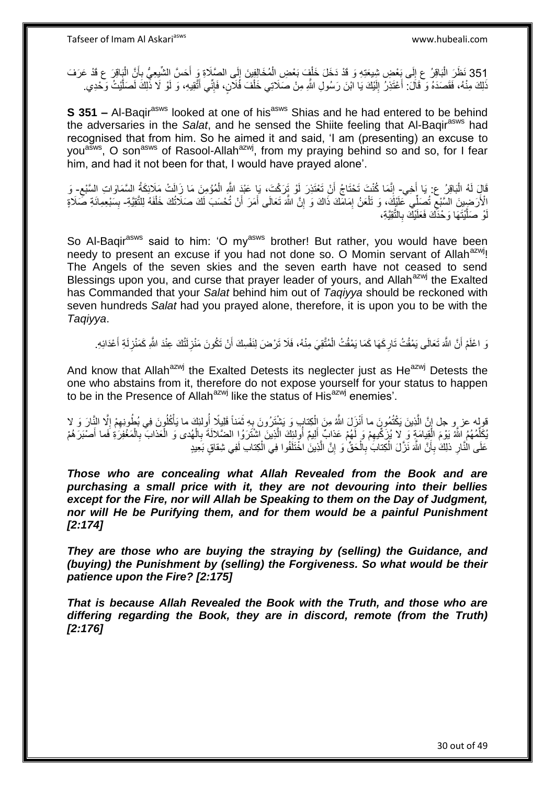351 نَظَرَ الْبَاقِرُ ع إِلَى بَعْضِ شِيعَتِهِ وَ قَدْ دَخَلَ خَلْفٍ بَعْضِ الْمُخَالِفِينَ إِلَى الصَّلَاةِ وَ أَحَسَّ الشَّيعِيُّ بِأَنَّ الْبَاقِرَ ع قَدْ عَرَفَ ْ أ ِ َ ِ ْ  $\frac{1}{2}$ ْ َذِكَ مِنْهُ، فَقَصَدَهُ وَ قَالَ: أَعْتَذِرُ إِلَيْكَ يَا ابْنَ رَسُولِ اللَّهِ مِنْ صَلَاتِي خَلْفَ فَلَآنٍ، فَإِنِّي أَنَّقِيهِ، وَ لَوْ لَا ذَٰٓلِكَ لَصَلَّيْتُ وَحْدِي َ ا∣<br>ِ∘ ْ لَ יִי<br>י اً<br>ا ه

**S 351 –** Al-Baqir<sup>asws</sup> looked at one of his<sup>asws</sup> Shias and he had entered to be behind the adversaries in the *Salat*, and he sensed the Shiite feeling that Al-Baqir<sup>asws</sup> had recognised that from him. So he aimed it and said, 'I am (presenting) an excuse to you<sup>asws</sup>, O son<sup>asws</sup> of Rasool-Allah<sup>azwj</sup>, from my praying behind so and so, for I fear him, and had it not been for that, I would have prayed alone'.

قَالِ لَهُ الْبَاقِرُ عِن يَا أَخِي- إِنَّمَا كُنْتَ تَحْتَاجُ أَنْ تَعْتَذِرَ لَوْ تَزَكْتَ، يَا عَبْدَ اللَّهِ الْمُؤْمِنَ مَا زَالَتْ مَلَائِكَةُ السَّمَاوَاتِ السَّبْع- وَ َ ْ ْ َ ֺ֧֦֧֦֧֦֧֦֧֦֦֧֦֧ׅ֦֧֦֧֦֧֦֧֦֧֦֧֦֧֦֧֦֧֦֧֦֧֦֧֦֧֦֧֦֧֦֧֦֧֚֚֝֝֝֜֜<br>֧֧֧֧֪֪֧֦֧֧֪֪֚֜֜֞֓֞֞֞֞֞֞֜֜֞֞֝֝֘֜֝ ِ الْأَرَضِينَ السَّبْعِ تُصَلِّي كَلَيْكَ، وَ تَلْعَنُ إِمَامَكَ ذَاكَ وَ إِنَّ اللَّهَ تَعَالَى أَمَرَ أَنْ تُحْسَبَ لَكَ صَلَاتُكَ خَلْفَهُ لِلتَّقِيَّةِ- بِسَبْعِمِائَةِ صَلَاةٍ ِ ِ ْ ِ ْ َ َ ِ وْ صَلَّيْتَهَا وَحْدَكَ فَعَلَيْكَ بِالتَّقِيَّةِ، ِ ه لَ

So Al-Baqir<sup>asws</sup> said to him: 'O my<sup>asws</sup> brother! But rather, you would have been needy to present an excuse if you had not done so. O Momin servant of Allah<sup>azwj</sup>! The Angels of the seven skies and the seven earth have not ceased to send Blessings upon you, and curse that prayer leader of yours, and Allah<sup>azwj</sup> the Exalted has Commanded that your *Salat* behind him out of *Taqiyya* should be reckoned with seven hundreds *Salat* had you prayed alone, therefore, it is upon you to be with the *Taqiyya*.

وَ اعْلَمْ أَنَّ اللَّهَ تَعَالَى يَمْقُتُ تَارِكَهَا كَمَا يَمْقُتُ الْمُتَّقِيَ مِنْهُ، فَلَا تَرْضَ لِنَفْسِكَ أَنْ تَكُونَ مَنْزِلَتُكَ عِنْدَ اللَّهِ كَمَنْزِلَةِ أَعْدَائِهِ. َ ْ **∶** َ لَ ِ لَ **∶** 

And know that Allah<sup>azwj</sup> the Exalted Detests its neglecter just as  $He^{azwj}$  Detests the one who abstains from it, therefore do not expose yourself for your status to happen to be in the Presence of Allah<sup>azwj</sup> like the status of His<sup>azwj</sup> enemies'.

ُقولِه عز و جل إِنَّ الَّذِينَ يَكْتُمُونَ ما أَنْزَلَ اللَّهُ مِنَ اِلْكِتابِ وَ يَشْتَرُونَ بِهِ ثَمَناً فَلِيلًا أُولئِكَ ما يَأْكُلُونَ فِي بُطُونِهِمْ إِلَّا النَّالَ وَ لا **ٔ** ا<br>ا َ ِ ْ َ ه ِ ِ ِ يُكَلِّمُهُمُ اللَّهُ يَوْمَ الْقِيامَةِ وَ ٍ لا يُزَكِّيهِمْ وَ لَهُمْ عَذابٌ أَلِيمٌ أُولِئِكَ الَّذِينَ إشْتَرَوُا الضَّلالَةَ بِالْهُدى وَ الْعَذابَ بِالْمَغْفِرَةِ فَما أَصْبَرَهُمْ ه اُ َ ِ ْ ْ ِ َ ْ ِ ْ عَلَى الْذَّارِ ذلِكَ بِأَنَّ اللَّهَ نَزَّلَ الْكِتَابَ ٰبِالْحَقِّ ۚ وَ إِنَّ الَّذِينَ ٰ اخْتَلَفُوا فِي الْكِتابِ لَفِي شِقاقٍ بَعِيدٍ اُ ِ **∶** ْ اً ِ ْ ِ ْ

*Those who are concealing what Allah Revealed from the Book and are purchasing a small price with it, they are not devouring into their bellies except for the Fire, nor will Allah be Speaking to them on the Day of Judgment, nor will He be Purifying them, and for them would be a painful Punishment [2:174]* 

*They are those who are buying the straying by (selling) the Guidance, and (buying) the Punishment by (selling) the Forgiveness. So what would be their patience upon the Fire? [2:175]*

*That is because Allah Revealed the Book with the Truth, and those who are differing regarding the Book, they are in discord, remote (from the Truth) [2:176]*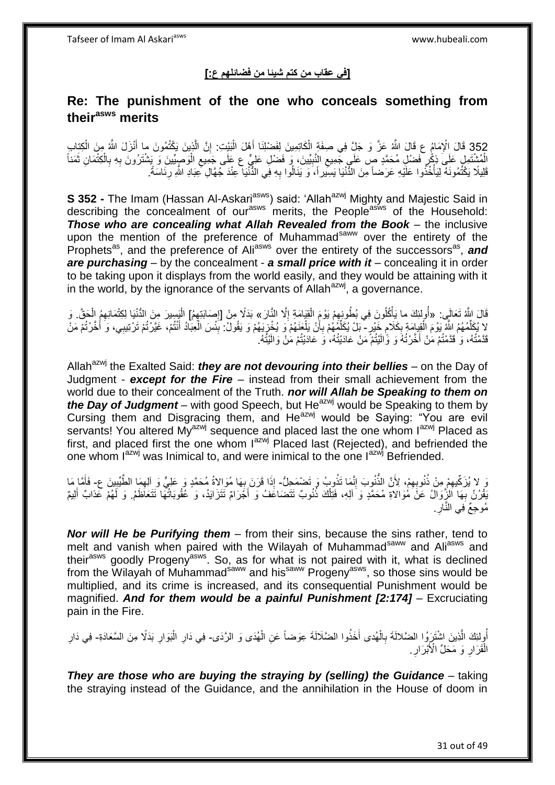### **]في عقاب من كتم شيئا من فضائلهم ع:[**

# **Re: The punishment of the one who conceals something from theirasws merits**

352 قَالَ الْإِمَامُ عِ قَالَ اللَّهُ عَنَّ وَ جَلٍّ فِي صِفَةٍ الْكَاتِمِينَ لِفَضْلِنَا أَهْلَ الْبَيْتِ: إِنَّ الَّذِينَ يَكْتُمُونَ ما أَنْزَلَ اللَّهُ مِنَ الْكِتابِ<br>- 352 قَالَ الْإِمَامُ ع ْ <u>ٔ</u> َ ه ِ ْ َ ْ الْمُشْتَمِلِ عَلَى ذِكْرٍ فَضْلِ مُحَمَّدٍ صٍ عَلَى جَمِيعِ النَّبِيِّينَ، وَ فَضْلِ عَلِيٍّ ع عَلَى جَمِيعِ الْوَصِيِّينَ وَ يَشْتَرُونَ بِهِ بِالْكِتْمَانِ ثَمَناً ْ ِ ِ ِ ِ ِ ْ **∶** َ َفَلِيلًا يَكْتُمُونَهُ لِيَأْخُذُوا عَلَيْهِ عَرَضناً مِنَ الذَّنْيَا يَسِيراً، َوَ يَنَالُوا بِهِ فِي الذَّنْيَا عِنْدَ جُهَّالِ عِبَادِ اللَّهِ رِئَاسَةً. ْ ِ ِ

**S 352 -** The Imam (Hassan Al-Askari<sup>asws</sup>) said: 'Allah<sup>azwj</sup> Mighty and Majestic Said in describing the concealment of our<sup>asws</sup> merits, the People<sup>asws</sup> of the Household: *Those who are concealing what Allah Revealed from the Book* – the inclusive upon the mention of the preference of Muhammad<sup>saww</sup> over the entirety of the Prophets<sup>as</sup>, and the preference of Ali<sup>asws</sup> over the entirety of the successors<sup>as</sup>, and *are purchasing* – by the concealment - *a small price with it* – concealing it in order to be taking upon it displays from the world easily, and they would be attaining with it in the world, by the ignorance of the servants of Allah $a$ <sup>zwj</sup>, a governance.

قَالَ اللَّهُ تَعَالَى: «أُولِئِكَ ما يَأْكُلُونَ فِي بُطُونِهِمْ يَوْمَ الْقِيَامَةِ إِلَّا النَّارَ » بَدَلًا مِنْ [إِصَابَتِهِمُ] الْيَسِيرَ مِنَ الدُّنْيَا لِكِتْمَانِهِمُ الْحَقَّ. وَ ُ  $\frac{1}{2}$ ِ ْ ِ ِ ْ لا يُكَلِّمُهُمُ اللَّهِ يَوْمَ الْقِبِامَةِ بِكَلامٍ خَيْرٍ - بَلْ يُكَلِّمُهُمْ بِأَنْ يَلْعَنَهُمْ وَ يُخْزِيَهُمْ وَ يَقُولُ: بِّئْسَ الْعِبَادُ أَنْتُمْ، غَيَّرْتُمْ تَرْتِيبِي، وَ أَخَّرْتُمْ مَنْ<br>كَيْمُهُمْ اللَّهِ ٍ ِ ْ َ ِ ْ َ ْ  $\frac{1}{2}$ ْ ز<br>أ ِ ِّ قَدَّمْتُهُ، وَ قَدَّمْتُمْ مَنْ أُخَّرْتُهُ وَ وَّالَيْتُمْ مَنْ عَادَيْتُهُ، وَ عَادَيْتُمْ مَنْ وَالَيْتُهُ. َ

Allah<sup>azwj</sup> the Exalted Said: *they are not devouring into their bellies* – on the Day of Judgment - *except for the Fire* – instead from their small achievement from the world due to their concealment of the Truth. *nor will Allah be Speaking to them on the Day of Judgment* – with good Speech, but He<sup>azwj</sup> would be Speaking to them by Cursing them and Disgracing them, and He<sup>azwj</sup> would be Saying: "You are evil servants! You altered My<sup>azwj</sup> sequence and placed last the one whom l<sup>azwj</sup> Placed as first, and placed first the one whom  $I^{axmj}$  Placed last (Rejected), and befriended the one whom  $I^{azwj}$  was Inimical to, and were inimical to the one  $I^{azwj}$  Befriended.

هُ وَ لِلْهُ تَوْمِهِمْ مِنْ ذُنُوبِهِمْ، لِأَنَّ الذُّنُوبَ إِنَّمَا تَذُوبُ وَ تَضْمَحِلُّ- إِذَا قَرَنَ بِهَا مُوَالاةُ مُحَمَّدٍ وَ عَلِيٍّ وَ الْهِمَا الطَّيِّبِينَ ع- فَأَمَّا مَا ِ ِ ِ ان<br>المنابعة ِ ِ **∶** َ بَقْرُنُ بِهَا اَلْزَّوَالُ عَنْ َمُوَالاةِ مُحَمَّدٍ وَ اَلِهِ، فَتِلْكَ ذُنُوبٌ تَتَضَاعَفُ وَ أَجْرَامٌ تَتَزَايَدُ، وَ عُقُوبَاتُهَا تَتَعَاظَمُ. وَ لَهُمْ عَذابٌ أَلِيمٌ َ ْ **∶** َ مُوجِعٌ َفِي النَّارِ **ٍ** 

*Nor will He be Purifying them* – from their sins, because the sins rather, tend to melt and vanish when paired with the Wilayah of Muhammad<sup>saww</sup> and Ali<sup>asws</sup> and their<sup>asws</sup> goodly Progeny<sup>asws</sup>. So, as for what is not paired with it, what is declined from the Wilayah of Muhammad<sup>saww</sup> and his<sup>saww</sup> Progeny<sup>asws</sup>, so those sins would be multiplied, and its crime is increased, and its consequential Punishment would be magnified. *And for them would be a painful Punishment [2:174]* – Excruciating pain in the Fire.

أُولِئِكَ الَّذِينَ اشْتَرَوُا الضَّلالَةَ بِالْهُدى أَخَذُوا الضَّلَالَةَ عِوَضاً عَنِ الْهُدَى وَ الرَّدَى- فِي دَارِ الْبَوَارِ بَدَلًا مِنَ السَّعَادَةِ- فِي دَارِ ه ْ **∶** ْ ْ الْقَرَارِ وَ مَحَلٍّ الْأَبْرَارِ ِ ِ ْ

*They are those who are buying the straying by (selling) the Guidance – taking* the straying instead of the Guidance, and the annihilation in the House of doom in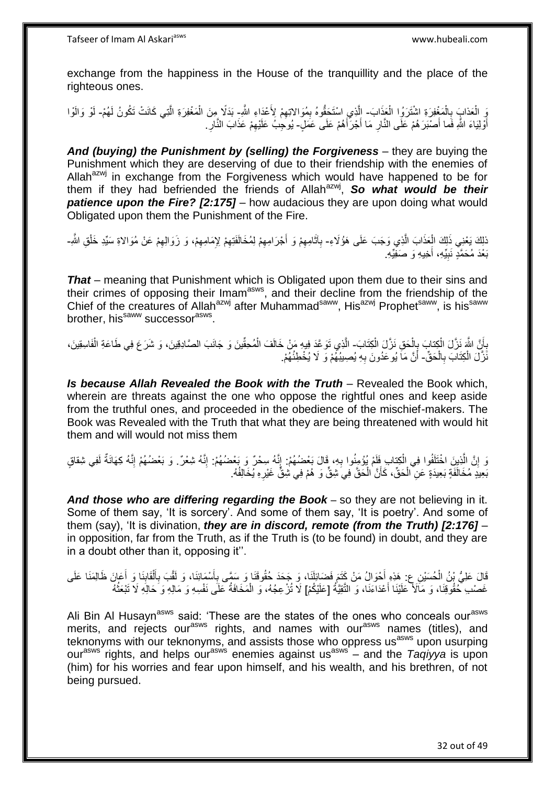exchange from the happiness in the House of the tranquillity and the place of the righteous ones.

وَ الْعَذابَ بِالْمَغْفِرَةِ اشْتَرَوُا الْعَذَابَ- اِلَّذِي اسْتَحَقُّوهُ بِمُوَالاتِهِمْ لِأَعْدَاءِ اللَّهِ- بَدَلًا مِنَ الْمَغْفِرَةِ الَّتِي كَانَتْ تَكُونُ لَهُمْ- لَوْ وَالَوْا ْ ْ **∶** ه ِ ِ ه ْ لَ أَوْلِيَاءَ اللَّهِ فَما أَصْبَرَ هُمْ عَلَى النَّارِ مَا أَجْرَأَهُمْ عَلَى عَمَلٍ- يُوحِبُ عَلَيْهِمْ عَذَابَ النَّارِ ر<br>ا َ َ ِ َ ِ ِ

*And (buying) the Punishment by (selling) the Forgiveness* – they are buying the Punishment which they are deserving of due to their friendship with the enemies of Allah<sup>azwj</sup> in exchange from the Forgiveness which would have happened to be for them if they had befriended the friends of Allah<sup>azwj</sup>, **So what would be their patience upon the Fire? [2:175]** – how audacious they are upon doing what would Obligated upon them the Punishment of the Fire.

ْذَلِكَ يَعْنِي ذَلِكَ الْعَذَابَ الَّذِي وَجَبَ عَلَى هَؤُلَاءِ- بِآثَامِهِمْ وَ أَجْرَامِهِمْ لِمُخَالَفَتِهِمْ لِإِمَامِهِمْ، وَ زَوَالِهِمْ عَنْ مُوَالاةِ سَيِّدِ خَلْقِ اللَّهِ-ه ْ ِ َ ِ ْ ِ ِ ِ ِ َ بَعْدَ مُحَمَّدٍ نَبِيِّهِ، أُخِيهِ وَ صَفِيِّهِ. **!** 

*That* – meaning that Punishment which is Obligated upon them due to their sins and their crimes of opposing their Imam<sup>asws</sup>, and their decline from the friendship of the Chief of the creatures of Allah<sup>azwj</sup> after Muhammad<sup>saww</sup>, His<sup>azwj</sup> Prophet<sup>saww</sup>, is his<sup>saww</sup> brother, his<sup>saww</sup> successor<sup>asws</sup>.

بِأَنَّ اللَّهَ نَزَّلَ الْكِتابَ بِإِلْحَقِ نَزَّلَ الْكِتَابَ- الَّذِي نَوَ عَدَ فِيهِ مَنْ خَالَفَ الْمُحِقِّينَ وَ جَانَبَ الصَّادِقِينَ، وَ شَرَعَ فِي طَاعَةِ الْفَاسِقِينَ، ْ  $\frac{1}{2}$ ْ ز<br>ا ِ ْ ْ ْ نَّزَلَ الْكِتَابَ بِالْحَقِّ- أَنَّ مَاَ يُوعَدُونَ بِهِ يُصِيبُهُمْ وَ لَا يُخْطِئُهُمْ. ْ **∶** ْ **∶** 

*Is because Allah Revealed the Book with the Truth* – Revealed the Book which, wherein are threats against the one who oppose the rightful ones and keep aside from the truthful ones, and proceeded in the obedience of the mischief-makers. The Book was Revealed with the Truth that what they are being threatened with would hit them and will would not miss them

زَ إِنَّ الَّذِينَ اخْتَلَفُوا فِي الْكِتابِ فَلَمْ يُؤْمِنُوا بِهِ، قَالَ بَعْضُهُمْ: إِنَّهُ سِحْرٌ وَ بَعْضُهُمْ: إِنَّهُ شَعْرٌ. وَ بَعْضُهُمْ إِنَّهُ كِهَانَةٌ لَفِي شِقاقٍ ْ ه ֺ֦֦֦֦֦֦֦֖֚֚֚֚֚֝֝֝֝֝֬֝֓֕֝֓֬֝֝֝֓ ِ لَ ِ ِ بَعِيدٍ مُخَالَفَةٍ بَعِيدَةٍ عَنِ الْحَقِّ، كَأَنَّ الْحَقَّ فِي شِقٍّ وَ هُمْ فِي شِقٍّ غَيْرِهِ يُخَالِفُهُ. ِ ْ َ ْ

*And those who are differing regarding the Book* – so they are not believing in it. Some of them say, 'It is sorcery'. And some of them say, 'It is poetry'. And some of them (say), 'It is divination, *they are in discord, remote (from the Truth) [2:176]* – in opposition, far from the Truth, as if the Truth is (to be found) in doubt, and they are in a doubt other than it, opposing it''.

َفَالَ عَلِيُّ بْنُ الْحُسَيْنِ عِ. هَذِهِ أَحْوَالُ مَنْ كَتَمَ فَضَائِلَنَا، وَ جَحَدَ حُقُوقَنَا وَ سَمَّى بِأَسْمَائِنَا، وَ لَقَّبَ بِأَلْقَابِذَا وَ أَعَلَى ظَالِمَنَا عَلَى َ َ ِ َ ِ ْ ĺ ِ غَصْب خُقُوقِنَا، وَ مَاَلاً عَلَيْنَا أَعْدَاءَنَا، وَ النَّقِيَّةُ [عَلَيْكُمْ] لَا تُرْعِجُهُ، وَ الْمَخَافَةُ عَلَى نَفْسِهِ وَ مَالِهِ وَ حَالِهِ لَا تَبْعَثُهُ َ ْ ُ

Ali Bin Al Husayn<sup>asws</sup> said: 'These are the states of the ones who conceals our<sup>asws</sup> merits, and rejects our<sup>asws</sup> rights, and names with our<sup>asws</sup> names (titles), and teknonyms with our teknonyms, and assists those who oppress us<sup>asws</sup> upon usurping our<sup>asws</sup> rights, and helps our<sup>asws</sup> enemies against us<sup>asws</sup> – and the *Taqiyya* is upon (him) for his worries and fear upon himself, and his wealth, and his brethren, of not being pursued.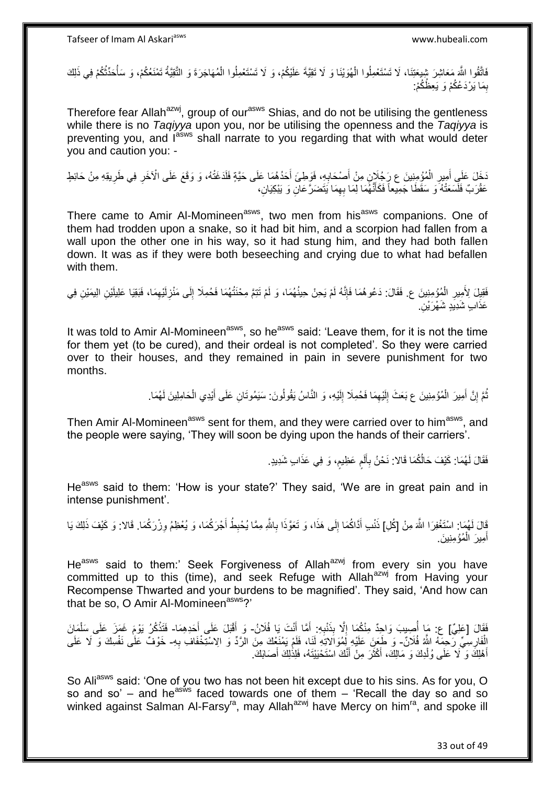فَاتَّقُوا اللَّهَ مَعَاشِرَ شِيعَتِنَا، لَا تَسْتَعْمِلُوا الْهُوَيْنَا وَ لَا تَقِيَّةَ عَلَيْكُمْ، وَ لَا تَسْتَعْمِلُوا الْمُهَاجَرَةَ وَ التَّقِيَّةُ تَمْنَعُكُمْ، وَ سَأُحَدِّثُكُمْ فِي ذَلِكَ ْ ا<br>ا ا<br>أ ْ بِمَا يَرْدَعُكُمْ وَ يَعِظُكُمْ: ِ

Therefore fear Allah<sup>azwj</sup>, group of our<sup>asws</sup> Shias, and do not be utilising the gentleness while there is no *Taqiyya* upon you, nor be utilising the openness and the *Taqiyya* is preventing you, and lasws shall narrate to you regarding that with what would deter you and caution you: -

َخَلَ عَلَى أَمِيرِ الْمُؤْمِنِينَ ع رَجُلَانٍ مِنْ أَصْحَابِهِ، فَوَطِئَ أَحَدُهُمَا عَلَى حَيَّةٍ فَلَدَغَتْهُ، وَ وَقَعَ عَلَى الْآخَرِ فِي طَرِيقِهِ مِنْ حَائِطٍ َ ِ ْ ِ َ ِ ِ عَقْرَبٌ فَلَسَعَتْهُ َو سَقَطًا جَمِيعاً فَكَأَنَّهُمَا لِمَا بِهِمَا يَتَضَرَّ عَانِ وَ يَبْكِيَانِ، ِ َ

There came to Amir Al-Momineen<sup>asws</sup>, two men from his<sup>asws</sup> companions. One of them had trodden upon a snake, so it had bit him, and a scorpion had fallen from a wall upon the other one in his way, so it had stung him, and they had both fallen down. It was as if they were both beseeching and crying due to what had befallen with them.

فَقِيلَ لِأَمِيرِ الْمُؤْمِنِينَ ع. فَقَالَ: دَعُوهُمَا فَإِنَّهُ لَمْ يَحِنْ حِينُهُمَا، وَ لَمْ تَتِمَّ مِحْنَتُهُمَا فَحُمِلَا إِلَى مَنْزِلَيْهِمَا، فَبَقِيَا عَلِيلَيْنِ الِيمَيْنِ فِي ْ ِ ِ لَ ِ ِ ِ عَذَابٍ شَدِيَدٍ شَهْرَيْنِ.

It was told to Amir Al-Momineen<sup>asws</sup>, so he<sup>asws</sup> said: 'Leave them, for it is not the time for them yet (to be cured), and their ordeal is not completed'. So they were carried over to their houses, and they remained in pain in severe punishment for two months.

> تُمَّ إِنَّ أَمِيرَ الْمُؤْمِنِينَ ع بَعَثَ إِلَيْهِمَا فَحُمِلَا إِلَيْهِ، وَ النَّاسُ يَقُولُونَ. سَيَمُوتَانِ عَلَى أَيْدِي الْحَامِلِينَ لَهُمَا. ْ َ יֲ<br>י ُ ْ َ لَ ِ ِ لَ ِ

Then Amir Al-Momineen<sup>asws</sup> sent for them, and they were carried over to him<sup>asws</sup>, and the people were saying, 'They will soon be dying upon the hands of their carriers'.

> فَقَالَ لَهُمَا: كَيْفَ حَالُكُمَا قَالا: نَحْنُ بِأَلَم عَظِيم، وَ فِي عَذَابٍ شَدِيدٍ. ٍ ٍ Í ِ

He<sup>asws</sup> said to them: 'How is your state?' They said, 'We are in great pain and in intense punishment'.

قَالَ لَهُمَا: اسْتَغْفِرَا اللَّهَ مِنْ [كُلِ] ذَنْبِ أَدَّاكُمَا إِلَى هَذَا، وَ تَعَوَّذَا بِاللَّهِ مِمَّا يُحْبِطُ أَجْرَكُمَا، وَ يُعْظِمُ وِزْرَكُمَا. قَالا: وَ كَيْفَ ذَلِكَ يَا **∶** َ ِ **∶** ∣∣<br>∶ َ :<br>نا أَمِيرَ ۖ الْمُؤْمِنِينَ ۚ. ْ َ

He<sup>asws</sup> said to them:' Seek Forgiveness of Allah<sup>azwj</sup> from every sin you have committed up to this (time), and seek Refuge with Allah<sup>azwj</sup> from Having your Recompense Thwarted and your burdens to be magnified'. They said, 'And how can that be so, O Amir Al-Momineen<sup>asws</sup>?'

َت َي َفَقا َل ] َعلِ ٌي ا فُ ََل ُن نْ هما أ ِه: أ ب نْ ِذَ هَّل ب ِصي َب َوا ِحٌد ِمنْ ُكَما إ [ ع: َما أ - َحِد ِه َما َب َل َعلَى أ قْ َو أ - َما َن َ ُك ُر َيْو َم َغ َم َز َعلَى َسل َفَتذ َ َ **∶** יֲ<br>יִי ُ َ ْ **ٔ** الْفَارِسِيِّ رَحِمَهُ اللَّهُ فُلَانٌ- وَ طَعِنَ عَلَيْهِ لِمُوَالاتِهِ لَنَا، فَلَمْ يَمْنَعْكَ مِنَ الرَّدِّ وَ الِاسْتِخْفَافِ بِهِ- خَوْفٌ عَلَى نَفْسِكَ وَ لَا عَلَى ¦ ِ أَهْلِكَ وَ ۖ لَا عَلَى وُلْدِكَ وَ مَالِكَ، أَكْثَرَ مِنْ أَنَّكَ اسْتَحْيَيْتَهُ، فَلِذَٰلِكَ أَصَابَكَ. َ َ َ َ ْ َ

So Aliasws said: 'One of you two has not been hit except due to his sins. As for you, O so and so' – and he<sup>asws</sup> faced towards one of them – 'Recall the day so and so winked against Salman Al-Farsy<sup>ra</sup>, may Allah<sup>azwj</sup> have Mercy on him<sup>ra</sup>, and spoke ill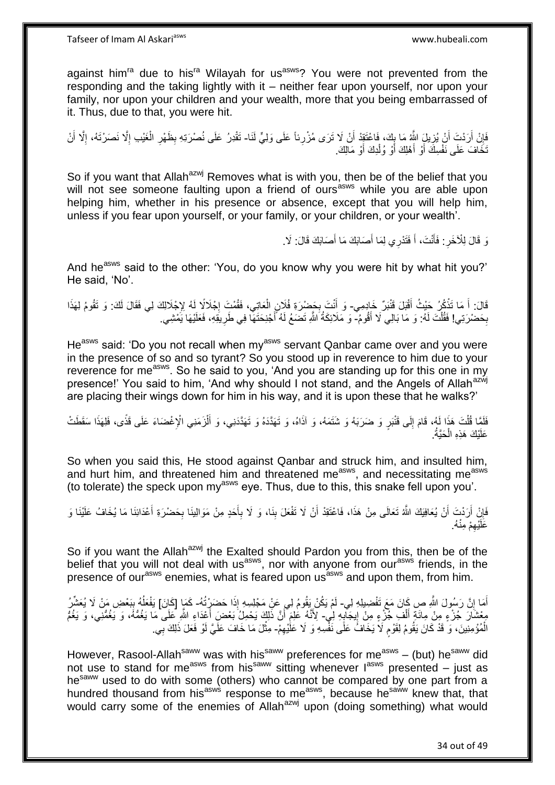against him<sup>ra</sup> due to his<sup>ra</sup> Wilayah for us<sup>asws</sup>? You were not prevented from the responding and the taking lightly with it – neither fear upon yourself, nor upon your family, nor upon your children and your wealth, more that you being embarrassed of it. Thus, due to that, you were hit.

فَإِنْ أَرَدْتَ أَنْ يُزِيلَ اللَّهُ مَا بِكَ، فَاعْتَقِهْ أَنْ لَا تَرَى مُزْرِنَا عَلَى وَلِيٍّ لَنَا- تَقْدِرُ عَلَى نُصْرَتِهِ بِظَهْرِ الْغَيْبِ إِلَّا نَصَرْتَهُ، إِلَّا أَنْ ِ ِ ِ ِ َ ِ ِ ْ ِ ِ َخَافَ عَلَى نَفْسِكَ أَوْ أَهْلِكَ أَوْ وُلْدِكَ أَوْ مَالِكَ. ْ َ َ

So if you want that Allah<sup>azwj</sup> Removes what is with you, then be of the belief that you will not see someone faulting upon a friend of ours<sup>asws</sup> while you are able upon helping him, whether in his presence or absence, except that you will help him, unless if you fear upon yourself, or your family, or your children, or your wealth'.

> نَ قَالَ لِلْأَخَرِ . فَأَنْتَ، أَ فَتَدْرِي لِمَا أَصَابَكَ مَا أَصَابَكَ قَالَ: لَا ـ َ َ ِ

And he<sup>asws</sup> said to the other: 'You, do you know why you were hit by what hit you?' He said, 'No'.

قَالَ أَ مَا تَذْكُرُ حَيْثُ أَقْبَلَ قَنْبَرٌ خَادِمِي- وَ أَنْتَ بِحَضْرَةِ فُلَانٍ الْعَاتِي، فَقُمْتَ إِجْلَالِدًا لِي لِي فَقَالَ لَكَ: وَ تَقُومُ لِهَذَا َ **ٔ :** יִי.<br>י ْ **∶** َ بِحَضْرِيَتِي! فَقُلْتَ لَهُ: وَ مَا بَالِي لَا أَقُومُ- وَ مَلَائِكَةُ اللَّهِ تَضَعُ لَهُ أَجْنِحَتَهَا فِي طَرِيقِهِ، فَعَلَيْهَا يَمْشِي. َ ْ ِ **∶** 

He<sup>asws</sup> said: 'Do you not recall when my<sup>asws</sup> servant Qanbar came over and you were in the presence of so and so tyrant? So you stood up in reverence to him due to your reverence for me<sup>asws</sup>. So he said to you, 'And you are standing up for this one in my presence!' You said to him, 'And why should I not stand, and the Angels of Allah<sup>azwj</sup> are placing their wings down for him in his way, and it is upon these that he walks?'

فَلَّتَ هَذَا لَهُ، قَامَ إِلَى قَتْبَرٍ وَ ضَرَبَهُ وَ شَتَمَهُ، وَ آذَاهُ، وَ تَهَدَّدَهُ وَ تَهَدَّدَنِي، وَ أَلْزَمَنِي الْإِغْضَاءَ عَلَى قَذًى، فَلِهَذَا سَقَطَتْ ِ ْ ْ َ عَلَيْكَ هَذِهِ الْحَيَّةُ. ْ

So when you said this, He stood against Qanbar and struck him, and insulted him, and hurt him, and threatened him and threatened measws, and necessitating measws (to tolerate) the speck upon  $mv^{asws}$  eye. Thus, due to this, this snake fell upon you'.

فَإِنْ أَرَدْتَ أَنْ يُعَافِيَكَ اللَّهُ تَعَالَى مِنْ هَذَا، فَاعْتَقِدْ أَنْ لَا تَفْعَلَ بِذَا، وَ لَا بِأَحَدٍ مِنْ مَوَالِينَا بِحَضْرَةِ أَعْدَائِنَا مَا يُخَافُ عَلَيْنَا وَ َ ِ **∣** اُ اً َ ِ َ **∶** عَلَيْهِمْ مِنْهُ. ِ

So if you want the Allah<sup>azwj</sup> the Exalted should Pardon you from this, then be of the belief that you will not deal with us<sup>asws</sup>, nor with anyone from our<sup>asws</sup> friends, in the presence of our<sup>asws</sup> enemies, what is feared upon us<sup>asws</sup> and upon them, from him.

أَمَا إِنَّ رَسُولَ اللَّهِ صِ كَانَ مَعَ تَفْضِيلِهِ لِي- لَمْ يَكُنْ يَقُومُ لِي عَنْ مَجْلِسِهِ إِذَا حَضَرْتُهُ- كَمَا [كَانَ] يَفْعَلُهُ بِبَعْضِ مَنْ لَا يُعَشِّرُ ِ ِ  $\overline{a}$ مِعْشَارَ جُزْءٍ مِنْ مِائَةٍ أَلْفِ جُزْءٍ مِنْ إِيجَآيِهِ لِٰي ِ لِأَنَّهُ عَٰلِمَ أَنَّ ذَلِكَ يَحْمِلُ بَعْضَ أَعْدَاءِ اللَّهِ عَلَى مَا يَغُمُّهُ، وَ يَغُمُّهُ وَ يَغُمُّ **∶** ֦֧֦֧֦֧֦֧֦֧֦֧֦֧֦֧ׅ֦֦֦֧֦֧֦֧֦֧֦֧֦֧֦֧֦֧֦֧֦֧֦֚֚֬֜֜֡ ْ َ َ اُ َ الْمُؤْمِنِينَ، وَ قَدْ كَانَ يَقُومُ لِقَوْمٍ لَاَ يَخَافُ عَلَى نَفْسِهِ وَ لَا عَلْيْهِمْ- مِثْلَ مَا خَافَ عَلَيَّ لَوْ فَعَلَ ذَلِكَ بِي. ٍ ِ ِ ْ

However, Rasool-Allah<sup>saww</sup> was with his<sup>saww</sup> preferences for me<sup>asws</sup> – (but) he<sup>saww</sup> did nowever, recover means the continuum of the contract of last presented – just as he<sup>saww</sup> used to do with some (others) who cannot be compared by one part from a hundred thousand from his<sup>asws</sup> response to me<sup>asws</sup>, because he<sup>saww</sup> knew that, that would carry some of the enemies of Allah<sup>azwj</sup> upon (doing something) what would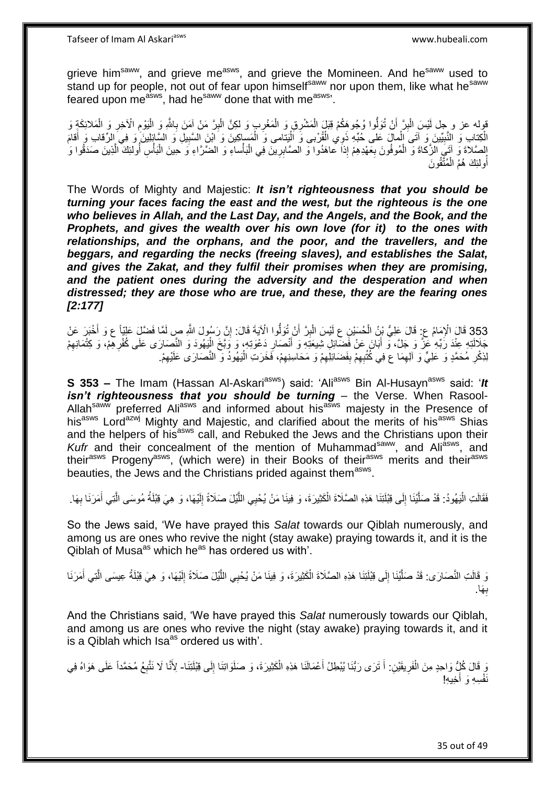Tafseer of Imam Al Askariasws www.hubeali.com

grieve him<sup>saww</sup>, and grieve me<sup>asws</sup>, and grieve the Momineen. And he<sup>saww</sup> used to stand up for people, not out of fear upon himself<sup>saww</sup> nor upon them, like what he<sup>saww</sup> feared upon me<sup>asws</sup>, had he<sup>saww</sup> done that with me<sup>asws</sup>'.

قوله عز و جل أَيْسَ الْبِرَّ أَنْ تُوَلُّوا وُجُوهَكُمْ قِبَلَ الْمَشْرِقِ وَ الْمَغْرِبِ وَ لَكِنَّ الْبِرَّ مَنْ آمَنَ بِاللَّهِ وَ الْفَوْمِ الْآخِرِ وَ الْمَلائِكَةِ وَ<br>إِي اللَّهُ عَلَيْهِ الْآخِرِ وَ الْمَلائِكَةِ و ِ ْ ْ ِ ِ ْ ِ ِ ْ ِ ْ ْ الْكِتَابِ وَ النَّبِيِّينَ وَ آتَى الْمالَ عَلى حُبِّهِ ذَوِي الْقُرْبى وَ اَلْيَتامى وَ الْمَساكِينَ وَ ابْنَ السَّبِيلِ وَ السَّائِلِينَ وَ فِي الرِّقابِ وَ أَقامَ ْ ِ ْ ِ ْ َ الصَّلاةَ وَ آتَيُ الزَّكاةَ وَ الْمُوفُونَ بِعَهْدِهِمْ إِذاَ عاهَدُوا وَ الصَّابِرِينَ فِي الْبَأْساءِ وَ الضَّرَّاءِ وَ حِينَ الْبَأْسِ أُولَئِكَ الَّذِينَ صَدَقُوا وَ ْ ْ ِ ِ ْ ه اُ ْ ْ أُولئِكَ هُمُ الْمُتَّقُونَ ْ ُ

The Words of Mighty and Majestic: *It isn't righteousness that you should be turning your faces facing the east and the west, but the righteous is the one who believes in Allah, and the Last Day, and the Angels, and the Book, and the Prophets, and gives the wealth over his own love (for it) to the ones with relationships, and the orphans, and the poor, and the travellers, and the beggars, and regarding the necks (freeing slaves), and establishes the Salat, and gives the Zakat, and they fulfil their promises when they are promising, and the patient ones during the adversity and the desperation and when distressed; they are those who are true, and these, they are the fearing ones [2:177]*

353 قَالَ الْإِمَامُ عِ: قَالَ عَلِيُّ بْنُ الْحُسَيْنِ عِ لَيْسَ الْبِرَّ أَنْ تُوَلُّوا الْآيَةَ قَالَ: إِنَّ رَسُولَ النَّهِ صِ لَمَّا فَضَّلٍّ عَلِيَّاً ع وَ أَخْبَرَ عَنْ َ ِ َ ِ ْ ْ جَلَالَتِهِ عِنْدَ رَبِّهِ عَنَّ وَ جَلَّ، وَ أَبَانَ عَنْ فَضَّائِلِ شِيعَتِهِ وَ أَنْصَارِ دَعْوَتِهِ، وَ وَبَّخَ الْيَهُودَ وَ النَّصِارَى عَلَى كُفْرِهِمْ، وَ كِتْمَانِهِمْ ْ ِ َ َ ِ ِ لِذِكْرِ مُحَمَّدٍ وَ عَلِيٍّ وَ الِهِمَا ع فِي كُتُبِهِمْ بِفَضَائِلِهِمْ وَ مَحَاسِنِهِمْ، فَخَرَتِ الْيَهُودُ وَ النَّصَارَى عَلَيْهِمْ. ِ ِ ْ ِ ِ ِ ِ ِ

**S 353 –** The Imam (Hassan Al-Askari<sup>asws</sup>) said: 'Ali<sup>asws</sup> Bin Al-Husayn<sup>asws</sup> said: '*It isn't righteousness that you should be turning* – the Verse. When Rasool-Allah<sup>saww</sup> preferred Ali<sup>asws</sup> and informed about his<sup>asws</sup> majesty in the Presence of his<sup>asws</sup> Lord<sup>azwj</sup> Mighty and Majestic, and clarified about the merits of his<sup>asws</sup> Shias and the helpers of his<sup>asws</sup> call, and Rebuked the Jews and the Christians upon their *Kufr* and their concealment of the mention of Muhammad<sup>saww</sup>, and Ali<sup>asws</sup>, and their<sup>asws</sup> Progeny<sup>asws</sup>, (which were) in their Books of their<sup>asws</sup> merits and their<sup>asws</sup> beauties, the Jews and the Christians prided against them<sup>asws</sup>.

فَقَالَتِ الْيَهُودُ: قَدْ صَلَّيْنَا إِلَى قِبْلَتِنَا هَذِهِ الصَّلَاةَ الْكَثِيرَةَ، وَ فِينَا مَنْ يُحْيِي اللَّيْلَ صَلَاةً إِلَيْهَا، وَ هِيَ قِبْلَةُ مُوسَى الَّتِي أَمَرَنَا بِهَا. ِ ه ْ  $\frac{1}{2}$ ه :<br>ا ِ َ ه

So the Jews said, 'We have prayed this *Salat* towards our Qiblah numerously, and among us are ones who revive the night (stay awake) praying towards it, and it is the  $Qiblah$  of Musa<sup>as</sup> which he<sup>as</sup> has ordered us with'.

ه وَ قَالَتِ النَّصَارَى: قَدْ صَلَّيْنَا إِلَى قِبْلَتِنَا هَذِهِ الصَّلَاةَ الْكَثِيرَةَ، وَ فِينَا مَنْ يُحْيِي اللَّيْلَ صَلَاةً إِلَيْهَا، وَ هِيَ قِبْلَةُ عِيسَى الَّتِي أَمَرَنَا ْ  $\frac{1}{2}$ ه َ ه لَ ِ َها. ب **∶** 

And the Christians said, 'We have prayed this *Salat* numerously towards our Qiblah, and among us are ones who revive the night (stay awake) praying towards it, and it is a Qiblah which Isa<sup>as</sup> ordered us with'.

لَ ِ وَ قَالَ كُلُّ وَاحِدٍ مِنَ الْفَرِيقَيْنِ: أَ تَرَى رَبُّنَا بُيْطِلُ أَعْمَالَنَا هَذِهِ الْكَثِيرَةَ، وَ صَلَوَاتِنَا إِلَى قِبْلَتِنَا- لِأَنَّا لَا نَتَّبِعُ مُحَمَّداً عَلَى هَوَاهُ فِي ْ َ َ ِ ْ ِ ه نَفْسِهِ وَ أَخِيهِ!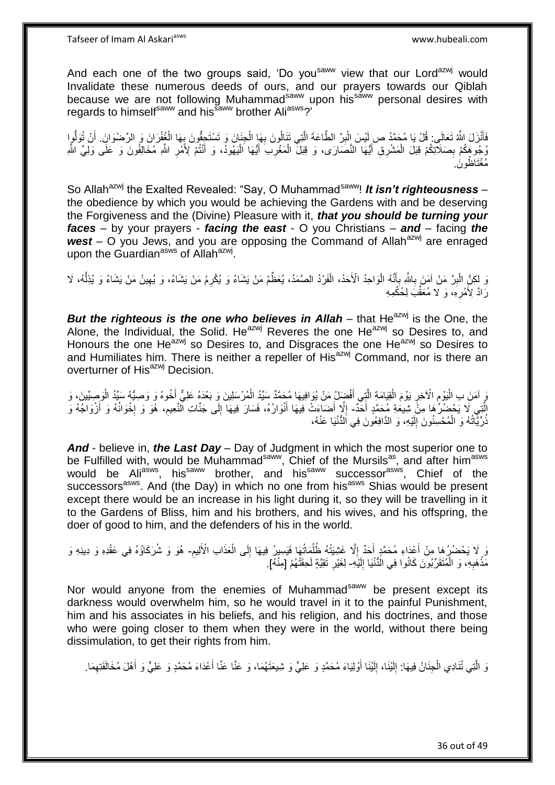And each one of the two groups said, 'Do you<sup>saww</sup> view that our Lord<sup>azwj</sup> would Invalidate these numerous deeds of ours, and our prayers towards our Qiblah because we are not following Muhammad<sup>saww</sup> upon his<sup>saww</sup> personal desires with regards to himself<sup>saww</sup> and his<sup>saww</sup> brother Ali<sup>asws</sup>?'

فَأَنْزَلَ اللَّهُ تَعَالَى: قُلْ يَا مُحَمَّدُ ص لِيْسَ الْبِرَّ الطَّاعَةَ الَّتِي تَنَالُونَ بِهَا الْجِنَانَ وَ تَسْتَجِؤُونَ بِهَا الْخُفْرَانَ وَ الرِّصْنَوانَ. أَنْ تُوَلُّوا َ ْ ¦ ْ ِ ه ِ ْ ُّ َ وُجُوهَكُمْ بِصَلَاتِكُمْ قِبَلَ الْمَشْرِقِ أَيُّهَا النَّصَارَى، وَ قِبَلَ الْمَغْرِبَ أَيُّهَا الْيَهُودُ، وَ أَنْتُمْ لِأَمْرِ اللَّهِ مُخَالِفُونَ وَ عَلَى وَلِيٍّ اللَّه ِ ِ ْ ِ َ :<br>ا َ ُظو َن. ُمْغَتا

So Allah<sup>azwj</sup> the Exalted Revealed: "Say, O Muhammad<sup>saww</sup>! **It isn't righteousness** – the obedience by which you would be achieving the Gardens with and be deserving the Forgiveness and the (Divine) Pleasure with it, *that you should be turning your faces* – by your prayers - *facing the east* - O you Christians – *and* – facing *the*  west – O you Jews, and you are opposing the Command of Allah<sup>azwj</sup> are enraged upon the Guardian<sup>asws</sup> of Allah<sup>azwj</sup>.

وَ لِكِنَّ الْبِرَّ مَنْ آمَنَ بِاللَّهِ بِأَنَّهُ الْوَاحِدُ الْأَحَدُ، الْفَرْدُ الصَّمَدُ، يُعَظِّمُ مَنْ يَشَاءُ وَ يُكْرِمُ مَنْ يَشَاءُ، وَ يُهِينُ مَنْ يَشَاءُ وَ يُذِلّْهُ، لَا **∶** ِ َ ِ ُّ ِ ِ ْ ا<br>ا َرَادَّ لِأَمْرِهِ، وَ لَا مُعَقَّبَ لِٰحُكْمِهِ ِ

*But the righteous is the one who believes in Allah* **– that He<sup>azwj</sup> is the One, the** Alone, the Individual, the Solid. He<sup>azwj</sup> Reveres the one He<sup>azwj</sup> so Desires to. and Honours the one He<sup>azwj</sup> so Desires to, and Disgraces the one He<sup>azwj</sup> so Desires to and Humiliates him. There is neither a repeller of His<sup>azwj</sup> Command, nor is there an overturner of His<sup>azwj</sup> Decision.

وَ آمَنَ بِ الْيَوْمِ الْآخِرِ يَوْمَ الْقِيَامَةِ الَّذِي أَفْضِلُ مَنْ يُوَافِيهَا مُحَمَّدٌ سَيِّدُ الْمُرْسَلِينَ وَ بَعْدَهُ عَلِيٌّ أَخُوهُ وَ وَصِيُّهُ سَبِّدُ الْوَصِيِّينَ، وَ ْ َ ه ْ ِ ِ الَّتِي لَا يَحْضُرُهَا مِنْ شِيعَةِ مُحَمَّدٍ أَخَدٌ- إِلَّا أَضَاءَتْ فِيهَا أَنْوَارُهُ، فَسَارَ فِيهَا إِلَى جَنَّاتِ النَّعِيمِ، هُوَ وَ إِخْوَانُهُ وَ أَرْوَاجُهُ وَ َ َ ן<br>י ِ ِ َ  $\overline{\phantom{a}}$ ذُرِّيَّاتُهُ وَ الْمُحْسِنُونَ إِلَيْهِ، وَ الدَّافِعُونَ فِي اَلدُّنْيَا عَنْهُ، لَ ِ ْ ا<br>المنابعة

*And* - believe in, *the Last Day* – Day of Judgment in which the most superior one to be Fulfilled with, would be Muhammad<sup>saww</sup>, Chief of the Mursils<sup>as</sup>, and after him<sup>asws</sup> would be Ali<sup>asws</sup>, his<sup>saww</sup> brother, and his<sup>saww</sup> successor<sup>asws</sup>, Chief of the successors<sup>asws</sup>. And (the Day) in which no one from his<sup>asws</sup> Shias would be present except there would be an increase in his light during it, so they will be travelling in it to the Gardens of Bliss, him and his brothers, and his wives, and his offspring, the doer of good to him, and the defenders of his in the world.

ِ نَ لَا يَحْضُرُ هَا مِنْ أَعْدَاءِ مُحَمَّدٍ أَحَدٌ إِلَّا غَشِيَتْهُ ظُلُمَاتُهَا فَيَسِيرُ فِيهَا إِلَى الْعَذَابِ الْأَلِيمِ- هُوَ وَ شُرَكَاؤُهُ فِي عَقْدِهِ وَ دِينِهِ وَ ْ ِ ا<br>ا ِ َ اً<br>ا مَّذْهَبِهِ، وَ الْمُتَقَرِّبُونَ كَانُوا فِي الْدُّنْيَا إِلَيْهِ- لِغَيْرِ تَقِيَّةٍ لَحِقَتْهُمْ [مِنْهُ]. ْ **∶** لَ  $\frac{1}{2}$ ِ

Nor would anyone from the enemies of Muhammad<sup>saww</sup> be present except its darkness would overwhelm him, so he would travel in it to the painful Punishment, him and his associates in his beliefs, and his religion, and his doctrines, and those who were going closer to them when they were in the world, without there being dissimulation, to get their rights from him.

وَ الَّتِي تُنَادِي الْجِنَانُ فِيهَا: إِلَيْنَا، إِلَيْنَا أُوْلِيَاءَ مُحَمَّدٍ وَ عَلِيٍّ وَ شِيعَتَهُمَا، وَ عَنَّا عَنَّا أَعْدَاءَ مُحَمَّدٍ وَ عَلِيٍّ وَ أَهْلَ مُخَالَفَتِهِمَا. َ لَ ِ لَ  $\frac{1}{2}$ ْ ِ َ َ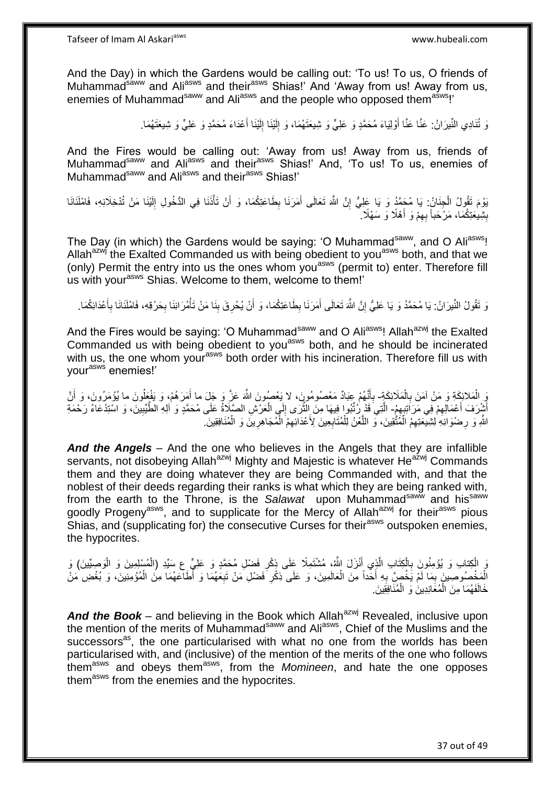And the Day) in which the Gardens would be calling out: 'To us! To us, O friends of Muhammad<sup>sáww</sup> and Ali<sup>asws</sup> and their<sup>asws</sup> Shias!' And 'Away from us! Away from us, enemies of Muhammad<sup>saww</sup> and Ali<sup>asws</sup> and the people who opposed them<sup>asws</sup>!'

> رَ تُنَادِي النِّيرَانُ: عَنَّا عَنَّا أُوْلِيَاءَ مُحَمَّدٍ وَ عَلِيٍّ وَ شِيعَتَهُمَا، وَ إِلَيْنَا إِلَيْنَا أَعْدَاءَ مُحَمَّدٍ وَ عَلِيٍّ وَ شِيعَتَهُمَا. َ لَ ِ لَ ِ َ

And the Fires would be calling out: 'Away from us! Away from us, friends of Muhammad<sup>saww</sup> and Ali<sup>asws</sup> and their<sup>asws</sup> Shias!' And, 'To us! To us, enemies of Muhammad<sup>saww</sup> and Ali<sup>asws</sup> and their<sup>asws</sup> Shias!'

يَوْمَ تَقُولُ الْجِنَانُ: يَا مُجَمَّدُ وَ يَا عَلِيُّ إِنَّ اللَّهَ تَعَالَى أَمَرَنَا بِطَاعَتِكُمَا، وَ أَنْ تَأْذَنَا فِي الدُّخُولِ إِلَيْنَا مَنْ تُدْخِلَانِهِ، فَامْلَنَانَا ْ َ ِ َ יֲ<br>י ْ لَ ِ بِشِيعَتِكُمَا، مَرْحَباً بِهِمْ وَ أَهْلًا وَ سَهْلًا ِ َ ِ **∣** 

The Day (in which) the Gardens would be saying: 'O Muhammad<sup>saww</sup>, and O Ali<sup>asws</sup>! Allah<sup>azwj</sup> the Exalted Commanded us with being obedient to you<sup>asws</sup> both, and that we (only) Permit the entry into us the ones whom you<sup>asws</sup> (permit to) enter. Therefore fill us with your<sup>asws</sup> Shias. Welcome to them, welcome to them!'

وَ تَقُولُ النِّيرَانُ: يَا مُحَمَّدُ وَ يَا عَلِيُّ إِنَّ اللَّهَ تَعَالَى أَمَرَنَا بِطَاعَتِكُمَا، وَ أَنْ يُحْرِقَ بِذَا مَنْ تَأْمُرَانِنَا بِحَرْقِهِ، فَامْلَنَانَا بِأَعْدَائِكُمَا. **! ∶** َ ِ َ ِ َ ِ **∶** ْ

And the Fires would be saying: 'O Muhammad<sup>saww</sup> and O Ali<sup>asws</sup>! Allah<sup>azwj</sup> the Exalted Commanded us with being obedient to you<sup>asws</sup> both, and he should be incinerated with us, the one whom your<sup>asws</sup> both order with his incineration. Therefore fill us with yourasws enemies!'

يَ الْمَلائِكَةِ وَ مَنْ آمَنَ بِالْمَلَائِكَةِ- بِأَنَّهُمْ عِبَادٌ مَعْصُومُورٍنَ، لا يَعْصُونَ اللَّهَ عَزَّ وَ جَلَ ما أَمَرَهُمْ، وَ يَفْعَلُونَ ما يُؤْمَرُونَ، وَ أَنَّ ْ **∶** َ ِ ُ َ أَشْرَفَ أَعْمَالِهِمْ فِي مَرَ اَنِتِهِمٍ - الَّتِي َقَدْ رُنَّبُوا فِيهَا مِنَ إِلَيّْهَى إِلَي الْعَرْشِ الصَّلَاةُ عَلَى مُحَمَّدٍ وَ أَلِهِ الْطُّيِّبِينَ، وَ اسْتِدْعَاءُ رَحْمَةِ  $\ddot{\bm{\zeta}}$ ِ ِ ْ ِ ه اللَّهِ وَ رِضْوَانِهِ لِشِيْعَتِهِمُ الْمُتَّقِينَ، وَ اللَّعْنُ لِلْمُتَابِعِينَ لِأَعْدَائِهِمُ الْمُجَاهِرِينَ وَ الْمُنَافِقِينَ ۖ ِ ْ ه ْ ِ ْ **∶** ْ

*And the Angels* – And the one who believes in the Angels that they are infallible servants, not disobeying Allah<sup>azwj</sup> Mighty and Majestic is whatever He<sup>azwj</sup> Commands them and they are doing whatever they are being Commanded with, and that the noblest of their deeds regarding their ranks is what which they are being ranked with, from the earth to the Throne, is the Salawat upon Muhammad<sup>saww</sup> and his<sup>saww</sup> goodly Progeny<sup>asws</sup>, and to supplicate for the Mercy of Allah<sup>azwj</sup> for their<sup>asws</sup> pious Shias, and (supplicating for) the consecutive Curses for their<sup>asws</sup> outspoken enemies, the hypocrites.

وَ الْكِتابِ وَ يُؤْمِنُونَ بِالْكِتَابِ الَّذِي أَنْزَلَ اللَّهُ، مُشْتَمِلًا عَلَى ذِكْرِ فَضْلِ مُحَمَّدٍ وَ عَلِيٍّ عِ سَيِّدِ (الْمُسْلِمِينَ وَ الْوَصِيِّينَ) وَ َ ه ْ **∶** ْ ْ ِ الْمَخْصُوصِينَ بِمَا لَمْ يَخُصَّ بِهِ أَخَداً مِنَ الْعَالَمِينَ، وَ عَلَى ذِكْرِ فَضْلِ مَنْ تَبِعَهُمَا وَ أَطَاعَهُمَا مِنَ الْمُؤْمِنِينَ، وَ بُغْضِ مَنْ ِ **∶** ْ َ ِ ِ ْ خَالَفَهُمَا مِنَ الْمُعَانِدِينَ وَ الْمُنَافِقِينَ ْ ْ

And the Book – and believing in the Book which Allah<sup>azwj</sup> Revealed, inclusive upon the mention of the merits of Muhammad<sup>saww</sup> and Ali<sup>asws</sup>, Chief of the Muslims and the successors<sup>as</sup>, the one particularised with what no one from the worlds has been particularised with, and (inclusive) of the mention of the merits of the one who follows themasws and obeys themasws, from the *Momineen*, and hate the one opposes them<sup>asws</sup> from the enemies and the hypocrites.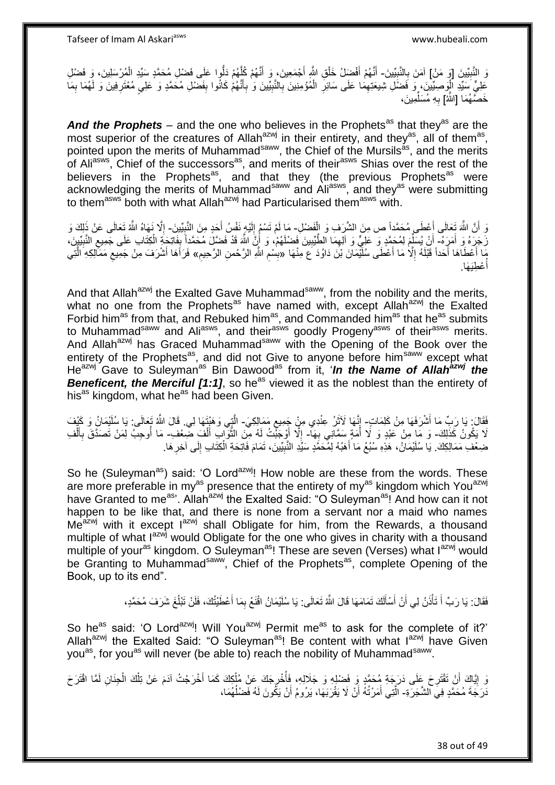وَ النَّبِيِّينَ [وَ مَنْ] آمَنَ بِالنَّبِيِّينَ- أَنَّهُمْ أَفْضَالُ خَلْقِ اللَّهِ أَجْمَعِينَ، وَ أَنَّهُمْ كُلِّهُمْ دَلُّوا عَلَى فَضْلِ مُحَمَّدٍ سَيِّدِ الْمُرْسَلِينَ، وَ فَضْلِ **!** ِ ِ ْ ه َ ْ َ َ ِ ُمْؤ ِمِني َن ب ال َما َعلَى َساِئر َو ِصِّيي َن، َو َف ْض ِل ِشي َعِته َعلِ ٍّي َسِّيِد ال َف ْض ِل ُم َح همٍد َو َعلِيٍ ُهْم َكانُوا ب نه أ ِّيي َن َو ب ب الن َما ه ُهَما ب ِفي َن َو لَ ُمْعَتر ْ **∶** ِ ْ ِ َ ِ ِ ِ ِ خَصَّـهُمَا [الثَّهُ] بِهِ مُسَلِّمِينَ، ِّ **∶** 

And the Prophets – and the one who believes in the Prophets<sup>as</sup> that they<sup>as</sup> are the most superior of the creatures of Allah<sup>azwj</sup> in their entirety, and they<sup>as</sup>, all of them<sup>as</sup>, pointed upon the merits of Muhammad<sup>saww</sup>, the Chief of the Mursils<sup>as</sup>, and the merits of Ali<sup>asws</sup>, Chief of the successors<sup>as</sup>, and merits of their<sup>asws</sup> Shias over the rest of the believers in the Prophets<sup>as</sup>, and that they (the previous Prophets<sup>as</sup> were acknowledging the merits of Muhammad<sup>saww</sup> and Ali<sup>asws</sup>, and they<sup>as</sup> were submitting to them<sup>asws</sup> both with what Allah<sup>azwj</sup> had Particularised them<sup>asws</sup> with.

وَ أَنَّ اللَّهَ تَعَالَى أَعْطَى مُحَمَّداً ص مِنَ الشَّرَفِ وَ الْفَضْلِ- مَا لَمْ تَسْمُ إِلَيْهِ نَفْسُ أَحَدٍ مِنَ النَّبِيِّينَ- إِلَّا نَهَاهُ اللَّهُ تَعَالَى عَنْ ذَلِكَ وَ َ اً ْ ِ َ لَ ِ  $\frac{1}{2}$ َنَ جَرَهُ وَ أَمَرٍَ هُ-ۖ أَنْ بُسَلِّمَ لِمُحَمَّدٍ وَ عَلِيٌّ وَ آلِهِمَا الطُّيِّبِينَ فَضلَهُمْ، وَ أَنَّ اللَّهَ قَدْ فَضَلَ مُحَمَّداً بِفَاتِحَةٍ الْكِتَابِ عَلَى جَمِيعِ النَّبِيِّينَ، َ َ ِ ِ ِّ َ ِ ِ ْ ֧֦֦֦֖֦֦֧֦֧֦֧֦֧֦֧֧֦֧֚֚֬֝֝֝֝֝֓֝֬֝֝֝֬֝ مَا أَعْطَاهَا أَحَداً قَبْلَهُ إِلَّا مَا أَعْطَى سُلَيْمَانَ بْنَ دَاوُدَ ع مِنْهَا «بِسْمِ اللَّهِ الرَّحْمنِ الرَّحِيمِ» فَرَأَهَا أَشْرَفَ مِنْ جَمِيعِ مَمَكِّلِكِهِ الَّتِي اً<br>ا ِ َ ِ ِ **!** ه ِ َ عْطِيَهَا. ا<br>ا أ

And that Allah<sup>azwj</sup> the Exalted Gave Muhammad<sup>saww</sup>, from the nobility and the merits, what no one from the Prophets<sup>as</sup> have named with, except Allah<sup>azwj</sup> the Exalted Forbid him<sup>as</sup> from that, and Rebuked him<sup>as</sup>, and Commanded him<sup>as</sup> that he<sup>as</sup> submits to Muhammad<sup>saww</sup> and Ali<sup>asws</sup>, and their<sup>asws</sup> goodly Progeny<sup>asws</sup> of their<sup>asws</sup> merits. And Allah<sup>azwj</sup> has Graced Muhammad<sup>saww</sup> with the Opening of the Book over the entirety of the Prophets<sup>as</sup>, and did not Give to anyone before him<sup>saww</sup> except what He<sup>azwj</sup> Gave to Suleyman<sup>as</sup> Bin Dawood<sup>as</sup> from it, '*In the Name of Allah<sup>azwj</sup> the* **Beneficent, the Merciful [1:1]**, so he<sup>as</sup> viewed it as the noblest than the entirety of his<sup>as</sup> kingdom, what he<sup>as</sup> had been Given.

فَقَالَ: يَا رَبِّ مَا أَشْرَفَهَا مِنْ كَلِمَاتٍ- إِنَّهَا لَأَثَرُ عِنْدِي مِنْ جَمِيعِ مَمَالِكِيَ- الَّذِي وَهَنْتَهَا لِي. قَالَ اللَّهُ تَعَالَى: يَا سُلَيْمَانُ وَ كَيْفَ َ ֺ֖֦֦֦֦֦֧ׅ֦֧ׅ֦֧ׅ֚֚֚֚֚֚֚֚֚֚֚֚֚֚֚֚֝֡֝֡֡֝֬֝֓֡֜֓֡֜֓֡֜ ว<br>ว لَا يَكُونُ كَذَٰلِكَ- وَ مَّا مِنْ عَبْدٍ وَ لَا أُمَةٍ سَمَّانِي بِهَا- إِلَّا أَوْجَبْتُ لَهُ مِنَ الثَّوَابِ أَلْفَ ضِعْف- مَا أُوجِبُ لِمَنْ تَصَدَّقَ بِأَلْفِ ِ َ ْ َ ه َ ْ ĺ ِ ضِعْفِ مَمَالِكِكَ. يَا سُلَيْمَانُ، هَذِهِ سُبُعُ مَا أَهَبُهُ لِمُحَمَّدٍ سَيِّدِ النَّبِيِّينَ، تَمَامَ فَاتِحَةِ الْكِتَابِ إِلَى آخِرِ هَا. َ ِ ِ ْ ِ

So he (Suleyman<sup>as</sup>) said: 'O Lord<sup>azwj</sup>! How noble are these from the words. These are more preferable in my<sup>as</sup> presence that the entirety of my<sup>as</sup> kingdom which You<sup>azwj</sup> have Granted to me<sup>as</sup>'. Allah<sup>azwj</sup> the Exalted Said: "O Suleyman<sup>as</sup>! And how can it not happen to be like that, and there is none from a servant nor a maid who names  $Me^{a^2}$  with it except  $I^{a^2}$  shall Obligate for him, from the Rewards, a thousand multiple of what I<sup>azwj</sup> would Obligate for the one who gives in charity with a thousand multiple of your<sup>as</sup> kingdom. O Suleyman<sup>as</sup>! These are seven (Verses) what I<sup>azwj</sup> would be Granting to Muhammad<sup>saww</sup>, Chief of the Prophets<sup>as</sup>, complete Opening of the Book, up to its end".

> فَقَالَ: يَا رَبِّ أَ تَأْذَنُ لِي أَنْ أَسْأَلَكَ تَمَامَهَا قَالَ اللَّهُ تَعَالَى: يَا سُلَيْمَانُ اقْنَعْ بِمَا أَعْطَيْتُكَ، فَلَنْ تَبْلُغَ شَرَفَ مُحَمَّدٍ، َ ِ لَ َ َ َ :<br>ا َ ُ

So he<sup>as</sup> said: 'O Lord<sup>azwj</sup>! Will You<sup>azwj</sup> Permit me<sup>as</sup> to ask for the complete of it?' Allah<sup>azwj</sup> the Exalted Said: "O Suleyman<sup>as</sup>! Be content with what  $I^{azwj}$  have Given you<sup>as</sup>, for you<sup>as</sup> will never (be able to) reach the nobility of Muhammad<sup>saww</sup>.

رَ إِيَّاكَ أَنْ تَقْتَرِحَ عَلَى دَرَجَةِ مُحَمَّدٍ وَ فَضْلِهِ وَ جَلَالِهِ، فَأُخْرِجَكَ عَنْ مُلْكِكَ كَمَا أُخْرَجْتُ آدَمَ عَنْ تِلْكَ الْجِذَانِ لَمَّا اقْتَرَحَ **∶** ֖֧֚֚֚֚֚֚֚֚֚֚֚֚֚֓֡֡֓֡֘<u>֚֓</u> ْ ْ َ ْ **∤** :<br>ا لَ دَرَجَةَ مُحَمَّدٍ فِيَ الشَّجَرَةِ- الَّتِي أَمَرْتُهُ أَنْ لَا يَقْرَبَهَا، يَرُومُ أَنْ يَكُونَ لَهُ فَضْلُهُمَا، ا<br>ا اُ َ ه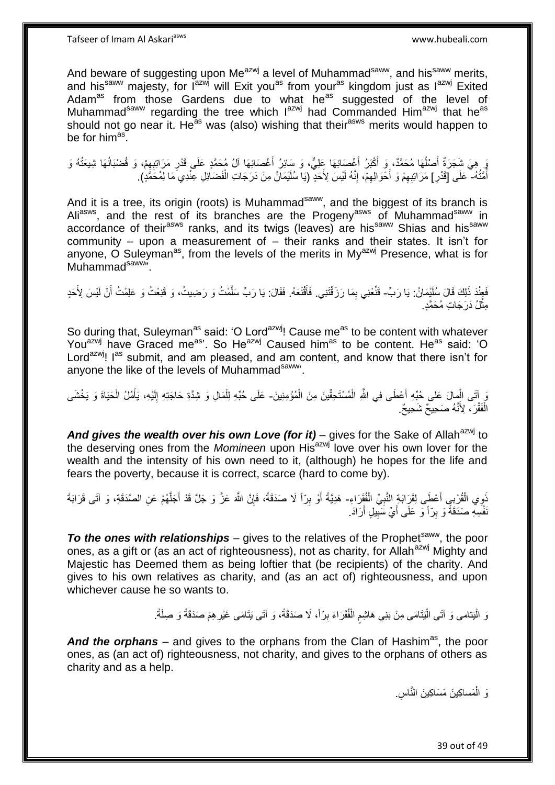And beware of suggesting upon Me<sup>azwj</sup> a level of Muhammad<sup>saww</sup>, and his<sup>saww</sup> merits, and his<sup>saww</sup> majesty, for l<sup>azwj</sup> will Exit you<sup>as</sup> from your<sup>as</sup> kingdom just as l<sup>azwj</sup> Exited Adam<sup>as</sup> from those Gardens due to what he<sup>as</sup> suggested of the level of Muhammad<sup>saww</sup> regarding the tree which lazwj had Commanded Himazwj that he<sup>as</sup> should not go near it. He<sup>as</sup> was (also) wishing that their<sup>asws</sup> merits would happen to be for him<sup>as</sup>.

َرٍ هِيَ شَجَرَةٌ أَصْلُهَا مُحَمَّدٌ، وَ أَكْبَرُ أَغْصَانِهَا عَلِيٌّ، وَ سَائِرُ أَغْصَانِهَا آلُ مُحَمَّدٍ عَلَى قَدْرِ مَرَاتِبِهِمْ، وَ قُضْبَانُهَا شِيعَتُهُ وَ<br>تُمُمَّدُ َ َ َ ٔ<br>ا َ ِ ِ أَمَّتُهُ- ۖ عَلَى [قَدْرِ ] مَرَ اتبِهِمْ وَ أَخْوَالِهِمْ، إِنَّهُ لَيْسَ لِأَحَدٍ ۖ (يَا سُلَيْمَانُ مِنْ دَرَجَاتِ الْفَضَاَئِلِ عِنْدِي مَا لِمُحَمَّذٍ). ُ ْ ِ ِ َ ِ ِ

And it is a tree, its origin (roots) is Muhammad<sup>saww</sup>, and the biggest of its branch is Ali<sup>asws</sup>, and the rest of its branches are the Progeny<sup>asws</sup> of Muhammad<sup>saww</sup> in accordance of their<sup>asws</sup> ranks, and its twigs (leaves) are his<sup>saww</sup> Shias and his<sup>saww</sup> community – upon a measurement of – their ranks and their states. It isn't for anyone,  $\overrightarrow{O}$  Suleyman<sup>as</sup>, from the levels of the merits in My<sup>azwj</sup> Presence, what is for Muhammad<sup>saww</sup>".

فَعِنْدَ ذَلِكَ قَالَ سُلَيْمَانُ: يَا رَبِّ- قَنَّعْنِي بِمَا رَزَقْتَنِي. فَأَقْنَعَهُ. فَقَالَ: يَا رَبِّ سَلَّمْتُ وَ رَضِيتُ، وَ قَنِعْتُ وَ عَلِمْتُ أَنْ لَيْسَ لِأَحَدٍ َ ِ ه َ مِثْلُ دَرَجَاتِ مُحَمَّدٍ. ْ

So during that, Suleyman<sup>as</sup> said: 'O Lord<sup>azwj</sup>! Cause me<sup>as</sup> to be content with whatever You<sup>azwj</sup> have Graced me<sup>as</sup>'. So He<sup>azwj</sup> Caused him<sup>as</sup> to be content. He<sup>as</sup> said: 'O Lord<sup>azwj</sup>! I<sup>as</sup> submit, and am pleased, and am content, and know that there isn't for anyone the like of the levels of Muhammad<sup>saww</sup>.

وَ إِنَّى الْمِالَ عَلى حُبِّهِ أَعْطَى فِي اللَّهِ الْمُسْتَحِقِّينَ مِنَ الْمُؤْمِنِينَ- عَلَى حُبِّهِ لِلْمَالِ وَ شِدَّةِ حَاجَتِهِ إِلَيْهِ، يَأْمُلُ الْحَيَاةَ وَ يَخْشَى ْ ْ َ ْ ْ ْ لَ ِ الْفَقْرَ ، لِأَنَّهُ صَحِيحٌ شَحِيحٌ. ْ

And gives the wealth over his own Love (for it) – gives for the Sake of Allah<sup>azwj</sup> to the deserving ones from the *Momineen* upon His<sup>azwj</sup> love over his own lover for the wealth and the intensity of his own need to it, (although) he hopes for the life and fears the poverty, because it is correct, scarce (hard to come by).

َنْوِي الْقُرْبِيِ أَعْطَى لِقَرَابَةٍ النَّبِيِّ الْفُقَرَاءِ- هَدِيَّةً أَوْ بِرّاً لَا صَدَقَةً، فَإِنَّ اللَّهَ عَزَّ وَ جَلَّ قَدْ أَجَلَّهُمْ عَنِ الصَّدَقَةِ، وَ آتَى قَرَابَةَ ْ ْ ِ اً<br>ا ه َ ِ ِ َنْفُسِهِ صَدَقَةً وَ بِرِّ أَ وَ عَلَى أَيِّ سَبِيلٍ أَرَادَ. ِ َ **!** 

**To the ones with relationships** – gives to the relatives of the Prophet<sup>saww</sup>, the poor ones, as a gift or (as an act of righteousness), not as charity, for Allah<sup>azwj</sup> Mighty and Majestic has Deemed them as being loftier that (be recipients) of the charity. And gives to his own relatives as charity, and (as an act of) righteousness, and upon whichever cause he so wants to.

> وَ الْيَتامى وَ آتَى الْيَتَامَى مِنْ بَنِي هَاشِمِ الْفُقَرَاءَ بِرّاً، لَا صَدَقَةً، وَ آتَى يَتَامَى غَيْرِهِمْ صَدَقَةً وَ صِلَةً. ֦֦֖֦֖֦֖֧֦֦֧֦֦֦֧֦֧֦֧֦֧֦֧֦֧֦֧֦֧֦֧֦֧֦֧֝֟֟֓֕֝֟֓֓֝֓֓֝֟֓֓֞֟֓֓֞֟֓֡֟֓֓֞֓֓֞֟֓֓֞֟֓֡֟֓֓֞֓֟֓֝֬֓֞ **ٍ** ِ ْ ٍ ا<br>ا

And the orphans – and gives to the orphans from the Clan of Hashim<sup>as</sup>, the poor ones, as (an act of) righteousness, not charity, and gives to the orphans of others as charity and as a help.

> وَ الْمَساكِينَ مَسَاكِينَ النَّاسِ. ْ

> > 39 out of 49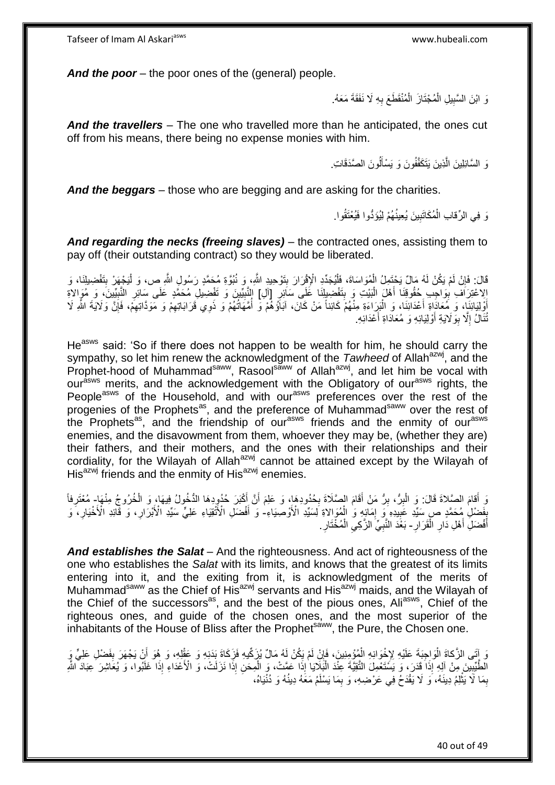*And the poor* – the poor ones of the (general) people.

وَ ابْنَ السَّبِيلِ الْمُجْتَازَ الْمُنْقَطَعَ بِهِ لَا نَفَقَةَ مَعَهُ. **! ∶** ْ ْ

*And the travellers* – The one who travelled more than he anticipated, the ones cut off from his means, there being no expense monies with him.

> وَ السَّائِلِينَ الَّذِينَ يَتَكَفَّفُونَ وَ يَسْأَلُونَ الصَّدَقَاتِ. ا<br>ا َ

*And the beggars* – those who are begging and are asking for the charities.

نَ فِي الرِّقابِ الْمُكَاتَبِينَ يُعِينُهُمْ لِيُوَدُّوا فَيُعْتَقُوا. **!** ْ

*And regarding the necks (freeing slaves)* – the contracted ones, assisting them to pay off (their outstanding contract) so they would be liberated.

قَالَ: فَإِنْ لَمْ يَكُنْ لَهُ مَالٌ يَحْتَمِلُ الْمُوَاسَاةَ، فَلْيُجَدِّدِ الْإِقْرَارَ بِتَوْحِيدٍ الثَّهِ، وَ نُبُوَّةٍ مُحَمَّدٍ رَسُولٍ الثَّهِ ص، وَ لْيَجْهَرْ بِتَفْضِيلِنَا، وَ<br>الله عَلَيْهِ مَا يَسْتَمِمُونَ بِت **∣** ْ ْ ِ ِ ْ إِلاعْتِرَاف بِوَاجِب خُقُوقِنَا أَهْلَ الْبَيْتِ وَ بِتَفْضِيلِنَا عَلَى سَائِرِ [آلِ] النَّبِيِّينَ وَ تَفْضِيلِ مُحَمَّدٍ عَلَى سَائِرِ النَّبِيِّينَ، وَ مُوَالاةِ ¦ **!** :<br>ا َ ِ ِ ِ ِ ْوَلِيَائِنَا، وَ مُعَادَاةِ أَعْدَائِنَا، وَ الْبَرَاءَةِ مِنْهُمْ كَائِناً مَنْ كَانَ، آبَاَؤُهُمْ وَ أُمَّهَاتُهُمْ وَ ذَوِي قَرَابَاتِهِمْ وَ مَوَدًاتِهِمْ، فَإِنَّ وَلَايَةَ اللَّهِ لَا اً<br>ا َ ∣ٍ<br>∶ ِ ِ ُ :<br>ا تُنَالُ إِلَّا بِوَلَايَةِ أَوْلِيَائِهِ وَ مُعَادَاةِ أَعْدَائِهِ. َ َ ِ ِ

He<sup>asws</sup> said: 'So if there does not happen to be wealth for him, he should carry the sympathy, so let him renew the acknowledgment of the *Tawheed* of Allah<sup>azwj</sup>, and the Prophet-hood of Muhammad<sup>saww</sup>, Rasoolsaww of Allahazwj, and let him be vocal with our<sup>asws</sup> merits, and the acknowledgement with the Obligatory of our<sup>asws</sup> rights, the People<sup>asws</sup> of the Household, and with our<sup>asws</sup> preferences over the rest of the progenies of the Prophets<sup>as</sup>, and the preference of Muhammad<sup>saww</sup> over the rest of the Prophets<sup>as</sup>, and the friendship of our<sup>asws</sup> friends and the enmity of our<sup>asws</sup> enemies, and the disavowment from them, whoever they may be, (whether they are) their fathers, and their mothers, and the ones with their relationships and their cordiality, for the Wilayah of Allah<sup>azwj</sup> cannot be attained except by the Wilayah of  $His<sup>azwj</sup>$  friends and the enmity of His $a<sup>azwj</sup>$  enemies.

وَ أَقامَ الصَّلاةَ قَالَ: وَ الْبِرُّ، بِرُّ مَنْ أَقَامَ الصَّلَاةَ بِحُدُودِهَا، وَ عَلِمَ أَنَّ أَكْبَرَ حُدُودِهَا الذُخُولُ فِيهَا، وَ الْخُرُوجُ مِنْهَامٍ مُعْتَرِفاً اُ ِ ِ ِ ْ ِ بِفَضْلِ مُحَمَّدٍ ص سَيِّدِ عَبِيدِهِ َو إِمَائِهِ وَ الْمُوَالاةِ لِسَيِّدِ الْأَوصِيَاءِ- وَ أَفْضَلِ الْأَنْقِيَاءِ عَلِيٍّ سَيِّدِ الْأَبْرَارِ، وَ فَأَئِذِ الْأَخْيَارِ، وَ ֧֦֧֝<u>֚֓</u>ׇ֖֖֦֖֦֖֖֖֖֖֖֖֧֦֧֦֧֦֧֦֧֦֧֦֧֦֧֦֧֦֧֚֚֚֚֚֚֚֚֚֚֚֚֚֚֬֝֓֡֝ ْ ِ **!** ِ ِ َ **∶** أَفْضَلِ أَهْلِ دَارِ الْقَرَارِ - بَعْدَ النَّبِيِّ الزَّكِي الْمُخْتَارِ . ْ ِ َ َ ِ **∶** ِ ْ

*And establishes the Salat* – And the righteousness. And act of righteousness of the one who establishes the *Salat* with its limits, and knows that the greatest of its limits entering into it, and the exiting from it, is acknowledgment of the merits of Muhammad<sup>saww</sup> as the Chief of His<sup>azwj</sup> servants and His<sup>azwj</sup> maids, and the Wilayah of the Chief of the successors<sup>as</sup>, and the best of the pious ones, Aliasws, Chief of the righteous ones, and guide of the chosen ones, and the most superior of the inhabitants of the House of Bliss after the Prophet<sup>saww</sup>, the Pure, the Chosen one.

َ إِنَّي الزَّكاةَ الْوَاجِبَةَ عَلَيْهِ لِإِخْوَانِهِ الْمُؤْمِنِينَ، فَإِنْ لَمْ يَكُنْ لَهُ مَالٌ يُزَكِّيهِ فَزَكَاةَ بَذَنِهِ وَ عَقْلِهِ، وَ هُوَ أَنْ يَجْهَرَ بِفَضْلِ عَلِيٍّ وَ<br>وَإِنَّتَى الزَّكاةَ الْوَاجِبَةَ عَ ِ ْ ْ ِ َ الْطَّيِّبِينَ مِنْ آلِهِ إِذَا قَدَرَ، وَ يَسَتَعْمِلَ التَّقِيَّةَ عِنْدَ الْبَلَادِا إِذَا عَمَّتْ، وَ الْمِحَنِ إِذَا نَزَلَتْ، وَ الْأَعْدَاءِ إِذَا غَلَبُوا، وَ يُعَاشِرَ عِبَادَ الثَّو **!** ْ ֦֧֦֪֦֧֦֦֧֦֦֦֧֦֧֦֧֦֧֦֦֧֦֧֦֧֦֪֪֦֧֦֧֦֧֦֧֦֧֦֧֡֝֟֟֟֟֟֟֟֟֟֟֟֟֟֟֕֟֟֟֟֟֕֟֟֡֟֟֡֟֟֟֩֕֟֩֕֞֟֞֟֩֕֟֩֕֟֞֟֞֟ بِمَا لَا يَثْلِمُ دِينَهُ، وَ لَا يَقْدَحُ فِي عَرْضِهِ، وَ بِمَا يَسْلَمُ مَعَهُ دِينُهُ وَ دُنْيَاهُ، ِ ْ ِ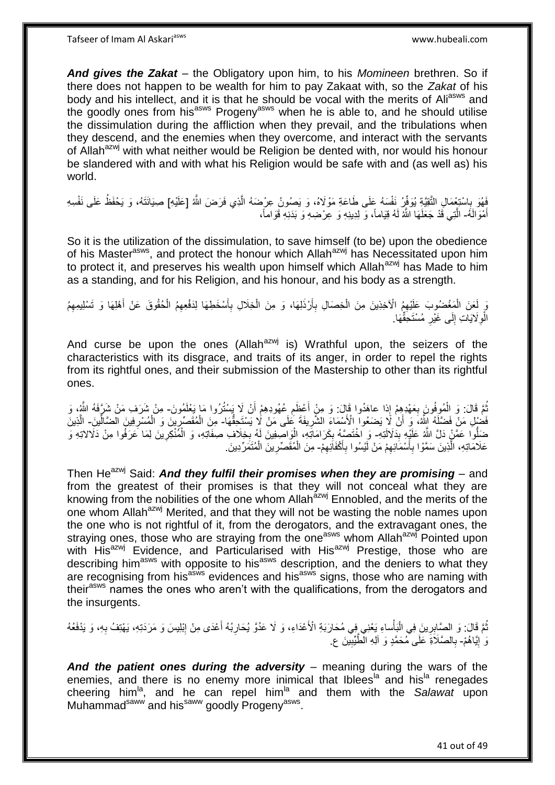*And gives the Zakat* – the Obligatory upon him, to his *Momineen* brethren. So if there does not happen to be wealth for him to pay Zakaat with, so the *Zakat* of his body and his intellect, and it is that he should be vocal with the merits of Ali<sup>asws</sup> and the goodly ones from his<sup>asws</sup> Progeny<sup>asws</sup> when he is able to, and he should utilise the dissimulation during the affliction when they prevail, and the tribulations when they descend, and the enemies when they overcome, and interact with the servants of Allah<sup>azwj</sup> with what neither would be Religion be dented with, nor would his honour be slandered with and with what his Religion would be safe with and (as well as) his world.

فَهُوَ بِاسْتِعْمَالِ التَّقِيَّةِ يُوَفِّرُ نَفْسَهُ عَلَى طَاعَةِ مَوْلَاهُ، وَ يَصُونُ عِرْضَهُ الَّذِي فَرَضَ اللَّهُ [عَلَيْهِ] صِيَانَتَهُ، وَ يَحْفَظُ عَلَى نَفْسِهِ ه ِ أَهْوَالَمُه الَّذِي قَدْ جَعَلَهَا اللَّهُ لَهُ قِيَاماً، وَ لِدِينِهِ وَ عِرْضِهِ وَ بَدَنِهِ قَوَاماً، َ ه

So it is the utilization of the dissimulation, to save himself (to be) upon the obedience of his Master<sup>asws</sup>, and protect the honour which Allah<sup>azwj</sup> has Necessitated upon him to protect it, and preserves his wealth upon himself which Allah<sup>azwj</sup> has Made to him as a standing, and for his Religion, and his honour, and his body as a strength.

رَ لَعَنَ الْمَغْضُوبَ عَلَيْهِمُ الْآخِذِينَ مِنَ الْخِصَالِ بِأَرْذَلِهَا، وَ مِنَ الْخِلَالِ بِأَسْخَطِهَا لِدَفْعِهِمُ الْحُقُوقَ عَنْ أَهْلِهَا وَ تَسْلِيمِهِمُ ْ َ ْ َ **∶** ْ َ **∶** ْ الْوِلَايَاتِ إِلَى غَيْرِ مُسْتَحِقِّهَا. ِ ِ ِ

And curse be upon the ones (Allah $^{azwj}$  is) Wrathful upon, the seizers of the characteristics with its disgrace, and traits of its anger, in order to repel the rights from its rightful ones, and their submission of the Mastership to other than its rightful ones.

ُمَّ قَالَ: وَ الْمُوفُونَ بِعَهْدِهِمْ إِذا عاهَدُوا قَالَ: وَ مِنْ أَعْظَمِ عُهُودِهِمْ أَنْ لَا يَسْتُرُوا مَا يَعْلَمُونَ- مِنْ شَرَفِد مَنْ شَرَّفَهُ النَّهُ، وَ ِ ْ َ  $\ddot{\phantom{a}}$ فَضْلٍ مَنْ فَضَّلَهُ النَّهُ، وَ أَنْ لَا يَضَعُوا الْأَسْمَاءَ الشَّرِيفَةَ عَلَى مَنْ لَا يَسْتَحِقُّهَا- مِنَ الْمُقَصِّرِينَ وَ الْمُسْرِفِينَ الضَّالِّينَ- الَّذِينَ ِ َ ِ ْ ِ ه ضَلُّوا عَمَّنٍْ دَلَّ اللَّهُ عَلَيْهِ بِدَلاَلَتِهِ- وَ اخْتَصَبُهُ بِكَرَامَاتَهِ، إِلْوَاصِفِينَ لَهُ بِخِلَافِ صِفَاتِهِ، وَ الْمُنْكِرِينَ لِمَا عَرَفُوا مِنْ دَلَالاتِهِ وَ ِ **∶** ْ **∶** :<br>ا ِ عَلَامَاتِهِ، الَّذِينَ سَمَّوْا بِأَسْمَائِهِمْ مَنْ لَيْسُوا بِأَكْفَائِهِمْ- مِنَ الْمُقَصِّرِينَ الْمُتَمَرِّدِينَ ِ َ **∶** ه ِ َ **∶** ْ **∶** ْ

Then He<sup>azwj</sup> Said: And they fulfil their promises when they are promising – and from the greatest of their promises is that they will not conceal what they are knowing from the nobilities of the one whom Allah<sup>azwj</sup> Ennobled, and the merits of the one whom Allah<sup>azwj</sup> Merited, and that they will not be wasting the noble names upon the one who is not rightful of it, from the derogators, and the extravagant ones, the straying ones, those who are straying from the one<sup>asws</sup> whom Allah<sup>azwj</sup> Pointed upon with His<sup>azwj</sup> Evidence, and Particularised with His<sup>azwj</sup> Prestige, those who are describing him<sup>asws</sup> with opposite to his<sup>asws</sup> description, and the deniers to what they are recognising from his<sup>asws</sup> evidences and his<sup>asws</sup> signs, those who are naming with their<sup>asws</sup> names the ones who aren't with the qualifications, from the derogators and the insurgents.

نُّمَّ قَالَ: وَ الصَّابِرِينَ فِي الْبَأْساءِ يَعْنِي فِي مُحَارَبَةِ الْأَعْدَاءِ، وَ لَا عَدُوَّ يُحَارِبُهُ أَعْدَى مِنْ إِبْلِيسَ وَ مَرَدَتِهِ، يَهْتِفُ بِهِ، وَ يَذْفَعُهُ ْ ا.<br>ا ِ ِ َ ِ ِ وَ ٰإِيَّاهُمْ- بِالصَّلَاَةِ عَلَى مُحَمَّدٍ وَ آلِهِ الْطَّيِّبِيْنَ ع ֖֧֧֚֚<u>֚֓</u>֚֓֡ ِ **∶** 

*And the patient ones during the adversity* – meaning during the wars of the enemies, and there is no enemy more inimical that Iblees<sup>la</sup> and his<sup>la</sup> renegades cheering him<sup>la</sup>, and he can repel him<sup>la</sup> and them with the Salawat upon Muhammad<sup>saww</sup> and his<sup>saww</sup> goodly Progeny<sup>asws</sup>.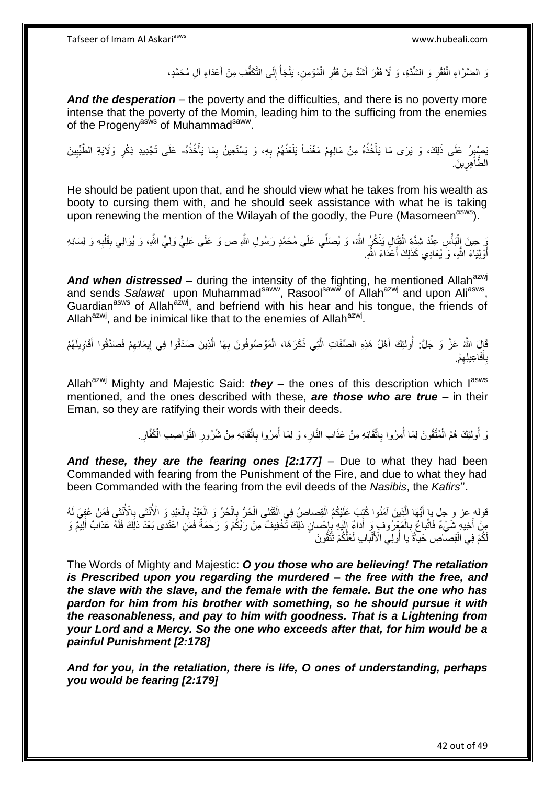نَ الضَّرَّاءِ الْفَقْرِ وَ الشُّدَّةِ، وَ لَا فَقْرَ أَشَدُّ مِنْ فَقْرِ الْمُؤْمِنِ، يَلْجَأُ إِلَى التَّكَفُّفِ مِنْ أَعْدَاءِ آلِ مُحَمَّدٍ، ْ ْ ِ َ **∶** ∣∣<br>ِ ∫<br>∫ َ

*And the desperation* – the poverty and the difficulties, and there is no poverty more intense that the poverty of the Momin, leading him to the sufficing from the enemies of the Progeny<sup>asws</sup> of Muhammad<sup>saww</sup>.

بَصِيْرِرُ عَلَى ذَلِكَ، وَ يَرَى مَا يَأْخُذُهُ مِنْ مَالِهِمْ مَغْنَماً يَلْعَنُهُمْ بِهِ، وَ يَسْتَعِينُ بِمَا يَأْخُذُهُ- عَلَى تَجْدِيدِ ذِكْرِ وَلَايَةِ الطَّيِّبِينَ ْ ِ ِ ْ ِ ْ **ِ** ِ ِ الطَّاَهِرِينَ ِ

He should be patient upon that, and he should view what he takes from his wealth as booty to cursing them with, and he should seek assistance with what he is taking upon renewing the mention of the Wilayah of the goodly, the Pure (Masomeen<sup>asws</sup>).

ِّي حِينَ إِلْبَأْسِ عِنْدَ شِدَّةٍ الْقِنَالِ يَذْكُرُ اللَّهَ، وَ يُصَلِّي عَلَى مُحَمَّدٍ رَسُولِ اللَّهِ ص وَ عَلَى عَلِيٍّ وَلِيٍّ اللَّهِ، وَ يُوَالِي بِقَلْبِهِ وَ لِسَانِهِ ا.<br>ا ْ ْ ِ ْ ِ أَوْلِيَاءَ اللَّهِ، وَ يُعَادِي كَذَلِكَ أَعْدَاءَ اللَّهِ اً<br>ا َ

And when distressed – during the intensity of the fighting, he mentioned Allah<sup>azwj</sup> and sends Salawat upon Muhammad<sup>saww</sup>, Rasool<sup>saww</sup> of Allah<sup>azwj</sup> and upon Ali<sup>asws</sup>, Guardian<sup>asws</sup> of Allah<sup>azwj</sup>, and befriend with his hear and his tongue, the friends of Allah<sup>azwj</sup>, and be inimical like that to the enemies of Allah<sup>azwj</sup>.

قَالَ اللَّهُ عَزَّ وَ جَلَّ: أُولَئِكَ أَهْلُ هَذِهِ الصِّفَاتِ الَّتِي ذَكَرَ هَا، الْمَوْصُوفُونَ بِهَا الَّذِينَ صَدَقُوا فِي إِيمَانِهِمْ فَصَدَّقُوا أَقَاوِيلَهُمْ ُ ِ َ ِ ِ ه ِ ْ ه بِأَفَاعِيلِهِمْ. ِ َ ِ

Allah<sup>azwj</sup> Mighty and Majestic Said: **they** – the ones of this description which  $I^{asws}$ mentioned, and the ones described with these, *are those who are true* – in their Eman, so they are ratifying their words with their deeds.

> وَ أُولئِكَ هُمُ الْمُتَّقُونَ لِمَا أُمِرُوا بِاتَّقَائِهِ مِنْ عَذَابِ النَّارِ ، وَ لِمَا أُمِرُوا بِاتَّقَائِهِ مِنْ شُرُورِ النَّوَاصِبِ الْكُفَّارِ ْ ُ ِ ُ **∶** ِ ا<br>ا ِ ِ

*And these, they are the fearing ones [2:177]* – Due to what they had been Commanded with fearing from the Punishment of the Fire, and due to what they had been Commanded with the fearing from the evil deeds of the *Nasibis*, the *Kafirs*''.

قوله عز و جل يا أَيُّهَا الَّذِينَ آمَنُوا كُتِبَ عَلَيْكُمُ الْقِصاصُ فِي الْقَتْلى الْحُرُّ بِالْحُرِّ وَ الْحَبْدِ وَ الْأُنْشِي فِالْأُنْثِي فَمَنْ عُفِيَ لَهُ ْ ْ ه ْ **∶** ْ ْ ِ **∶** مِنْ أَخِيهِ شَيْءٌ فَاتِّباعٌ بِالْمَعْرُوفِ وَ أَداءٌ إِلَيْهِ بِإِحْسانٍ ذلِكَ تَّخْفِيفٌ مِنْ رَبِّكُمْ وَ رَحْمَةٌ فَمَنِ اعْتَدى بَعْدَ ذلِكَ فَلَهُ عَذابٌ أَلِيمٌ وَ َ  $\frac{1}{2}$ َ ْ **∶** ן<br>יי ِ َ لَكْمْ فِي الْقِصَاصِ حَياةٌ َيا أُولِّي الْأَلْبَابِ لَعَلُّكُمْ تَتَّقُونَ ْ ا<br>ا ْ

The Words of Mighty and Majestic: *O you those who are believing! The retaliation is Prescribed upon you regarding the murdered – the free with the free, and the slave with the slave, and the female with the female. But the one who has pardon for him from his brother with something, so he should pursue it with the reasonableness, and pay to him with goodness. That is a Lightening from your Lord and a Mercy. So the one who exceeds after that, for him would be a painful Punishment [2:178]*

*And for you, in the retaliation, there is life, O ones of understanding, perhaps you would be fearing [2:179]*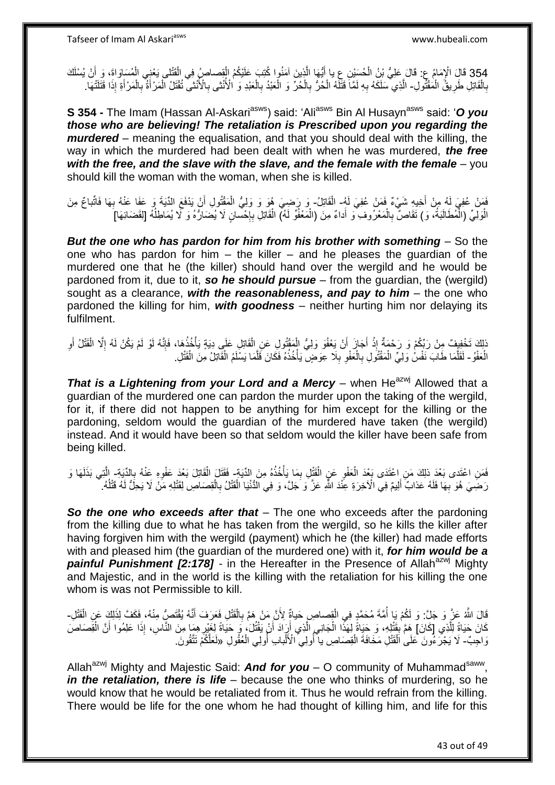354 قَالَ الْإِمَامُ عِ: قَالَ عَلِيُّ بْنُ الْحُسَيْنِ عِ يا أَيُّهَا الَّذِينَ آمَنُوا كُتِبَ عَلَيْكُمُ الْقِصاصُ فِي الْقَتْلِي يَعْنِي الْمُسَاوَاةَ، وَ أَنْ يُسْلَكَ<br>يأتِين عَلَيْهِ الْمُسَاوَاةَ، وَبَيْنَ الْجَامَع َ ْ ْ ْ ه َ ْ بِالْقَاتِلِ طَرِيقُ الْمُقْتُولِ- الَّذِي سَلَكُهُ بِهِ لَمَّا ۖ قَتَلَهُ الْحُرُّ بِالْحُرِّ وَ الْعَبْدُ بِالْعَبْدِ وَ الْأُنْثَى وَالْأَنْثَى تُقْتَلُ الْمَرْأَةَ بِالْمَرْأَةِ إِذَا قَتَلَتْهَا ْ ِ ْ **∶** ِ ْ **∶** ْ ْ **∶** ِ َ ْ ِ َ ْ

**S 354 -** The Imam (Hassan Al-Askari<sup>asws</sup>) said: 'Ali<sup>asws</sup> Bin Al Husayn<sup>asws</sup> said: 'O you *those who are believing! The retaliation is Prescribed upon you regarding the murdered* – meaning the equalisation, and that you should deal with the killing, the way in which the murdered had been dealt with when he was murdered, *the free*  with the free, and the slave with the slave, and the female with the female – you should kill the woman with the woman, when she is killed.

فَمَنْ عُفِيَ لَهُ مِنْ أَخِيهِ شَيْءٌ فَمَنْ عُفِيَ لَهُ- الْقَاتِلُ- وَ رَضِيَ هُوَ وَ وَلِيُّ الْمَقْتُولِ أَنْ يَذْفَعَ الدِّيَةَ وَ عَفَا عَنْهُ بِهَا فَاتّباعٌ مِنَ َ ْ **∶** َ الْوَلِيِّ (الْمُطَالَبَةُ، وَ) تَقَاصُّ بِالْمَعْرُوفِ وَ أَداءٌ مِنَ (الْمَعْفُوِّ لَهُ) الْقَاتِلِ بِإِحْسانٍ لَا يُضَارُهُ وَ كَمْ يُمَاطِلُهُ [لِقَضَائِهَا] ْ ا.<br>ا ْ ْ َ ْ **∶** יֲ. ِ ُ

*But the one who has pardon for him from his brother with something* – So the one who has pardon for him  $-$  the killer  $-$  and he pleases the guardian of the murdered one that he (the killer) should hand over the wergild and he would be pardoned from it, due to it, *so he should pursue* – from the guardian, the (wergild) sought as a clearance, with the reasonableness, and pay to him - the one who pardoned the killing for him, *with goodness* – neither hurting him nor delaying its fulfilment.

نَاكَ تَخْفِفْ مِنْ رَبِّكُمْ وَ رَحْمَةٌ إِذْ أَجَازَ أَنْ يَعْفُوَ وَلِيُّ الْمَقْتُولِ عَنِ الْقَاتِلِ عَلَى دِيَةٍ يَأْخُذُهَا، فَإِنَّه لَوْ لَمْ يَكُنْ لَهُ إِلَّا الْقَتْلُ أَوِ ْ ْ اُ َ **ٔ** َ ْ ِ  $\frac{1}{2}$ ْ الْعَفْوُ - لَقَلَّمَا طَابَ نَفْسُ وَلِيٍّ الْمَقْتُولِ بِالْعَفْوِ بِلَا عِوَضٍ يَأْخُذُهُ فَكَانَ فَلَّمَا يَسْلَمُ الْقَاتِلُ مِنَ الْقَتْلِ. ْ ْ ه ْ ِ **∶** ْ **∶** ْ ه

*That is a Lightening from your Lord and a Mercy – when He<sup>azwj</sup> Allowed that a* guardian of the murdered one can pardon the murder upon the taking of the wergild, for it, if there did not happen to be anything for him except for the killing or the pardoning, seldom would the guardian of the murdered have taken (the wergild) instead. And it would have been so that seldom would the killer have been safe from being killed.

فَمَنِ اعْتَدى بَعْدَ ذلِكَ مَنِ اعْتَدَى بَعْدَ الْعَفْوِ عَنِ الْقَتْلِ بِمَا يَأْخُذُهُ مِنَ الدِّيَةِ ۖ فَقَتَلَ الْقَاتِلَ بَعْدَ عَفْوِهِ عَنْهُ بِالذَّيَةِ ۖ الَّتِي بَذَلَهَا وَ ا<br>المسموع ِ ْ ِ ْ **∶** ِ لَ ه رَضِيَ هُوَ بِهَا فَلَهُ عَذابٌ أَلِيمٌ فِي الْأَخِرَةِ عِنْذَ اللَّهِ عَزَّ وَ جَلَّ، وَ فِي الدُّنْيَا الْقَتْلُ بِالْقِصَاصِ لِقَتْلِهِ مَنْ لَا يَحِلُّ لَهُ قَتْلُهُ. َ **∶**  $\overline{a}$ ْ **∶** ْ

*So the one who exceeds after that* – The one who exceeds after the pardoning from the killing due to what he has taken from the wergild, so he kills the killer after having forgiven him with the wergild (payment) which he (the killer) had made efforts with and pleased him (the guardian of the murdered one) with it, *for him would be a*  **painful Punishment [2:178]** - in the Hereafter in the Presence of Allah<sup>azwj</sup> Mighty and Majestic, and in the world is the killing with the retaliation for his killing the one whom is was not Permissible to kill.

قَالَ اللَّهُ عَنَّ وَ جَلِّ: وَ لَكُمْ يَا أُمَّةَ مُحَمَّدٍ فِي الْقِصاصِ حَياةٌ لِأَنَّ مَنْ هَمَّ بِالْقَتْلِ فَعَرَفَ أَنَّهُ يُقْتَصِيُّ مِنْهُ، فَكَفَّ لِذَلِكَ عَنِ الْقَتْلِ-ْ ِ ْ ؚ<br>ٌ ْ َ كَانَ جَيَاةً لِلَّذِي [كَانَ] هِمَّ بِقَنْلِهِ، وَ حَيَاةً لِهَذَا الْجَانِي الَّذِي أَرَادَ أَنْ يَقْتُلَ، وَ حَيَاةً لِهَذَا الْجَانِي الَّذِي أَرَادَ أَنْ يَقْتُلَ، وَ حَيَاةً لِهَذَا الْجَانِي الَّذِي أَرَبَادَ أَنْ ي ه ِ َ َ ه ْ ْ َ وَاجِبٌ - لَا يَجْرَءُونَ عَلَىٰ اَلْقَتْلِ مَخَافَةَ الْقِصَاصِ يا أُولِي الْأَلْبابِ أُولِي الْعُقُولِ «لَعَلَّكُمْ تَتَّقُونَ ْ ْ ْ ُ ْ

Allah<sup>azwj</sup> Mighty and Majestic Said: **And for you** – O community of Muhammad<sup>saww</sup>, *in the retaliation, there is life* – because the one who thinks of murdering, so he would know that he would be retaliated from it. Thus he would refrain from the killing. There would be life for the one whom he had thought of killing him, and life for this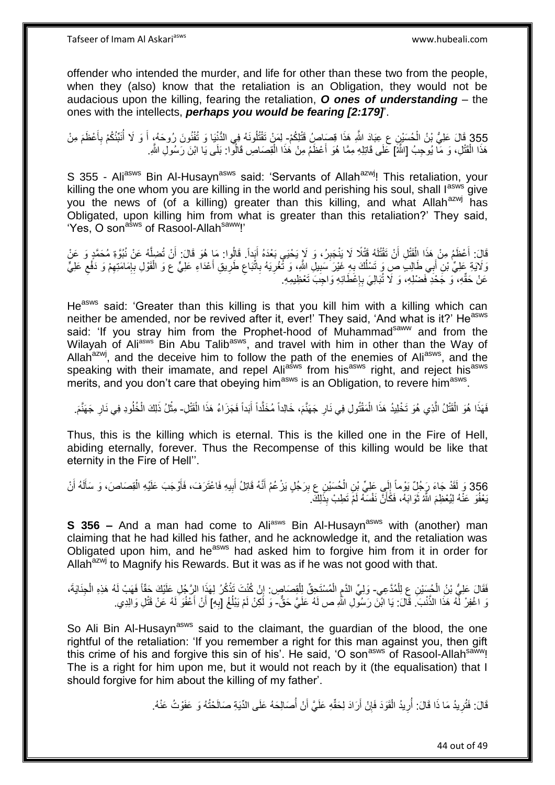offender who intended the murder, and life for other than these two from the people, when they (also) know that the retaliation is an Obligation, they would not be audacious upon the killing, fearing the retaliation, *O ones of understanding* – the ones with the intellects, *perhaps you would be fearing [2:179]*'.

355 قَالَ عَلِيُّ بْنُ الْحُسَيْنِ ع عِبَادَ اللَّهِ هَذَا قِصَاصٍُ قَتْلِكُمْ- لِمَنْ تَقْتُلُونَهُ فِي الدُّنْنِيَا وَ تُفْنُونَ رُوحَهُ، أَ وَ لَا أُنَبِّئُكُمْ بِأَعْظَمَ مِنْ َ ِ ْ ؚ<br>ۣ َ هَذَا الْقَتْلِ، وَ مَا يُوحِبُ [اللَّهُ] عَلَى قَاتِلِهِ مِمَّا هُوَ أَعْظَمُ مِنْ هَذَا الْقِصَاصِ قَالُوا: بَلَى يَا ابْنَ رَسُولِ اللَّهِ ْ َ ْ

S 355 - Ali<sup>asws</sup> Bin Al-Husayn<sup>asws</sup> said: 'Servants of Allah<sup>azwj</sup>! This retaliation, your killing the one whom you are killing in the world and perishing his soul, shall lasws give you the news of (of a killing) greater than this killing, and what Allah<sup>azwj</sup> has Obligated, upon killing him from what is greater than this retaliation?' They said, 'Yes, O son<sup>asws</sup> of Rasool-Allah<sup>saww</sup>!'

قَالَ: أَعْظَمُ مِنْ هَذَا اِلْقَتْلِ أَنْ تَقْتُلَهُ قَتْلًا لَا يَنْجَبِرُ، وَ لَإِ يَحْيَى بَعْدَهُ أَيَداً. قَالُوا: مَا هُوَ قَالَ: أَنْ تُضِلَّهُ عَنْ نُبُوَّةِ مُحَمَّدٍ وَ عَنْ َ ْ َ َ ِ ه َ وَلَايَةِ عَلِيٌّ بْنِ أَبِي طَالِبٍ صِ وَ تَسْلُكَ بِهِ غَيْرَ سَبِيلِ النَّهِ، وَ ثَغْرِيَهُ بِاتَّبَاعِ طَرِيقِ أَعْدَاءِ عَلِيٍّ ع وَ الْقَوْلِ بِإِمَامَتِهِمْ وَ دَفْعِ عَلِيٍّ ِ ِ **∶** ُ َ َ ِ ِ ِ ِ ِ ן, ِ ْ عَنْ حَقِّهِ، ۚ وَ جَحْدِ فَضْلِهِ، وَ لَا تُبَالِيَ بِإِعْطَائِهِ وَاجِبَ تَعْظِيمِهِ. ِ **∶** 

He<sup>asws</sup> said: 'Greater than this killing is that you kill him with a killing which can neither be amended, nor be revived after it, ever!' They said, 'And what is it?' He<sup>asws</sup> said: 'If you stray him from the Prophet-hood of Muhammad<sup>saww</sup> and from the Wilayah of Aliasws Bin Abu Talib<sup>asws</sup>, and travel with him in other than the Way of Allah<sup>azwj</sup>, and the deceive him to follow the path of the enemies of Ali<sup>asws</sup>, and the speaking with their imamate, and repel Aliasws from hisasws right, and reject hisasws merits, and you don't care that obeying him<sup>asws</sup> is an Obligation, to revere him<sup>asws</sup>.

فَهَذَا هُوَ الْقَتْلُ الَّذِي هُوَ تَخْلِيدُ هَذَا الْمَقْتُولِ فِي نَارِ جَهَنَّمَ، خَالِداً مُخَلَّداً أَبَداً فَجَزَاءُ هَذَا الْقَتْلِ- مِثْلُ ذَلِكَ الْخُلُودِ فِي نَارِ جَهَنَّمَ. ه ْ ْ َ اُ ِ ْ ْ

Thus, this is the killing which is eternal. This is the killed one in the Fire of Hell, abiding eternally, forever. Thus the Recompense of this killing would be like that eternity in the Fire of Hell''.

356 وَ لَقَدْ جَاءَ رَجُلٌ يَوْماً إِلَي عَلِيِّ بْنِ الْحُسَيْنِ ع بِرَجُلٍ يَزْعُمُ أَنَّهُ قَاتِلُ أَبِيهِ فَاعْتَرَفَ، فَأَوْجَبَ عَلَيْهِ الْقِصَاصَ، وَ سَأَلَهُ أَنْ<br>356 وَ لَقَدْ جَاءَ رَجَّنَ اُ لَ َ ْ َ ِ َ ه َ ْ  $\frac{1}{2}$ بَعْفُوَ عَنْهُ لِيُعْظِمَ اللَّهُ ثَوَابَهُ، فَكَأَنَّ نَفْسَهُ لَمْ تَطِبْ بِذَلِكَ ِ اُ ة<br>أ

**S 356 –** And a man had come to Ali<sup>asws</sup> Bin Al-Husayn<sup>asws</sup> with (another) man claiming that he had killed his father, and he acknowledge it, and the retaliation was Obligated upon him, and he<sup>asws</sup> had asked him to forgive him from it in order for Allah<sup>azwj</sup> to Magnify his Rewards. But it was as if he was not good with that.

فَقَالَ عَلِيُّ بْنُ الْجُسَيْنِ عِ لِلْمُدَّعِي- وَلِيِّ الذَّمِ الْمُسْتَجِقِّ لِلْقِصَاصِ. إِنْ كُنْتَ تَذْكُرُ لِهَذَا الرَّجُلِ عَلَيْكَ حَقَّاً فَهَبْ لَهُ هَذِهِ الْجِذَايَةَ، ْ ْ ْ **ٔ** ِ ْ ْ ِ نَ اغْفِرْ لَّهُ هَذَا الذَّنْبَ ۚ قَالَ: يَا ابْنَ رَسُولِ اللَّهِ ص لَهُ عَلَيَّ حَقٌّ- وَ لَكِنْ لَمْ يَبْلُغْ [بِهِ] أَنْ أَعْفُوَ لَمُ عَنْ قَتْلِ وَالِدِي. َ َ ِ ان<br>ا

So Ali Bin Al-Husayn<sup>asws</sup> said to the claimant, the guardian of the blood, the one rightful of the retaliation: 'If you remember a right for this man against you, then gift this crime of his and forgive this sin of his'. He said, 'O son<sup>asws</sup> of Rasool-Allah<sup>saww</sup>! The is a right for him upon me, but it would not reach by it (the equalisation) that I should forgive for him about the killing of my father'.

> قَالَ: فَتُرِيدُ مَا ذَا قَالَ: أُرِيدُ الْقَوَدَ فَإِنْ أَرَادَ لِحَقِّهِ عَلَيَّ أَنْ أُصَالِحَهُ عَلَى الذِّيَةِ صَالَحْتُهُ وَ عَفَوْتُ عَنْهُ. ا<br>ا َ اُ ِ ْ ِ ُ ِ

> > 44 out of 49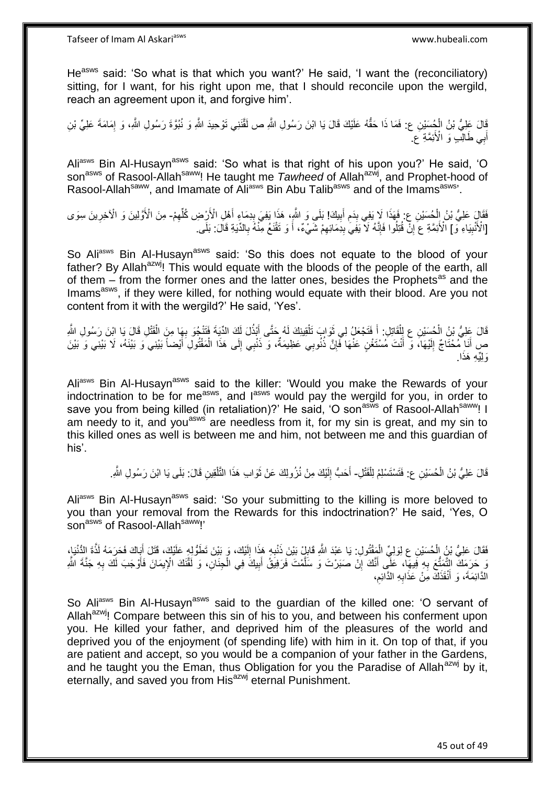He<sup>asws</sup> said: 'So what is that which you want?' He said, 'I want the (reconciliatory) sitting, for I want, for his right upon me, that I should reconcile upon the wergild, reach an agreement upon it, and forgive him'.

ْ قَالَ عَلِيُّ بْنُ الْمُصِّنِينِ ع: فَمَا ذَا حَقُّهُ عَلَيْكَ قَالَ يَا ابْنَ رَسُولِ اللَّهِ ص لَقَّنَنِي تَوْحِيدَ اللَّهِ وَ نُبُوَّةَ رَسُولِ اللَّهِ، وَ إِمَامَةَ عَلِيِّ بْنِ ِ أَبِي طَالِّبٍ وَ الْأَئِمَّةِ عَ َ

Ali<sup>asws</sup> Bin Al-Husayn<sup>asws</sup> said: 'So what is that right of his upon you?' He said, 'O son<sup>asws</sup> of Rasool-Allah<sup>saww</sup>! He taught me *Tawheed* of Allah<sup>azwj</sup>, and Prophet-hood of Rasool-Allah<sup>saww</sup>, and Imamate of Ali<sup>asws</sup> Bin Abu Talib<sup>asws</sup> and of the Imams<sup>asws</sup>'.

ِ فَقَالٍَ عَلِيُّ بْنُ إِنْْحِسَيْنِ عِ: فَهَذَا لَا يَفِي بِدَمِ أَبِيكَ! بَلَى وَ اللَّهِ، هَذَا يَفِيَ بِدِمَاءٍ أَهْلِ الْأَرْضِ كُلِّهِمْ- مِنَ الْأَوَّلِينَ وَ الْآخِرِينَ سِوَى  $\frac{1}{2}$ ْ ِ ِّ َ ِ ِ ِ [الْأَنْبِيَاءِ ۖ وَ ] الْأَئِمَّةِ عَ إِنْ قُتِلُوا فَإِنَّهُ لَا يَفِي بِدِمَائِهِمْ شَيْءٌ، أَ وَ تَقْنَعُ مِنّْهُ بِالدِّيَةِ قَالَ: بَلَّى ِ ِ ِ ِ **!** ِ َ

So Aliasws Bin Al-Husaynasws said: 'So this does not equate to the blood of your father? By Allah<sup>azwj</sup>! This would equate with the bloods of the people of the earth, all of them – from the former ones and the latter ones, besides the Prophets<sup>as</sup> and the Imams<sup>asws</sup>, if they were killed, for nothing would equate with their blood. Are you not content from it with the wergild?' He said, 'Yes'.

قَالَ عَلِيُّ بْنُ الْحُسَيْنِ عِ لِلْقَاتِلِ: أَ فَتَجْعَلُ لِي ثَوَابٍ تَلْقِينِكَ لَهُ حَتَّى أَبْذُلَ لَكَ الدِّيةَ فَتَنْجُوَ بِهَا مِنَ الْقَتْلِ قَالَ يَا اِبْنَ رَسُولِ اللَّهِ :<br>ا َ **∫** ْ َ ْ ِ صِ أَنَا مُحْتَاجٌ إِلَيْهَا، وَ أَنْتَ مُسْتَغْنٍ عَنْهَا فَإِنَّ ذُنُوبِي عَظِيمَةٌ، وَ ذَنْبِي إِلَى هَذَا الْمَقْتُولِ َأَيْضاً بَيْنِي وَ بَيْنَهُ، لَا بَيْنِي وَ بَيْنَ َ ْ ∣∣<br>∶ ∣lٍ لَ ِ ا. َولِِّي ِه َهذَ

Aliasws Bin Al-Husayn<sup>asws</sup> said to the killer: 'Would you make the Rewards of your indoctrination to be for me<sup>asws</sup>, and l<sup>asws</sup> would pay the wergild for you, in order to save you from being killed (in retaliation)?' He said, 'O son<sup>asws</sup> of Rasool-Allah<sup>saww</sup>! I am needy to it, and you<sup>asws</sup> are needless from it, for my sin is great, and my sin to this killed ones as well is between me and him, not between me and this guardian of his'.

> قَالَ عَلِيُّ بْنُ الْحُسَيْنِ ع: فَتَسْتَسْلِمُ لِلْقَتْلِ- أَحَبُّ إِلَيْكَ مِنْ نُزُولِكَ عَنْ ثَوَابِ هَذَا النَّلْقِينِ قَالَ: بَلَى يَا ابْنَ رَسُولِ اللَّهِ ْ لَ ∣∣<br>∶ َ ْ ة<br>أ

Aliasws Bin Al-Husayn<sup>asws</sup> said: 'So your submitting to the killing is more beloved to you than your removal from the Rewards for this indoctrination?' He said, 'Yes, O son<sup>asws</sup> of Rasool-Allah<sup>saww</sup>!'

فَقَالَ عَلِيُّ بْنُ إِلْحُسَيْنِ عِ لِوَلِيٍّ الْمَقْتُولِ. يَا عَبْدَ اللَّهِ قَابِلْ بَيْنَ ذَنْبِهِ هَذَا إِلَيْكَ، وَ بَيْنَ تَطَوُّلِهٍ عَلَيْكَ، قَتَلَ أَبَاكَ فَحَرَمَهُ لَذَّة الِدُّنْيَاءِ لَ ِ ِ ِ ْ َ َن حَرَمَكَ التَّمَتُّعَ بِهِ فَبِهَا، عَلَّى أَنَّكَ إِنْ صَبَرْتَ وَ سَلَّمْتَ فَرَفِيقُ أَبِيكَ فِي الْجِنَانِ، وَ لَقَّنَكَ الْإِيمَانَ فَأَوْجَبَ لَكَ بِهِ جَنَّةَ اشَّوِ<br>نَقِيبٍ فَيَبَيَنَ مَنْ الْأَمَرُ بِي الْمَسْ **∶** ِ َ ه יֲ<br>י َ ِ ِ<br>أ ْ الدَّائِمَةَ، وَ أَنْقَذَكَ مِنْ عَذَابِهِ الدَّائِم، ِ **∶** َ

So Aliasws Bin Al-Husayn<sup>asws</sup> said to the guardian of the killed one: 'O servant of Allah<sup>azwj</sup>! Compare between this sin of his to you, and between his conferment upon you. He killed your father, and deprived him of the pleasures of the world and deprived you of the enjoyment (of spending life) with him in it. On top of that, if you are patient and accept, so you would be a companion of your father in the Gardens, and he taught you the Eman, thus Obligation for you the Paradise of Allah<sup>azwj</sup> by it, eternally, and saved you from His<sup>azwj</sup> eternal Punishment.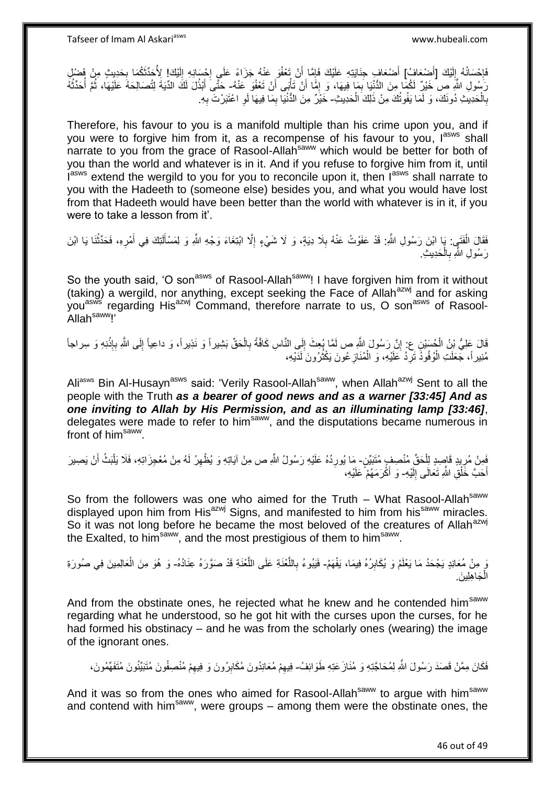فَإِحْسَانُهُ إِلَيْكَ [أَضْعَافٍ) أَضْعَافٍ جِذَايَتِهِ عَلَيْكَ فَإِمَّا أَنْ تَعْفُوَ عَنْهُ جَزَاءً عَلَى إِجْسَانِهِ إِلَيْكَ! لِأُحَدِّثَكُمَا بِحَدِيثٍ مِنْ فَضِيْلِ َ لَ  $\frac{1}{2}$  $\frac{1}{2}$ ِ لَ ِ יֲ<br>י اُ  $\frac{1}{2}$ رَسُولِ اللَّهِ صِ خَيْرٌ لَكُمَا مِنَ الدُّنْنِا بِمَا فِيهَا، وَ إِمًّا أَنْ تَأْتُبِى أَنْ تَعْفُو عَنْهُ- حَتَّى أَبْدُلَ لَكَ الدِّيَةَ لِتُصَالِحَهُ عَلَيْهَا، ثُمَّ أُحَدِّثُهُ ْ ِ ِ ا<br>ا ُ َ بِالْحَدِيثِ دُونَكَ، وَ لَمَا يَفُوتُكَ مِنْ ذَلِكَ الْحَدِيثِ- خَيْرٌ مِنَ الدُّنْيَا بِمَا فِيهَا لَوِ اعْتَبَرْتَ بِهِ ْ ْ **∶** ِ **∶** ِ

Therefore, his favour to you is a manifold multiple than his crime upon you, and if you were to forgive him from it, as a recompense of his favour to you, lasws shall narrate to you from the grace of Rasool-Allah<sup>saww</sup> which would be better for both of you than the world and whatever is in it. And if you refuse to forgive him from it, until Insws extend the wergild to you for you to reconcile upon it, then Insws shall narrate to you with the Hadeeth to (someone else) besides you, and what you would have lost from that Hadeeth would have been better than the world with whatever is in it, if you were to take a lesson from it'.

فَقَالَ الْفَتَيِي: يَا ابْنَ رَسُولِ اللَّهِ. قَدْ عَفَوْتُ عَنْهُ بِلَا دِيَةٍ، وَ لَا شَيْءٍ إِلَّا ابْنَغَاءَ وَجْهِ اللَّهِ وَ لِمَسْأَلَتِكَ فِي أَمْرِهِ، فَحَدِّثْنَا يَا ابْنَ ِ ْ ا<br>ا ْ ِ َ لَ رَسُولِ اللَّهِ بِالْحَدِيثِ. ْ **∶** 

So the youth said, 'O son<sup>asws</sup> of Rasool-Allah<sup>saww</sup>! I have forgiven him from it without (taking) a wergild, nor anything, except seeking the Face of Allah<sup>azwj</sup> and for asking you<sup>asws'</sup> regarding His<sup>azwj</sup> Command, therefore narrate to us, O son<sup>asws</sup> of Rasool-Allah<sup>saww</sup>!'

قَالَ عَلِيُّ بْنُ الْمُسَبْنِ عِ: إِنَّ رَسُولَ اللَّهِ ص لَمَّا بُعِثَ إِلَى النَّاسِ كَافَّةً بِالْحَقِّ بَشِيراً وَ نَذِيراً، وَ داعِياً إِلَى اللَّهِ بِإِنْذِهِ وَ سِراجاً ْ **∶** ِ ِ **ٔ ∶** ِ مُنِير أَ، جَعَلَتِ الْوُفُوذُ نَرِّدُ عَلَيْهِ، وَ الْمُنَازِعُونَ يَكْثُرُونَ لَدَيْهِ، افعال<br>أم ِ ْ ِ ْ لَ

Ali<sup>asws</sup> Bin Al-Husayn<sup>asws</sup> said: 'Verily Rasool-Allah<sup>saww</sup>, when Allah<sup>azwj</sup> Sent to all the people with the Truth *as a bearer of good news and as a warner [33:45] And as one inviting to Allah by His Permission, and as an illuminating lamp [33:46]*, delegates were made to refer to him<sup>saww</sup>, and the disputations became numerous in front of him<sup>saww</sup>.

فَمِنْ مُرِيدٍ قَاصِدٍ لِلْحَقِّ مُنْصِفٍ مُتَبَيِّنٍ- مَا يُورِدُهُ عَلَيْهِ رَسُولُ اللَّهِ ص مِنْ آيَاتِهِ وَ يُظْهِرُ لَهُ مِنْ مُعْجِزَاتِهِ، فَلَا يَلْبَثُ أَنْ يَصِيرَ ْ ِ **∶** َ ْ ِ أَحَبَّ خَلْقِ اللَّهِ تَعَالَى إِلَيْهِ- وَ أَكْْرَمَهُمْ عَلَيْهِ، لَ  $\frac{1}{2}$ ْ َ َ

So from the followers was one who aimed for the Truth  $-$  What Rasool-Allah<sup>saww</sup> displayed upon him from His<sup>azwj</sup> Signs, and manifested to him from his<sup>saww</sup> miracles. So it was not long before he became the most beloved of the creatures of Allah<sup>azwj</sup> the Exalted, to him<sup>saww</sup>, and the most prestigious of them to him<sup>saww</sup>.

وَ مِنْ مُعَانِدٍ يَجْحَدُ مَا يَعْلَمُ وَ يُكَابِرُهُ فِيمَا، يَفْهَمُ- فَيَبُوءُ بِاللَّغْذَةِ عَلَى اللَّغْذَةِ قَدْ صَوَّرَهُ عِنَادُهُ- وَ هُوَ مِنَ الْعَالِمِينَ فِي صُورَةِ ِ ه ه ِ ْ جَاهِلِينَ. ْ ال

And from the obstinate ones, he rejected what he knew and he contended him<sup>saww</sup> regarding what he understood, so he got hit with the curses upon the curses, for he had formed his obstinacy – and he was from the scholarly ones (wearing) the image of the ignorant ones.

فَكَانَ مِمَّنْ قَصَدَ رَسُولَ اللَّهِ لِمُحَاجَّذِهِ وَ مُنَازَ عَذِهِ طَوَائِفُ- فِيهِمْ مُعَانِدُونَ مُكَابِرُونَ وَ فِيهِمْ مُنْصِفُونَ مُتَنَيِّنُونَ مُتَفَهِّمُونَ، ِ ِ ِ

And it was so from the ones who aimed for Rasool-Allah<sup>saww</sup> to argue with him<sup>saww</sup> and contend with him<sup>saww</sup>, were groups – among them were the obstinate ones, the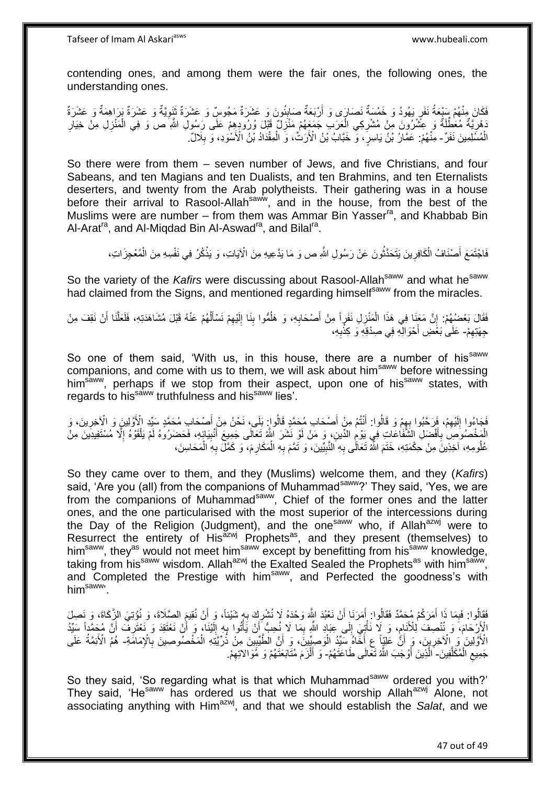contending ones, and among them were the fair ones, the following ones, the understanding ones.

**∶** َفَكَانَ مِنْهُمْ سَيْعَةُ نَفَرٍ يَهُودُ وَ خَمْسَةٌ نَصَارَى وَ أَرْبَعَةٌ صَابِئُونَ وَ عَشَرَةٌ مَجُوسٌ وَ عَشَرَةٌ تَنَوِيَّةٌ وَ عَشَرَةٌ بَرَاهِمَةٌ وَ عَشَرَةٌ َ اُ َدْهِرِيَّةٌ مُعَطِّلَةٌ وَ عِثَّنْرُونَ مِنْ مُشْرِكِي الْعَرَبِ جَمَعَهُمْ مَنْزِلٌ قَبْلَ وُرُودِهِمْ عَلَى رَسُولِ اللَّهِ ص وَ فِي الْمَنْزِلِ مِنْ خِيَارِ **∶** ْ ِ ِ ِ ِ ْ الْمُسَلِمِينَ نَفَرٌ - مِنْهُمْ: عَمَّارُ بْنُ يَاسِرٍ ، وَّ خَبَّابُ بْنُ الْأَرَتُ، وَ الْمِقْدَادُ بْنُ الْأَسْوَدِ، وَ بِلَالٌ. ِ ْ

So there were from them – seven number of Jews, and five Christians, and four Sabeans, and ten Magians and ten Dualists, and ten Brahmins, and ten Eternalists deserters, and twenty from the Arab polytheists. Their gathering was in a house before their arrival to Rasool-Allahsaww, and in the house, from the best of the Muslims were are number – from them was Ammar Bin Yasser<sup>ra</sup>, and Khabbab Bin Al-Arat<sup>ra</sup>, and Al-Miqdad Bin Al-Aswad<sup>ra</sup>, and Bilal<sup>ra</sup>.

> َ فَاجْتَمَعَ أَصْنَافُ الْكَافِرِينَ يَتَحَدَّثُونَ عَنْ رَسُولِ اللَّهِ ص وَ مَا يَدَّعِيهِ مِنَ الْآيَاتِ، وَ يَذْكُرُ فِي نَفْسِهِ مِنَ الْمُعْجِزَاتِ، **ٔ** ُ **∶** ْ

So the variety of the *Kafirs* were discussing about Rasool-Allah<sup>saww</sup> and what he<sup>saww</sup> had claimed from the Signs, and mentioned regarding himself<sup>saww</sup> from the miracles.

فَقَالَ بَعْضُهُمْ: إِنَّ مَعَنَا فِي هَذَا الْمَنْزِلِ نَفَرٍاً مِنْ أَصْحَابِهِ، وَ هَلُمُّوا بِنَا إِلَيْهِمْ نَسْأَلُهُمْ عَنْهُ قَبْلَ مُشَاهَدَتِهِ، فَلَعَلَّنَا أَنْ نَقِفَ مِنْ ُ اً<br>أ ِ لَ ِ ِ ُ ِ َ **∶** ْ ِ َ ه جِهَتِهِمْ- عَلَىٰ بَعْضِ أَحْوَالِّهِ فِي صِدْقِهِ وَ كِذْبِهِ، ِ :<br>-<br>-َ

So one of them said, 'With us, in this house, there are a number of his<sup>saww</sup> companions, and come with us to them, we will ask about him<sup>saww</sup> before witnessing him<sup>saww</sup>, perhaps if we stop from their aspect, upon one of his<sup>saww</sup> states, with regards to his<sup>saww</sup> truthfulness and his<sup>saww</sup> lies'.

فَجَاءُوا إِلَيْهِمْ، فَرَحَّبُوا بِهِمْ وَ قَالُوا: أَنْتُمْ مِنْ أَصْحَابِ مُحَمَّدٍ قَالُواٍ بَلَى، نَحْنُ مِنْ أَصْحَابِ مُحَمَّدٍ سَبِّدِ الْأَوَّلِينَ وَ الْأَخِرِينَ، وَ َ ِ ِ لَ  $\frac{1}{2}$ ِ الْمَخْصُوصِ بِأَفْضَلِ الشَّفَاعَاتِ فِي يَوْمِ الدِّينِ، وَ مَنْ لَوْ نَشَرَ اللَّهُ تَعَالَى جَمِيعَ أَنْبِيَائِهِ، فَحَضَرُوهُ لَمْ يَلْقَوْهُ إِلَّا مُسْتَفِيدِينَ مِنْ ِ َ ِ َ **∶** ا<br>ا ْ عُلُومِهِ، آخِذِينَ مِنْ حِكْمَتِهِ، خَتَمَ اللَّهُ تَعَالَّى بِهِ النَّبِيِّينَ، وَ تَمَّمَ بِهِ الْمَكَارِمَ، وَ كَمَّلَ بِهِ الْمَحَاسِنَ، ِ ِ ْ **∶** ْ ِ

So they came over to them, and they (Muslims) welcome them, and they (*Kafirs*) said, 'Are you (all) from the companions of Muhammad<sup>saww</sup>?' They said, 'Yes, we are from the companions of Muhammad<sup>saww</sup>, Chief of the former ones and the latter ones, and the one particularised with the most superior of the intercessions during the Day of the Religion (Judgment), and the one<sup>saww</sup> who, if Allah<sup>azwj</sup> were to Resurrect the entirety of His<sup>azwj</sup> Prophets<sup>as</sup>, and they present (themselves) to him<sup>saww</sup>, they<sup>as</sup> would not meet him<sup>saww</sup> except by benefitting from his<sup>saww</sup> knowledge, taking from his<sup>saww</sup> wisdom. Allah<sup>azwj</sup> the Exalted Sealed the Prophets<sup>as</sup> with him<sup>saww</sup>, and Completed the Prestige with him<sup>saww</sup>, and Perfected the goodness's with him<sup>saww</sup>

فَقَالُوا: فَبِمَا ذَا أَمَرَكُمْ مُحَمَّدٌ فَقَالُوا: أَمَرَنَا أَنْ نَعْبُدَ اللَّهَ وَحْدَهُ لَا نُشْرِكَ بِهِ شَيْئاً، وَ أَنْ نُقِيعَ الصِّلَاةَ، وَ نُوْتِيَ الزِّكَاةَ، وَ نَصِلَ ِ ِ َ َ َ ِ الْإِرْحَامَ، وَ نُنْصِفَ لِلْأَنَامِ، وَ لَا نَأْتِيَ إِلَى عِبَادِ اللَّهِ بِمَا لَا نُحِبُّ أَنْ يَأْتُوا بِهِ إِلَّيْنَا، وَ أَنْ نَعْتَقِدَ وَ نَعْتَرِفَ أَنَّ مُحَمَّداً سَيِّدُ ِ َ ِ أ لَ ِ ِ ْ َ ِ ِ ْ الْأَوَّلِينَ وَ الْآخِرِينَ، وَ أَنَّ عَلِّيٍّا عِ أَخَّاهُ سَيِّدُ الْوَصِيِّينَ، وَ أَنَّ الطَّيِّيينَ مِنْ ذُرِّيَّتِهِ الْمَخْصُوصِينَ بِالْإِمَامَةِ- هُمْ الْأَئِمَّةُ عَلَى ֧֦֧֦֧֦֧֦֧֦֧ׅ֧֚֬֝֝֝֜֓֓<u>֚</u> َ ْ َ َ ِ ِ جَمِيعِ الْمُكَلَّفِينَ- َالَّذِينَ أَوْجَبَ اللَّهُ تَعَالَى طَاعَتَهُمْ- وَ أَلْزَمَ مُتَابَعَتَهُمْ وَ مَُوَالاتِهِمْ. ه ْ  $\zeta$ َ ِ ْ َ

So they said, 'So regarding what is that which Muhammad<sup>saww</sup> ordered you with?' They said, 'He<sup>saww</sup> has ordered us that we should worship Allah<sup>azwj</sup> Alone, not associating anything with Him<sup>azwj</sup>, and that we should establish the *Salat*, and we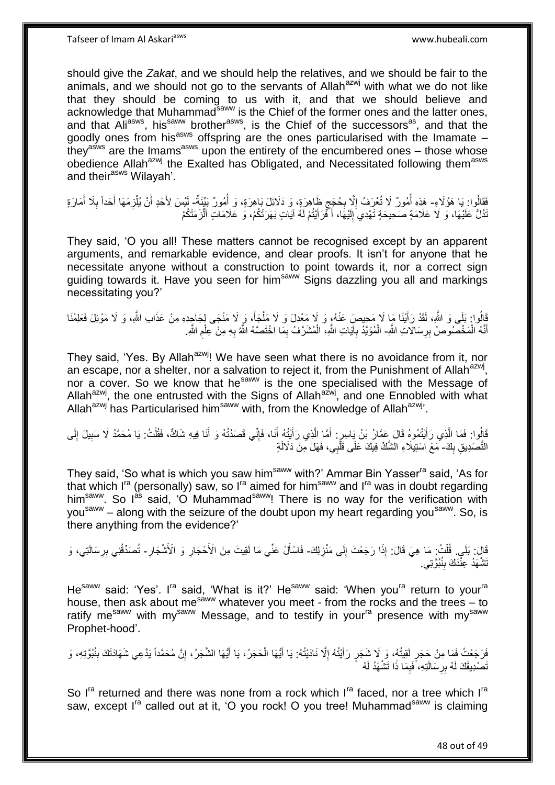should give the *Zakat*, and we should help the relatives, and we should be fair to the animals, and we should not go to the servants of Allah $a$ <sup>zwj</sup> with what we do not like that they should be coming to us with it, and that we should believe and acknowledge that Muhammad<sup>saww</sup> is the Chief of the former ones and the latter ones, and that Ali<sup>asws</sup>, his<sup>saww</sup> brother<sup>asws</sup>, is the Chief of the successors<sup>as</sup>, and that the goodly ones from his<sup>asws</sup> offspring are the ones particularised with the Imamate  $$ they<sup>asws</sup> are the Imams<sup>asws</sup> upon the entirety of the encumbered ones – those whose obedience Allah<sup>azwj</sup> the Exalted has Obligated, and Necessitated following them<sup>asws</sup> and their<sup>asws</sup> Wilayah'.

فَقَالُوا: يَا هَؤُلَاءِ- هَذِهِ أُمُورٌ لَا تُعْرَفُ إِلَّا بِحُجَج ظَاهِرَةٍ، وَ دَلَائِلَ بَاهِرَةٍ، وَ أُمُورٌ بَيِّنَةٌ- لِيْسَ لِأَحَدٍ أَنْ يُلْزِمَهَا أَحَدًا بِلَا أَمَارَةٍ ا<br>ا ٍ ِ ِ ُ ِ َ ِ َ َ ْ تُدُلُّ عَلَيْهَا، وَ لَا عَلَامَةٍ صَحِيحَةٍ تَهْدِي إِلَيْهَا، أَكْرَ أَيْتُمْ لَهُ آيَاتٍ بَهَرَتْتُكُمْ، وَ عَلَامَاتٍ أَلْزَمَتْكُمْ َ َ َ لَ ∣∣<br>∶

They said, 'O you all! These matters cannot be recognised except by an apparent arguments, and remarkable evidence, and clear proofs. It isn't for anyone that he necessitate anyone without a construction to point towards it, nor a correct sign guiding towards it. Have you seen for him<sup>saww</sup> Signs dazzling you all and markings necessitating you?'

َفِّالُوا: بَلَى وَ اللَّهِ، لَقَدْ رَأَيْنَا مَا لَا مَحِيصَ عَنْهُ، وَ لَا مَعْدِلَ وَ لَا مَلْجَأَ، وَ لَا مَنْجَى لِجَاجِدِهِ مِنْ عَذَابِ اللَّهِ، وَ لَا مَوْئِلَ فَعَلِمْنَا َ َ ْ أَنَّهُ الْمَخْصُوصُ بِرِسَالاتِ اللَّهِ- الْمُؤَيَّدُ بِآيَاتِ اللَّهِ، الْمُشَرَّفُ بِمَا اخْتَصَدُهُ اللَّهُ بِهِ مِنْ عِلْمِ اللَّهِ. ِ ْ َ ِ ْ ِ ْ ِ ْ ِ

They said, 'Yes. By Allah<sup>azwj</sup>! We have seen what there is no avoidance from it, nor an escape, nor a shelter, nor a salvation to reject it, from the Punishment of Allah<sup>azwj</sup>, nor a cover. So we know that he<sup>saww</sup> is the one specialised with the Message of Allah<sup>azwj</sup>, the one entrusted with the Signs of Allah<sup>azwj</sup>, and one Ennobled with what Allah<sup>azwj</sup> has Particularised him<sup>saww</sup> with, from the Knowledge of Allah<sup>azwj</sup>.

قَالُوا: فَمَا الَّذِي رَأَيْتُمُوهُ قَالَ عَمَّارُ بْنُ يَاسِرٍ. أَمَّا الَّذِي رَأَيْتُهُ أَنَا، فَإِنِّي قَصَدْتُهُ وَ أَنَا فِيهِ شَاكٌ، فَقُلْتُ: يَا مُحَمَّدُ لَا سَبِيلَ إِلَى َ ه ِ ْ َ ِ َ َ ه َ لَ ِ التَّصْدِيقِ بِكَ- مَعَ اسْتِيلَاءِ الشَّكِّ فِيكَ عَلَى قَلَّبِي، فَهَلْ مِنْ دَلَالَةٍ  $\frac{1}{2}$ ْ

They said, 'So what is which you saw him<sup>saww</sup> with?' Ammar Bin Yasser<sup>ra</sup> said, 'As for that which I<sup>ra</sup> (personally) saw, so I<sup>ra</sup> aimed for him<sup>saww</sup> and I<sup>ra</sup> was in doubt regarding him<sup>saww</sup>. So  $I^{ab}$  said, 'O Muhammad<sup>saww</sup>! There is no way for the verification with you<sup>saww</sup> – along with the seizure of the doubt upon my heart regarding you<sup>saww</sup>. So, is there anything from the evidence?'

قَالَ: بَلَي. قُلْتُ: مَا هِيَ قَالَ: إِذَا رَجَعْتَ إِلَى مَنْزِلِكَ- فَاسْأَلْ عَنِّي مَا لَقِيتَ مِنَ الْأَحْجَارِ وَ الْأَشْجَارِ- تُصَدِّقُنِي بِرِسَالَتِي، وَ ِ ِ ْ ِ ِ َ ِ تَشْهَدُ عِنْدَكَ بِنُبُوَّتِي. **∣** 

He<sup>saww</sup> said: 'Yes'. I<sup>ra</sup> said, 'What is it?' He<sup>saww</sup> said: 'When you<sup>ra</sup> return to your<sup>ra</sup> house, then ask about me<sup>saww</sup> whatever you meet - from the rocks and the trees – to ratify me<sup>saww</sup> with my<sup>saww</sup> Message, and to testify in your<sup>ra</sup> presence with my<sup>saww</sup> Prophet-hood'.

فَرَجَعْتُ فَمَا مِنْ جَجَرٍ لَقِيتُهُ، وَ لَا شَجَرٍ رَأَيْتُهُ إِلَّا نَادَيْتُهُ: يَا أَيُّهَا الْحَجَرُ، يَا أَيُّهَا الشَّجَرُ، إِنَّ مُحَمَّداً يَدَّعِي شَهَادَتَكَ بِنُبُوَّتِهِ، وَ َ ْ َ ِ َ ِ ِ تَصْدِيقَكَ لَهُ بِرِسَالَتِهِ، ًفَبِمَا ذَا تَشْهَدُ لَهُ ِ ِ

So I<sup>ra</sup> returned and there was none from a rock which I<sup>ra</sup> faced, nor a tree which I<sup>ra</sup> saw, except I<sup>ra</sup> called out at it, 'O you rock! O you tree! Muhammad<sup>saww</sup> is claiming